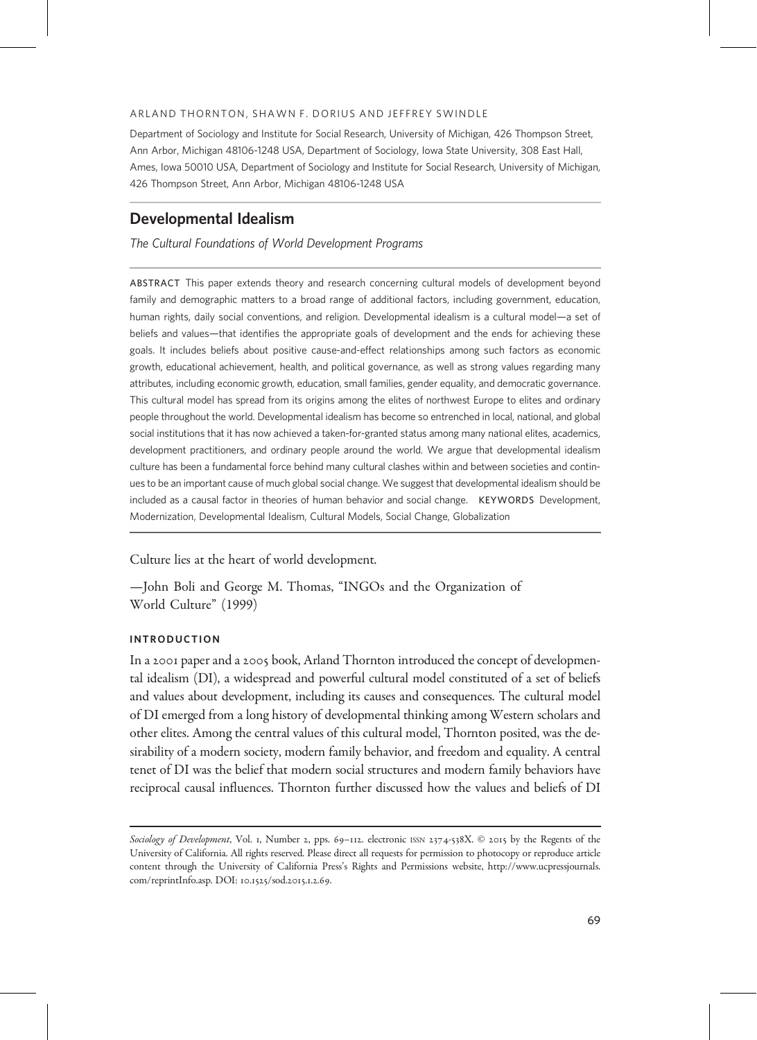#### ARLAND THORNTON, SHAWN F. DORIUS AND JEFFREY SWINDLE

Department of Sociology and Institute for Social Research, University of Michigan, 426 Thompson Street, Ann Arbor, Michigan 48106-1248 USA, Department of Sociology, Iowa State University, 308 East Hall, Ames, Iowa 50010 USA, Department of Sociology and Institute for Social Research, University of Michigan, 426 Thompson Street, Ann Arbor, Michigan 48106-1248 USA

# Developmental Idealism

The Cultural Foundations of World Development Programs

ABSTRACT This paper extends theory and research concerning cultural models of development beyond family and demographic matters to a broad range of additional factors, including government, education, human rights, daily social conventions, and religion. Developmental idealism is a cultural model—a set of beliefs and values—that identifies the appropriate goals of development and the ends for achieving these goals. It includes beliefs about positive cause-and-effect relationships among such factors as economic growth, educational achievement, health, and political governance, as well as strong values regarding many attributes, including economic growth, education, small families, gender equality, and democratic governance. This cultural model has spread from its origins among the elites of northwest Europe to elites and ordinary people throughout the world. Developmental idealism has become so entrenched in local, national, and global social institutions that it has now achieved a taken-for-granted status among many national elites, academics, development practitioners, and ordinary people around the world. We argue that developmental idealism culture has been a fundamental force behind many cultural clashes within and between societies and continues to be an important cause of much global social change. We suggest that developmental idealism should be included as a causal factor in theories of human behavior and social change. KEYWORDS Development, Modernization, Developmental Idealism, Cultural Models, Social Change, Globalization

Culture lies at the heart of world development.

—John Boli and George M. Thomas, "INGOs and the Organization of World Culture" (1999)

# INTRODUCTION

In a 2001 paper and a 2005 book, Arland Thornton introduced the concept of developmental idealism (DI), a widespread and powerful cultural model constituted of a set of beliefs and values about development, including its causes and consequences. The cultural model of DI emerged from a long history of developmental thinking among Western scholars and other elites. Among the central values of this cultural model, Thornton posited, was the desirability of a modern society, modern family behavior, and freedom and equality. A central tenet of DI was the belief that modern social structures and modern family behaviors have reciprocal causal influences. Thornton further discussed how the values and beliefs of DI

Sociology of Development, Vol. 1, Number 2, pps. 69-112. electronic ISSN 2374-538X.  $\odot$  2015 by the Regents of the University of California. All rights reserved. Please direct all requests for permission to photocopy or reproduce article content through the University of California Press's Rights and Permissions website, http://www.ucpressjournals. com/reprintInfo.asp. DOI: 10.1525/sod.2015.1.2.69.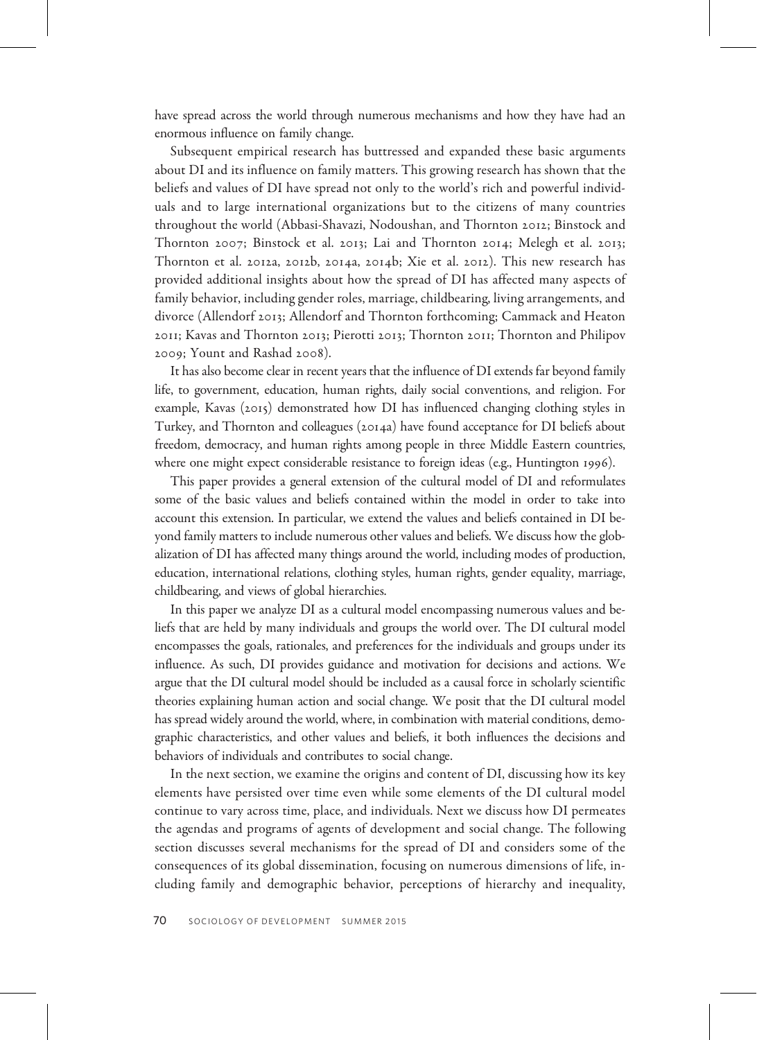have spread across the world through numerous mechanisms and how they have had an enormous influence on family change.

Subsequent empirical research has buttressed and expanded these basic arguments about DI and its influence on family matters. This growing research has shown that the beliefs and values of DI have spread not only to the world's rich and powerful individuals and to large international organizations but to the citizens of many countries throughout the world (Abbasi-Shavazi, Nodoushan, and Thornton 2012; Binstock and Thornton 2007; Binstock et al. 2013; Lai and Thornton 2014; Melegh et al. 2013; Thornton et al. 2012a, 2012b, 2014a, 2014b; Xie et al. 2012). This new research has provided additional insights about how the spread of DI has affected many aspects of family behavior, including gender roles, marriage, childbearing, living arrangements, and divorce (Allendorf 2013; Allendorf and Thornton forthcoming; Cammack and Heaton 2011; Kavas and Thornton 2013; Pierotti 2013; Thornton 2011; Thornton and Philipov 2009; Yount and Rashad 2008).

It has also become clear in recent years that the influence of DI extends far beyond family life, to government, education, human rights, daily social conventions, and religion. For example, Kavas ( $2015$ ) demonstrated how DI has influenced changing clothing styles in Turkey, and Thornton and colleagues  $(2014a)$  have found acceptance for DI beliefs about freedom, democracy, and human rights among people in three Middle Eastern countries, where one might expect considerable resistance to foreign ideas (e.g., Huntington 1996).

This paper provides a general extension of the cultural model of DI and reformulates some of the basic values and beliefs contained within the model in order to take into account this extension. In particular, we extend the values and beliefs contained in DI beyond family matters to include numerous other values and beliefs. We discuss how the globalization of DI has affected many things around the world, including modes of production, education, international relations, clothing styles, human rights, gender equality, marriage, childbearing, and views of global hierarchies.

In this paper we analyze DI as a cultural model encompassing numerous values and beliefs that are held by many individuals and groups the world over. The DI cultural model encompasses the goals, rationales, and preferences for the individuals and groups under its influence. As such, DI provides guidance and motivation for decisions and actions. We argue that the DI cultural model should be included as a causal force in scholarly scientific theories explaining human action and social change. We posit that the DI cultural model has spread widely around the world, where, in combination with material conditions, demographic characteristics, and other values and beliefs, it both influences the decisions and behaviors of individuals and contributes to social change.

In the next section, we examine the origins and content of DI, discussing how its key elements have persisted over time even while some elements of the DI cultural model continue to vary across time, place, and individuals. Next we discuss how DI permeates the agendas and programs of agents of development and social change. The following section discusses several mechanisms for the spread of DI and considers some of the consequences of its global dissemination, focusing on numerous dimensions of life, including family and demographic behavior, perceptions of hierarchy and inequality,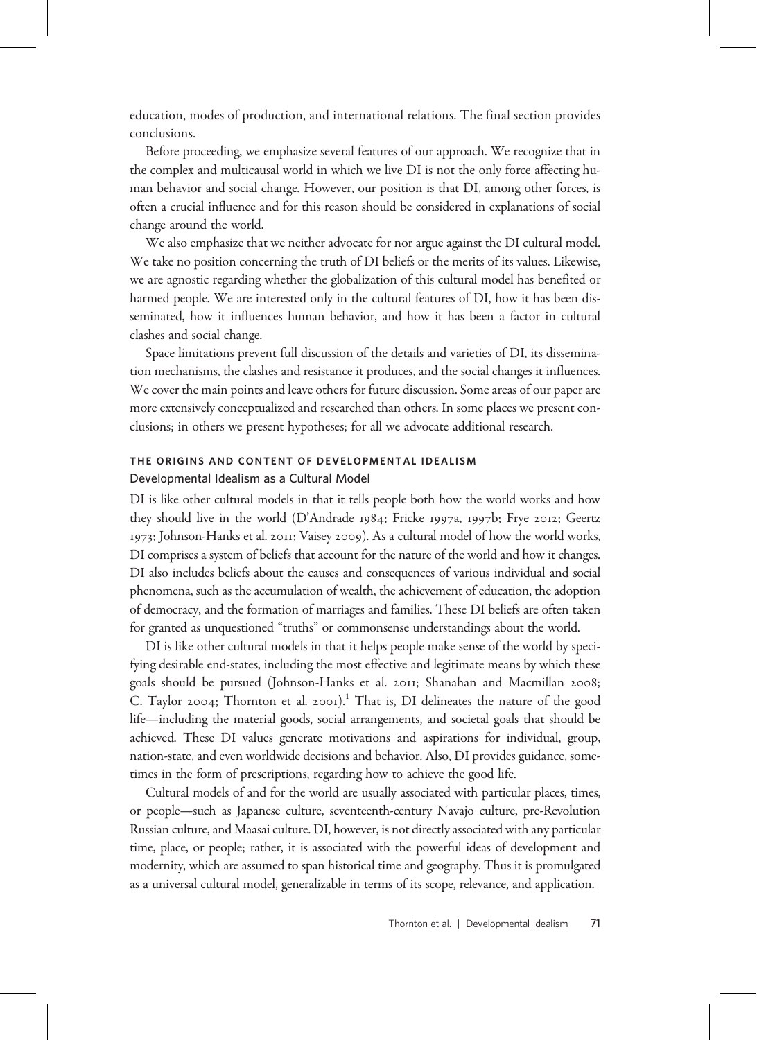education, modes of production, and international relations. The final section provides conclusions.

Before proceeding, we emphasize several features of our approach. We recognize that in the complex and multicausal world in which we live DI is not the only force affecting human behavior and social change. However, our position is that DI, among other forces, is often a crucial influence and for this reason should be considered in explanations of social change around the world.

We also emphasize that we neither advocate for nor argue against the DI cultural model. We take no position concerning the truth of DI beliefs or the merits of its values. Likewise, we are agnostic regarding whether the globalization of this cultural model has benefited or harmed people. We are interested only in the cultural features of DI, how it has been disseminated, how it influences human behavior, and how it has been a factor in cultural clashes and social change.

Space limitations prevent full discussion of the details and varieties of DI, its dissemination mechanisms, the clashes and resistance it produces, and the social changes it influences. We cover the main points and leave others for future discussion. Some areas of our paper are more extensively conceptualized and researched than others. In some places we present conclusions; in others we present hypotheses; for all we advocate additional research.

# THE ORIGINS AND CONTENT OF DEVELOPMENTAL IDEALISM

#### Developmental Idealism as a Cultural Model

DI is like other cultural models in that it tells people both how the world works and how they should live in the world (D'Andrade 1984; Fricke 1997a, 1997b; Frye 2012; Geertz 1973; Johnson-Hanks et al. 2011; Vaisey 2009). As a cultural model of how the world works, DI comprises a system of beliefs that account for the nature of the world and how it changes. DI also includes beliefs about the causes and consequences of various individual and social phenomena, such as the accumulation of wealth, the achievement of education, the adoption of democracy, and the formation of marriages and families. These DI beliefs are often taken for granted as unquestioned "truths" or commonsense understandings about the world.

DI is like other cultural models in that it helps people make sense of the world by specifying desirable end-states, including the most effective and legitimate means by which these goals should be pursued (Johnson-Hanks et al. 2011; Shanahan and Macmillan 2008; C. Taylor 2004; Thornton et al. 2001).<sup>1</sup> That is, DI delineates the nature of the good life—including the material goods, social arrangements, and societal goals that should be achieved. These DI values generate motivations and aspirations for individual, group, nation-state, and even worldwide decisions and behavior. Also, DI provides guidance, sometimes in the form of prescriptions, regarding how to achieve the good life.

Cultural models of and for the world are usually associated with particular places, times, or people—such as Japanese culture, seventeenth-century Navajo culture, pre-Revolution Russian culture, and Maasai culture. DI, however, is not directly associated with any particular time, place, or people; rather, it is associated with the powerful ideas of development and modernity, which are assumed to span historical time and geography. Thus it is promulgated as a universal cultural model, generalizable in terms of its scope, relevance, and application.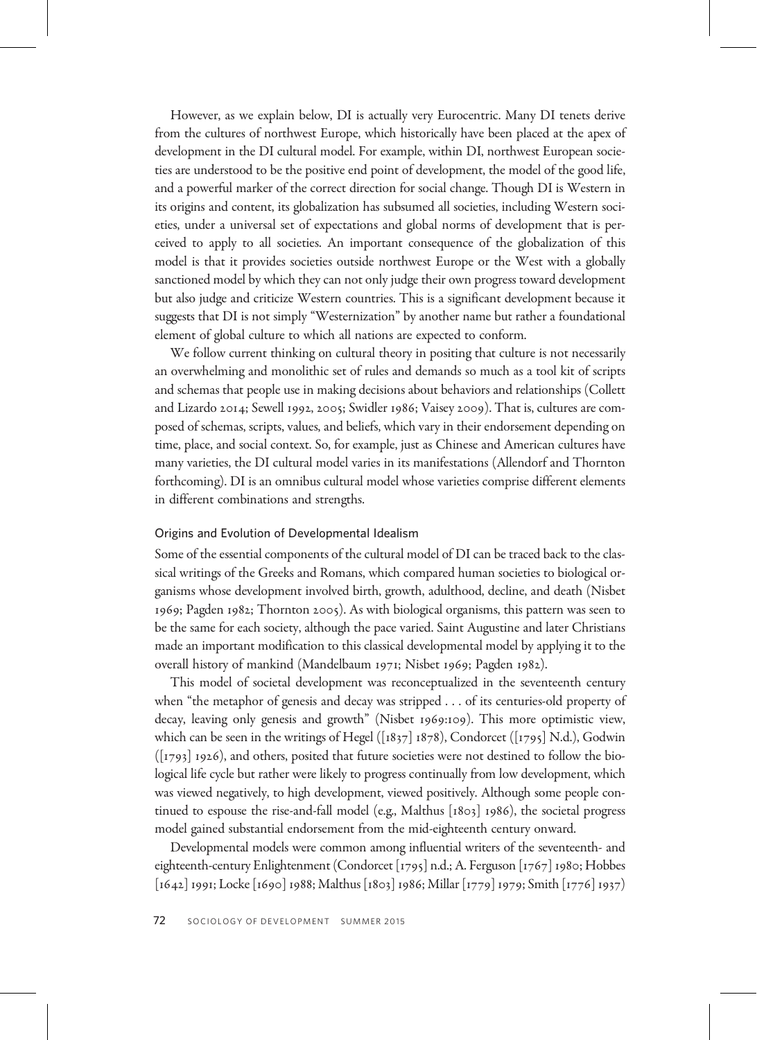However, as we explain below, DI is actually very Eurocentric. Many DI tenets derive from the cultures of northwest Europe, which historically have been placed at the apex of development in the DI cultural model. For example, within DI, northwest European societies are understood to be the positive end point of development, the model of the good life, and a powerful marker of the correct direction for social change. Though DI is Western in its origins and content, its globalization has subsumed all societies, including Western societies, under a universal set of expectations and global norms of development that is perceived to apply to all societies. An important consequence of the globalization of this model is that it provides societies outside northwest Europe or the West with a globally sanctioned model by which they can not only judge their own progress toward development but also judge and criticize Western countries. This is a significant development because it suggests that DI is not simply "Westernization" by another name but rather a foundational element of global culture to which all nations are expected to conform.

We follow current thinking on cultural theory in positing that culture is not necessarily an overwhelming and monolithic set of rules and demands so much as a tool kit of scripts and schemas that people use in making decisions about behaviors and relationships (Collett and Lizardo  $2014$ ; Sewell 1992,  $2005$ ; Swidler 1986; Vaisey  $2009$ ). That is, cultures are composed of schemas, scripts, values, and beliefs, which vary in their endorsement depending on time, place, and social context. So, for example, just as Chinese and American cultures have many varieties, the DI cultural model varies in its manifestations (Allendorf and Thornton forthcoming). DI is an omnibus cultural model whose varieties comprise different elements in different combinations and strengths.

# Origins and Evolution of Developmental Idealism

Some of the essential components of the cultural model of DI can be traced back to the classical writings of the Greeks and Romans, which compared human societies to biological organisms whose development involved birth, growth, adulthood, decline, and death (Nisbet 1969; Pagden 1982; Thornton 2005). As with biological organisms, this pattern was seen to be the same for each society, although the pace varied. Saint Augustine and later Christians made an important modification to this classical developmental model by applying it to the overall history of mankind (Mandelbaum 1971; Nisbet 1969; Pagden 1982).

This model of societal development was reconceptualized in the seventeenth century when "the metaphor of genesis and decay was stripped . . . of its centuries-old property of decay, leaving only genesis and growth" (Nisbet 1969:109). This more optimistic view, which can be seen in the writings of Hegel ([1837] 1878), Condorcet ([1795] N.d.), Godwin  $([1793]$  1926), and others, posited that future societies were not destined to follow the biological life cycle but rather were likely to progress continually from low development, which was viewed negatively, to high development, viewed positively. Although some people continued to espouse the rise-and-fall model (e.g., Malthus [1803] 1986), the societal progress model gained substantial endorsement from the mid-eighteenth century onward.

Developmental models were common among influential writers of the seventeenth- and eighteenth-century Enlightenment (Condorcet [1795] n.d.; A. Ferguson [1767] 1980; Hobbes  $\left[1642\right]$  1991; Locke  $\left[1690\right]$  1988; Malthus  $\left[1803\right]$  1986; Millar  $\left[1779\right]$  1979; Smith  $\left[1776\right]$  1937)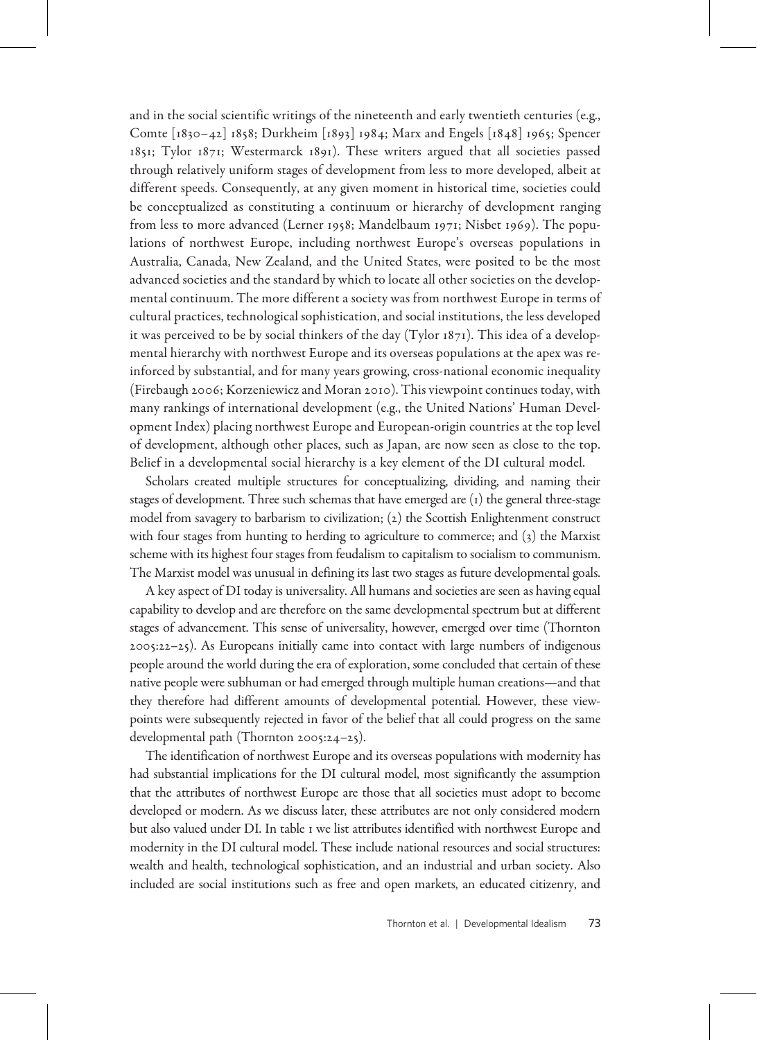and in the social scientific writings of the nineteenth and early twentieth centuries (e.g., Comte  $[1830-42]$  1858; Durkheim  $[1893]$  1984; Marx and Engels  $[1848]$  1965; Spencer  $1851$ ; Tylor  $1871$ ; Westermarck  $1891$ ). These writers argued that all societies passed through relatively uniform stages of development from less to more developed, albeit at different speeds. Consequently, at any given moment in historical time, societies could be conceptualized as constituting a continuum or hierarchy of development ranging from less to more advanced (Lerner 1958; Mandelbaum 1971; Nisbet 1969). The populations of northwest Europe, including northwest Europe's overseas populations in Australia, Canada, New Zealand, and the United States, were posited to be the most advanced societies and the standard by which to locate all other societies on the developmental continuum. The more different a society was from northwest Europe in terms of cultural practices, technological sophistication, and social institutions, the less developed it was perceived to be by social thinkers of the day (Tylor  $1871$ ). This idea of a developmental hierarchy with northwest Europe and its overseas populations at the apex was reinforced by substantial, and for many years growing, cross-national economic inequality (Firebaugh 2006; Korzeniewicz and Moran 2010). This viewpoint continues today, with many rankings of international development (e.g., the United Nations' Human Development Index) placing northwest Europe and European-origin countries at the top level of development, although other places, such as Japan, are now seen as close to the top. Belief in a developmental social hierarchy is a key element of the DI cultural model.

Scholars created multiple structures for conceptualizing, dividing, and naming their stages of development. Three such schemas that have emerged are  $(i)$  the general three-stage model from savagery to barbarism to civilization;  $(z)$  the Scottish Enlightenment construct with four stages from hunting to herding to agriculture to commerce; and  $(3)$  the Marxist scheme with its highest four stages from feudalism to capitalism to socialism to communism. The Marxist model was unusual in defining its last two stages as future developmental goals.

A key aspect of DI today is universality. All humans and societies are seen as having equal capability to develop and are therefore on the same developmental spectrum but at different stages of advancement. This sense of universality, however, emerged over time (Thornton  $2005:22-25$ ). As Europeans initially came into contact with large numbers of indigenous people around the world during the era of exploration, some concluded that certain of these native people were subhuman or had emerged through multiple human creations—and that they therefore had different amounts of developmental potential. However, these viewpoints were subsequently rejected in favor of the belief that all could progress on the same developmental path (Thornton  $2005:24-25$ ).

The identification of northwest Europe and its overseas populations with modernity has had substantial implications for the DI cultural model, most significantly the assumption that the attributes of northwest Europe are those that all societies must adopt to become developed or modern. As we discuss later, these attributes are not only considered modern but also valued under DI. In table I we list attributes identified with northwest Europe and modernity in the DI cultural model. These include national resources and social structures: wealth and health, technological sophistication, and an industrial and urban society. Also included are social institutions such as free and open markets, an educated citizenry, and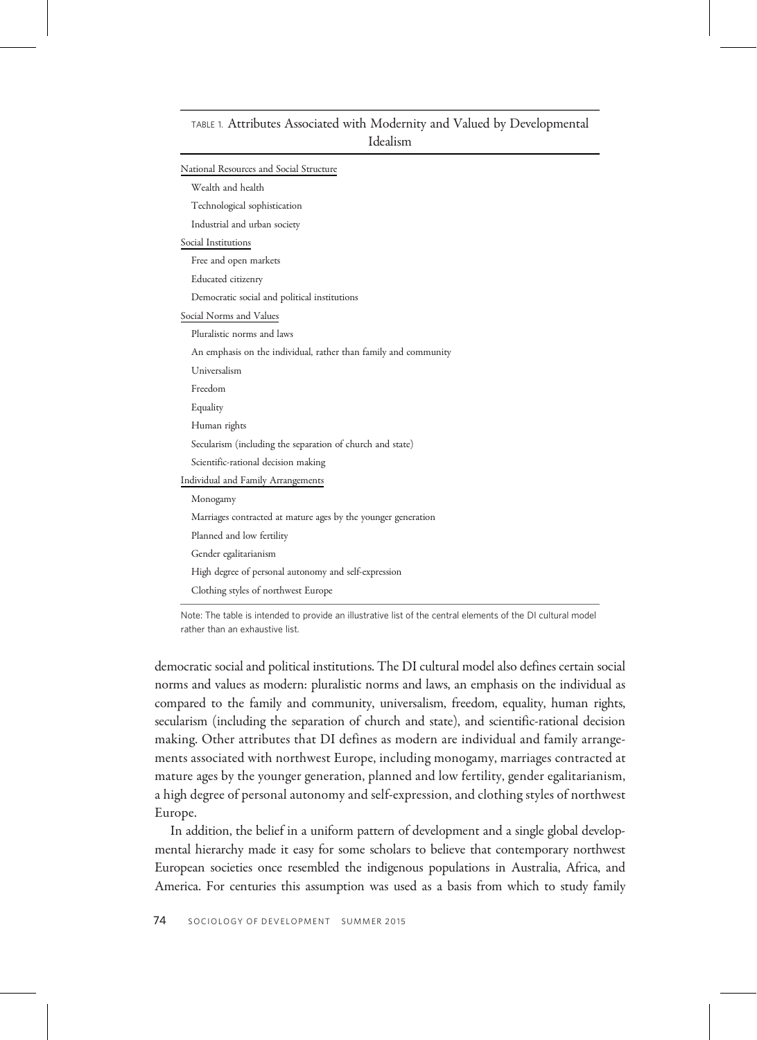|  |  | TABLE 1. Attributes Associated with Modernity and Valued by Developmental |  |  |  |
|--|--|---------------------------------------------------------------------------|--|--|--|
|  |  | Idealism                                                                  |  |  |  |

| National Resources and Social Structure                         |
|-----------------------------------------------------------------|
| Wealth and health                                               |
| Technological sophistication                                    |
| Industrial and urban society                                    |
| Social Institutions                                             |
| Free and open markets                                           |
| Educated citizenry                                              |
| Democratic social and political institutions                    |
| Social Norms and Values                                         |
| Pluralistic norms and laws                                      |
| An emphasis on the individual, rather than family and community |
| Universalism                                                    |
| Freedom                                                         |
| Equality                                                        |
| Human rights                                                    |
| Secularism (including the separation of church and state)       |
| Scientific-rational decision making                             |
| Individual and Family Arrangements                              |
| Monogamy                                                        |
| Marriages contracted at mature ages by the younger generation   |
| Planned and low fertility                                       |
| Gender egalitarianism                                           |
| High degree of personal autonomy and self-expression            |
| Clothing styles of northwest Europe                             |

Note: The table is intended to provide an illustrative list of the central elements of the DI cultural model rather than an exhaustive list.

democratic social and political institutions. The DI cultural model also defines certain social norms and values as modern: pluralistic norms and laws, an emphasis on the individual as compared to the family and community, universalism, freedom, equality, human rights, secularism (including the separation of church and state), and scientific-rational decision making. Other attributes that DI defines as modern are individual and family arrangements associated with northwest Europe, including monogamy, marriages contracted at mature ages by the younger generation, planned and low fertility, gender egalitarianism, a high degree of personal autonomy and self-expression, and clothing styles of northwest Europe.

In addition, the belief in a uniform pattern of development and a single global developmental hierarchy made it easy for some scholars to believe that contemporary northwest European societies once resembled the indigenous populations in Australia, Africa, and America. For centuries this assumption was used as a basis from which to study family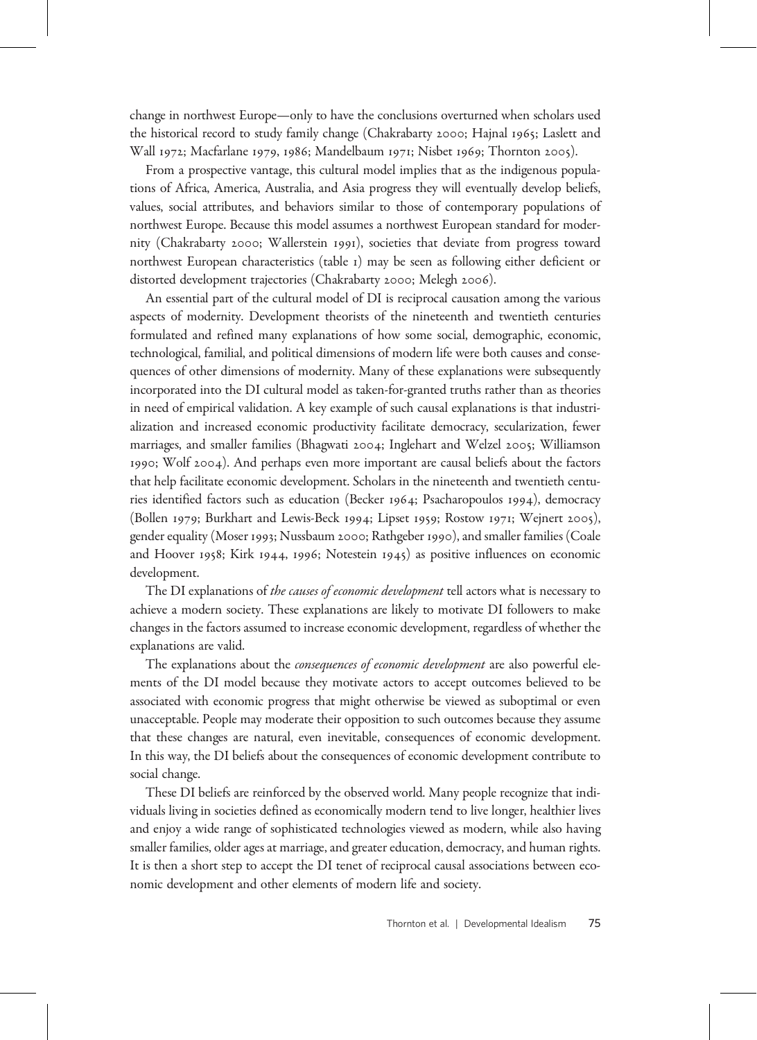change in northwest Europe—only to have the conclusions overturned when scholars used the historical record to study family change (Chakrabarty 2000; Hajnal 1965; Laslett and Wall 1972; Macfarlane 1979, 1986; Mandelbaum 1971; Nisbet 1969; Thornton 2005).

From a prospective vantage, this cultural model implies that as the indigenous populations of Africa, America, Australia, and Asia progress they will eventually develop beliefs, values, social attributes, and behaviors similar to those of contemporary populations of northwest Europe. Because this model assumes a northwest European standard for modernity (Chakrabarty 2000; Wallerstein 1991), societies that deviate from progress toward northwest European characteristics (table 1) may be seen as following either deficient or distorted development trajectories (Chakrabarty 2000; Melegh 2006).

An essential part of the cultural model of DI is reciprocal causation among the various aspects of modernity. Development theorists of the nineteenth and twentieth centuries formulated and refined many explanations of how some social, demographic, economic, technological, familial, and political dimensions of modern life were both causes and consequences of other dimensions of modernity. Many of these explanations were subsequently incorporated into the DI cultural model as taken-for-granted truths rather than as theories in need of empirical validation. A key example of such causal explanations is that industrialization and increased economic productivity facilitate democracy, secularization, fewer marriages, and smaller families (Bhagwati 2004; Inglehart and Welzel 2005; Williamson ; Wolf ). And perhaps even more important are causal beliefs about the factors that help facilitate economic development. Scholars in the nineteenth and twentieth centuries identified factors such as education (Becker 1964; Psacharopoulos 1994), democracy (Bollen 1979; Burkhart and Lewis-Beck 1994; Lipset 1959; Rostow 1971; Wejnert 2005), gender equality (Moser 1993; Nussbaum 2000; Rathgeber 1990), and smaller families (Coale and Hoover 1958; Kirk 1944, 1996; Notestein 1945) as positive influences on economic development.

The DI explanations of the causes of economic development tell actors what is necessary to achieve a modern society. These explanations are likely to motivate DI followers to make changes in the factors assumed to increase economic development, regardless of whether the explanations are valid.

The explanations about the *consequences of economic development* are also powerful elements of the DI model because they motivate actors to accept outcomes believed to be associated with economic progress that might otherwise be viewed as suboptimal or even unacceptable. People may moderate their opposition to such outcomes because they assume that these changes are natural, even inevitable, consequences of economic development. In this way, the DI beliefs about the consequences of economic development contribute to social change.

These DI beliefs are reinforced by the observed world. Many people recognize that individuals living in societies defined as economically modern tend to live longer, healthier lives and enjoy a wide range of sophisticated technologies viewed as modern, while also having smaller families, older ages at marriage, and greater education, democracy, and human rights. It is then a short step to accept the DI tenet of reciprocal causal associations between economic development and other elements of modern life and society.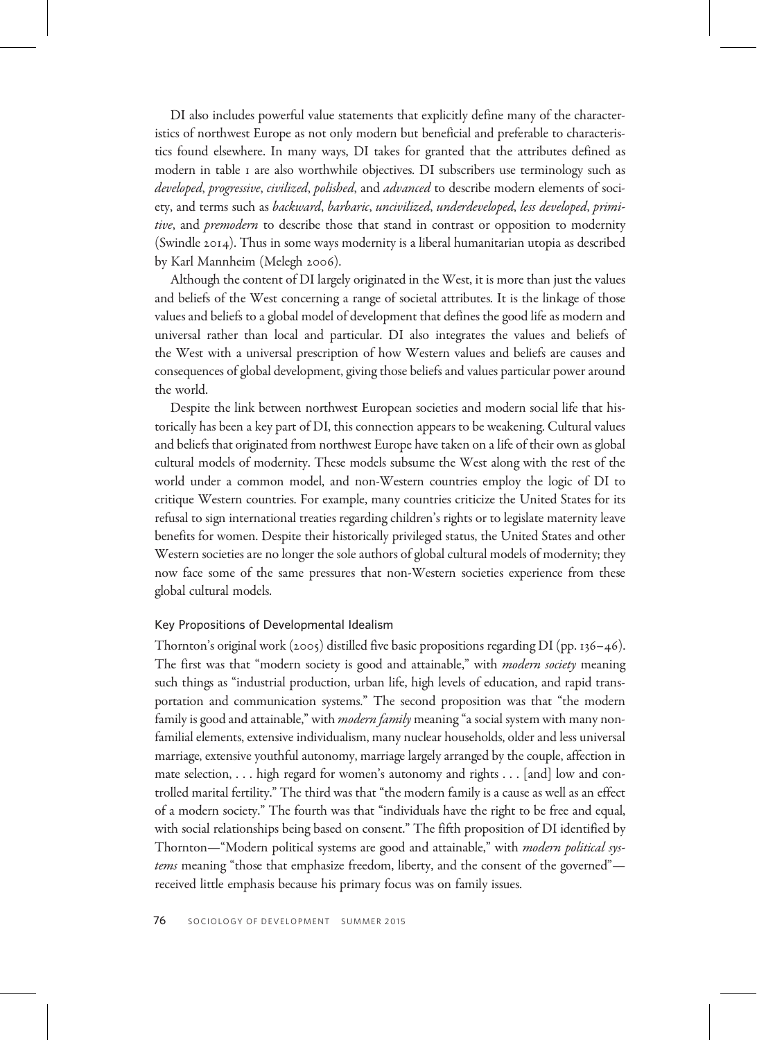DI also includes powerful value statements that explicitly define many of the characteristics of northwest Europe as not only modern but beneficial and preferable to characteristics found elsewhere. In many ways, DI takes for granted that the attributes defined as modern in table I are also worthwhile objectives. DI subscribers use terminology such as developed, progressive, civilized, polished, and advanced to describe modern elements of society, and terms such as backward, barbaric, uncivilized, underdeveloped, less developed, primitive, and premodern to describe those that stand in contrast or opposition to modernity (Swindle  $2014$ ). Thus in some ways modernity is a liberal humanitarian utopia as described by Karl Mannheim (Melegh 2006).

Although the content of DI largely originated in the West, it is more than just the values and beliefs of the West concerning a range of societal attributes. It is the linkage of those values and beliefs to a global model of development that defines the good life as modern and universal rather than local and particular. DI also integrates the values and beliefs of the West with a universal prescription of how Western values and beliefs are causes and consequences of global development, giving those beliefs and values particular power around the world.

Despite the link between northwest European societies and modern social life that historically has been a key part of DI, this connection appears to be weakening. Cultural values and beliefs that originated from northwest Europe have taken on a life of their own as global cultural models of modernity. These models subsume the West along with the rest of the world under a common model, and non-Western countries employ the logic of DI to critique Western countries. For example, many countries criticize the United States for its refusal to sign international treaties regarding children's rights or to legislate maternity leave benefits for women. Despite their historically privileged status, the United States and other Western societies are no longer the sole authors of global cultural models of modernity; they now face some of the same pressures that non-Western societies experience from these global cultural models.

# Key Propositions of Developmental Idealism

Thornton's original work (2005) distilled five basic propositions regarding DI (pp. 136–46). The first was that "modern society is good and attainable," with *modern society* meaning such things as "industrial production, urban life, high levels of education, and rapid transportation and communication systems." The second proposition was that "the modern family is good and attainable," with *modern family* meaning "a social system with many nonfamilial elements, extensive individualism, many nuclear households, older and less universal marriage, extensive youthful autonomy, marriage largely arranged by the couple, affection in mate selection, . . . high regard for women's autonomy and rights . . . [and] low and controlled marital fertility." The third was that "the modern family is a cause as well as an effect of a modern society." The fourth was that "individuals have the right to be free and equal, with social relationships being based on consent." The fifth proposition of DI identified by Thornton—"Modern political systems are good and attainable," with modern political systems meaning "those that emphasize freedom, liberty, and the consent of the governed"received little emphasis because his primary focus was on family issues.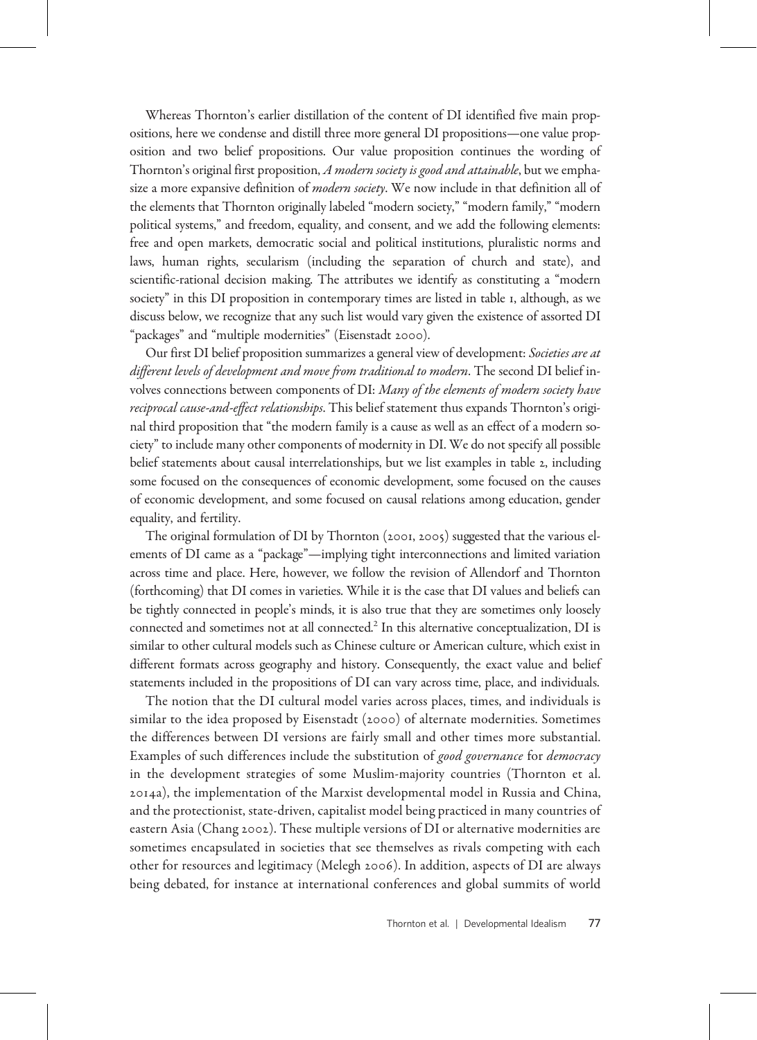Whereas Thornton's earlier distillation of the content of DI identified five main propositions, here we condense and distill three more general DI propositions—one value proposition and two belief propositions. Our value proposition continues the wording of Thornton's original first proposition, A modern society is good and attainable, but we emphasize a more expansive definition of *modern society*. We now include in that definition all of the elements that Thornton originally labeled "modern society," "modern family," "modern political systems," and freedom, equality, and consent, and we add the following elements: free and open markets, democratic social and political institutions, pluralistic norms and laws, human rights, secularism (including the separation of church and state), and scientific-rational decision making. The attributes we identify as constituting a "modern society" in this DI proposition in contemporary times are listed in table 1, although, as we discuss below, we recognize that any such list would vary given the existence of assorted DI "packages" and "multiple modernities" (Eisenstadt 2000).

Our first DI belief proposition summarizes a general view of development: Societies are at different levels of development and move from traditional to modern. The second DI belief involves connections between components of DI: Many of the elements of modern society have reciprocal cause-and-effect relationships. This belief statement thus expands Thornton's original third proposition that "the modern family is a cause as well as an effect of a modern society" to include many other components of modernity in DI. We do not specify all possible belief statements about causal interrelationships, but we list examples in table 2, including some focused on the consequences of economic development, some focused on the causes of economic development, and some focused on causal relations among education, gender equality, and fertility.

The original formulation of DI by Thornton  $(2001, 2005)$  suggested that the various elements of DI came as a "package"—implying tight interconnections and limited variation across time and place. Here, however, we follow the revision of Allendorf and Thornton (forthcoming) that DI comes in varieties. While it is the case that DI values and beliefs can be tightly connected in people's minds, it is also true that they are sometimes only loosely connected and sometimes not at all connected.<sup>2</sup> In this alternative conceptualization, DI is similar to other cultural models such as Chinese culture or American culture, which exist in different formats across geography and history. Consequently, the exact value and belief statements included in the propositions of DI can vary across time, place, and individuals.

The notion that the DI cultural model varies across places, times, and individuals is similar to the idea proposed by Eisenstadt  $(2000)$  of alternate modernities. Sometimes the differences between DI versions are fairly small and other times more substantial. Examples of such differences include the substitution of good governance for democracy in the development strategies of some Muslim-majority countries (Thornton et al. a), the implementation of the Marxist developmental model in Russia and China, and the protectionist, state-driven, capitalist model being practiced in many countries of eastern Asia (Chang  $2002$ ). These multiple versions of DI or alternative modernities are sometimes encapsulated in societies that see themselves as rivals competing with each other for resources and legitimacy (Melegh 2006). In addition, aspects of DI are always being debated, for instance at international conferences and global summits of world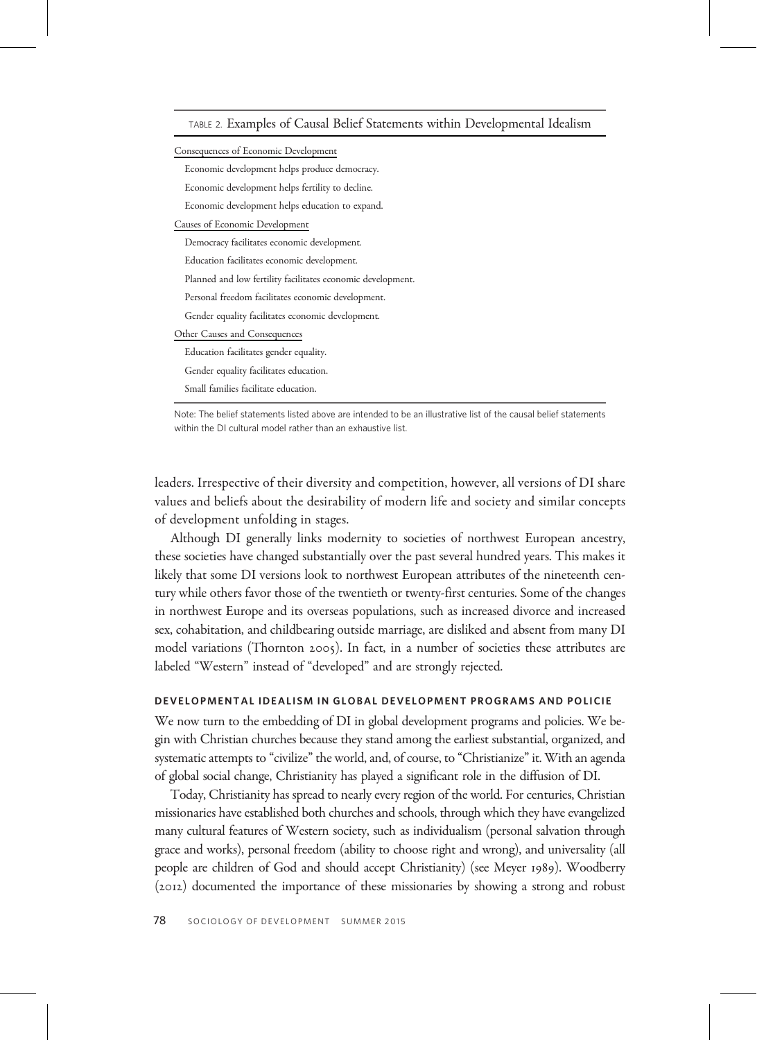#### TABLE 2. Examples of Causal Belief Statements within Developmental Idealism

| Consequences of Economic Development                        |
|-------------------------------------------------------------|
| Economic development helps produce democracy.               |
| Economic development helps fertility to decline.            |
| Economic development helps education to expand.             |
| Causes of Economic Development                              |
| Democracy facilitates economic development.                 |
| Education facilitates economic development.                 |
| Planned and low fertility facilitates economic development. |
| Personal freedom facilitates economic development.          |
| Gender equality facilitates economic development.           |
| Other Causes and Consequences                               |
| Education facilitates gender equality.                      |
| Gender equality facilitates education.                      |
| Small families facilitate education.                        |

Note: The belief statements listed above are intended to be an illustrative list of the causal belief statements within the DI cultural model rather than an exhaustive list.

leaders. Irrespective of their diversity and competition, however, all versions of DI share values and beliefs about the desirability of modern life and society and similar concepts of development unfolding in stages.

Although DI generally links modernity to societies of northwest European ancestry, these societies have changed substantially over the past several hundred years. This makes it likely that some DI versions look to northwest European attributes of the nineteenth century while others favor those of the twentieth or twenty-first centuries. Some of the changes in northwest Europe and its overseas populations, such as increased divorce and increased sex, cohabitation, and childbearing outside marriage, are disliked and absent from many DI model variations (Thornton 2005). In fact, in a number of societies these attributes are labeled "Western" instead of "developed" and are strongly rejected.

#### DEVELOPMENTAL IDEALISM IN GLOBAL DEVELOPMENT PROGRAMS AND POLICIE

We now turn to the embedding of DI in global development programs and policies. We begin with Christian churches because they stand among the earliest substantial, organized, and systematic attempts to "civilize" the world, and, of course, to "Christianize" it. With an agenda of global social change, Christianity has played a significant role in the diffusion of DI.

Today, Christianity has spread to nearly every region of the world. For centuries, Christian missionaries have established both churches and schools, through which they have evangelized many cultural features of Western society, such as individualism (personal salvation through grace and works), personal freedom (ability to choose right and wrong), and universality (all people are children of God and should accept Christianity) (see Meyer 1989). Woodberry (2012) documented the importance of these missionaries by showing a strong and robust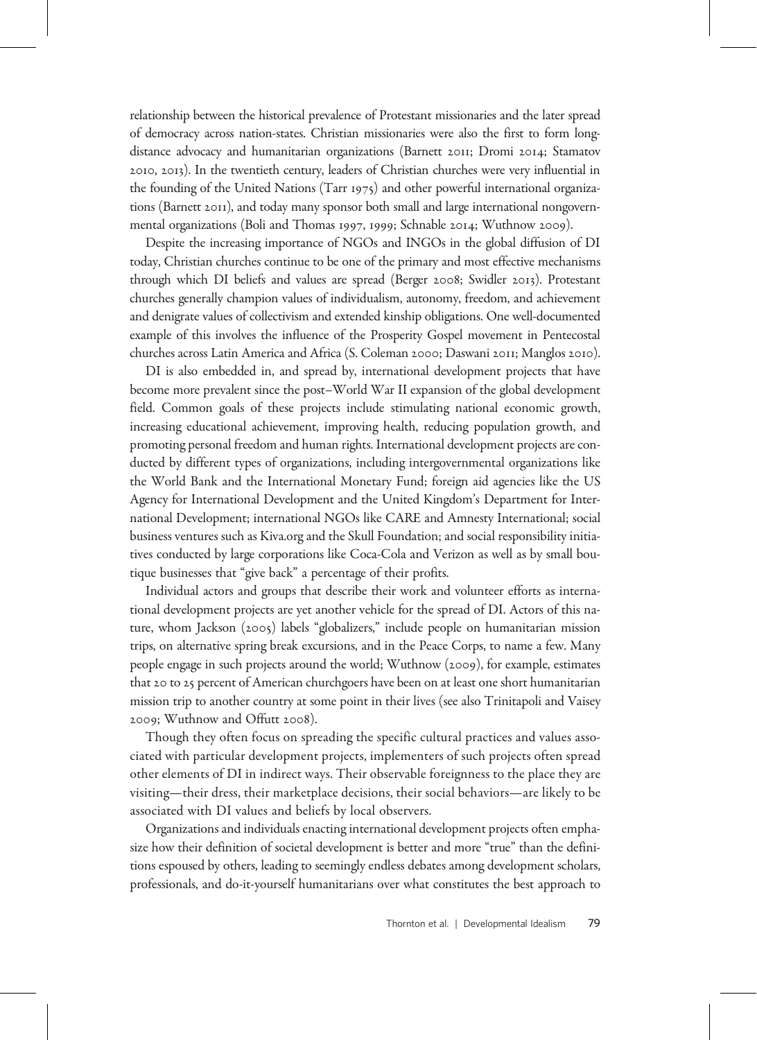relationship between the historical prevalence of Protestant missionaries and the later spread of democracy across nation-states. Christian missionaries were also the first to form longdistance advocacy and humanitarian organizations (Barnett 2011; Dromi 2014; Stamatov , ). In the twentieth century, leaders of Christian churches were very influential in the founding of the United Nations (Tarr 1975) and other powerful international organizations (Barnett 2011), and today many sponsor both small and large international nongovernmental organizations (Boli and Thomas 1997, 1999; Schnable 2014; Wuthnow 2009).

Despite the increasing importance of NGOs and INGOs in the global diffusion of DI today, Christian churches continue to be one of the primary and most effective mechanisms through which DI beliefs and values are spread (Berger 2008; Swidler 2013). Protestant churches generally champion values of individualism, autonomy, freedom, and achievement and denigrate values of collectivism and extended kinship obligations. One well-documented example of this involves the influence of the Prosperity Gospel movement in Pentecostal churches across Latin America and Africa (S. Coleman 2000; Daswani 2011; Manglos 2010).

DI is also embedded in, and spread by, international development projects that have become more prevalent since the post–World War II expansion of the global development field. Common goals of these projects include stimulating national economic growth, increasing educational achievement, improving health, reducing population growth, and promoting personal freedom and human rights. International development projects are conducted by different types of organizations, including intergovernmental organizations like the World Bank and the International Monetary Fund; foreign aid agencies like the US Agency for International Development and the United Kingdom's Department for International Development; international NGOs like CARE and Amnesty International; social business ventures such as Kiva.org and the Skull Foundation; and social responsibility initiatives conducted by large corporations like Coca-Cola and Verizon as well as by small boutique businesses that "give back" a percentage of their profits.

Individual actors and groups that describe their work and volunteer efforts as international development projects are yet another vehicle for the spread of DI. Actors of this nature, whom Jackson  $(2005)$  labels "globalizers," include people on humanitarian mission trips, on alternative spring break excursions, and in the Peace Corps, to name a few. Many people engage in such projects around the world; Wuthnow (2009), for example, estimates that 20 to 25 percent of American churchgoers have been on at least one short humanitarian mission trip to another country at some point in their lives (see also Trinitapoli and Vaisey 2009; Wuthnow and Offutt 2008).

Though they often focus on spreading the specific cultural practices and values associated with particular development projects, implementers of such projects often spread other elements of DI in indirect ways. Their observable foreignness to the place they are visiting—their dress, their marketplace decisions, their social behaviors—are likely to be associated with DI values and beliefs by local observers.

Organizations and individuals enacting international development projects often emphasize how their definition of societal development is better and more "true" than the definitions espoused by others, leading to seemingly endless debates among development scholars, professionals, and do-it-yourself humanitarians over what constitutes the best approach to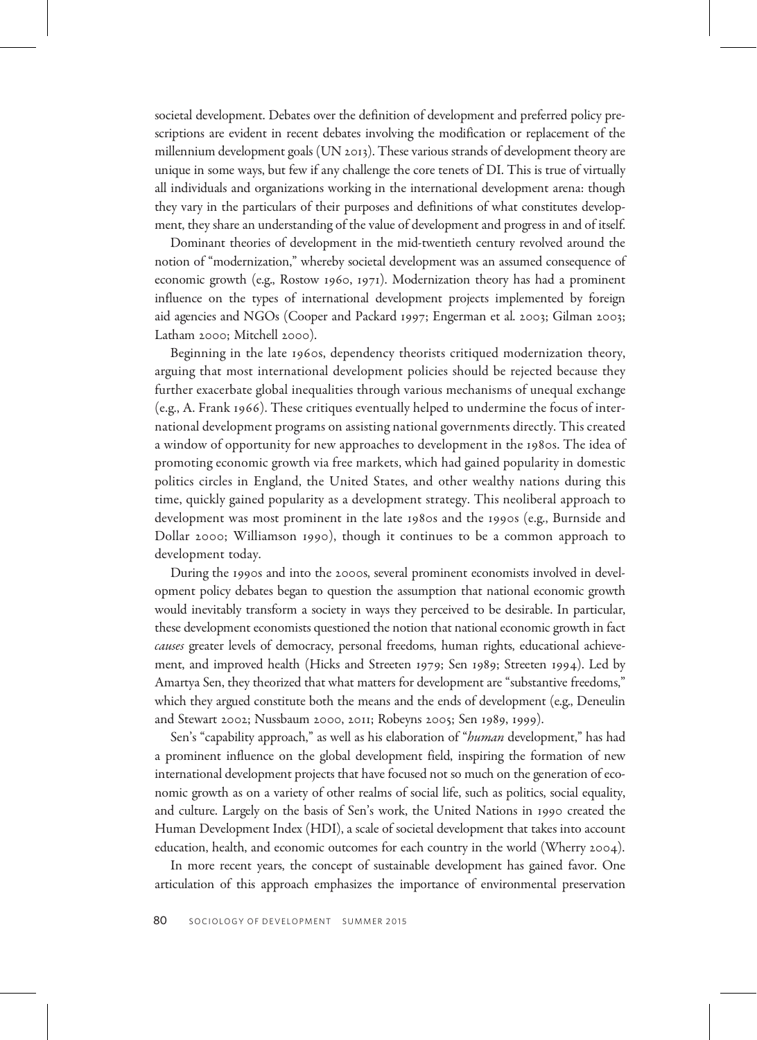societal development. Debates over the definition of development and preferred policy prescriptions are evident in recent debates involving the modification or replacement of the millennium development goals (UN  $_{2013}$ ). These various strands of development theory are unique in some ways, but few if any challenge the core tenets of DI. This is true of virtually all individuals and organizations working in the international development arena: though they vary in the particulars of their purposes and definitions of what constitutes development, they share an understanding of the value of development and progress in and of itself.

Dominant theories of development in the mid-twentieth century revolved around the notion of "modernization," whereby societal development was an assumed consequence of economic growth (e.g., Rostow 1960, 1971). Modernization theory has had a prominent influence on the types of international development projects implemented by foreign aid agencies and NGOs (Cooper and Packard 1997; Engerman et al. 2003; Gilman 2003; Latham 2000; Mitchell 2000).

Beginning in the late 1960s, dependency theorists critiqued modernization theory, arguing that most international development policies should be rejected because they further exacerbate global inequalities through various mechanisms of unequal exchange  $(e.g., A. Frank 1966).$  These critiques eventually helped to undermine the focus of international development programs on assisting national governments directly. This created a window of opportunity for new approaches to development in the 1980s. The idea of promoting economic growth via free markets, which had gained popularity in domestic politics circles in England, the United States, and other wealthy nations during this time, quickly gained popularity as a development strategy. This neoliberal approach to development was most prominent in the late 1980s and the 1990s (e.g., Burnside and Dollar  $2000$ ; Williamson 1990), though it continues to be a common approach to development today.

During the 1990s and into the 2000s, several prominent economists involved in development policy debates began to question the assumption that national economic growth would inevitably transform a society in ways they perceived to be desirable. In particular, these development economists questioned the notion that national economic growth in fact causes greater levels of democracy, personal freedoms, human rights, educational achievement, and improved health (Hicks and Streeten 1979; Sen 1989; Streeten 1994). Led by Amartya Sen, they theorized that what matters for development are "substantive freedoms," which they argued constitute both the means and the ends of development (e.g., Deneulin and Stewart 2002; Nussbaum 2000, 2011; Robeyns 2005; Sen 1989, 1999).

Sen's "capability approach," as well as his elaboration of "human development," has had a prominent influence on the global development field, inspiring the formation of new international development projects that have focused not so much on the generation of economic growth as on a variety of other realms of social life, such as politics, social equality, and culture. Largely on the basis of Sen's work, the United Nations in 1990 created the Human Development Index (HDI), a scale of societal development that takes into account education, health, and economic outcomes for each country in the world (Wherry  $2004$ ).

In more recent years, the concept of sustainable development has gained favor. One articulation of this approach emphasizes the importance of environmental preservation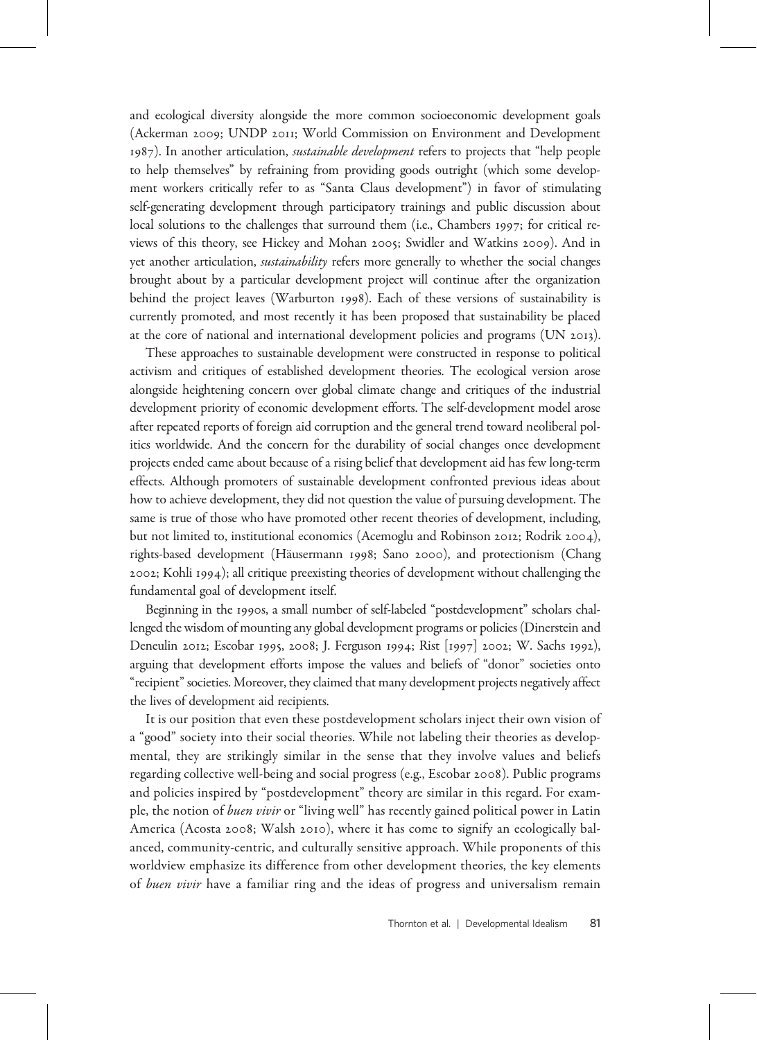and ecological diversity alongside the more common socioeconomic development goals (Ackerman 2009; UNDP 2011; World Commission on Environment and Development 1987). In another articulation, *sustainable development* refers to projects that "help people to help themselves" by refraining from providing goods outright (which some development workers critically refer to as "Santa Claus development") in favor of stimulating self-generating development through participatory trainings and public discussion about local solutions to the challenges that surround them (i.e., Chambers 1997; for critical reviews of this theory, see Hickey and Mohan 2005; Swidler and Watkins 2009). And in yet another articulation, *sustainability* refers more generally to whether the social changes brought about by a particular development project will continue after the organization behind the project leaves (Warburton 1998). Each of these versions of sustainability is currently promoted, and most recently it has been proposed that sustainability be placed at the core of national and international development policies and programs (UN 2013).

These approaches to sustainable development were constructed in response to political activism and critiques of established development theories. The ecological version arose alongside heightening concern over global climate change and critiques of the industrial development priority of economic development efforts. The self-development model arose after repeated reports of foreign aid corruption and the general trend toward neoliberal politics worldwide. And the concern for the durability of social changes once development projects ended came about because of a rising belief that development aid has few long-term effects. Although promoters of sustainable development confronted previous ideas about how to achieve development, they did not question the value of pursuing development. The same is true of those who have promoted other recent theories of development, including, but not limited to, institutional economics (Acemoglu and Robinson 2012; Rodrik 2004), rights-based development (Häusermann 1998; Sano 2000), and protectionism (Chang ; Kohli ); all critique preexisting theories of development without challenging the fundamental goal of development itself.

Beginning in the 1990s, a small number of self-labeled "postdevelopment" scholars challenged the wisdom of mounting any global development programs or policies (Dinerstein and Deneulin 2012; Escobar 1995, 2008; J. Ferguson 1994; Rist [1997] 2002; W. Sachs 1992), arguing that development efforts impose the values and beliefs of "donor" societies onto "recipient" societies. Moreover, they claimed that many development projects negatively affect the lives of development aid recipients.

It is our position that even these postdevelopment scholars inject their own vision of a "good" society into their social theories. While not labeling their theories as developmental, they are strikingly similar in the sense that they involve values and beliefs regarding collective well-being and social progress (e.g., Escobar  $2008$ ). Public programs and policies inspired by "postdevelopment" theory are similar in this regard. For example, the notion of buen vivir or "living well" has recently gained political power in Latin America (Acosta 2008; Walsh 2010), where it has come to signify an ecologically balanced, community-centric, and culturally sensitive approach. While proponents of this worldview emphasize its difference from other development theories, the key elements of buen vivir have a familiar ring and the ideas of progress and universalism remain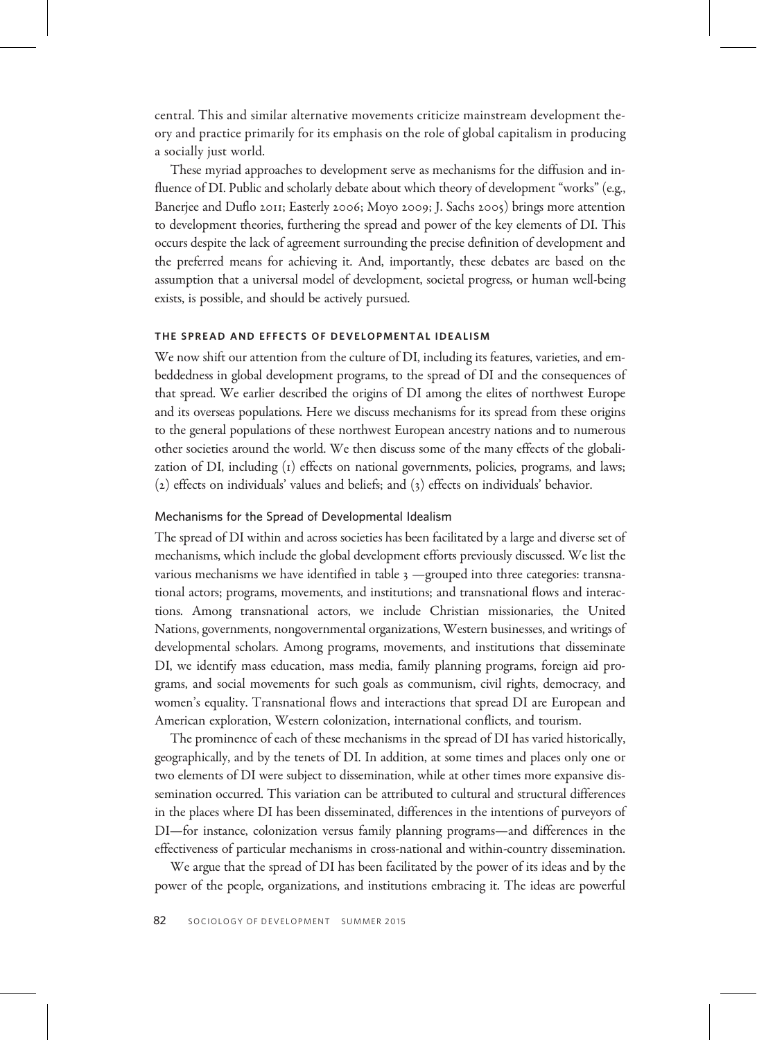central. This and similar alternative movements criticize mainstream development theory and practice primarily for its emphasis on the role of global capitalism in producing a socially just world.

These myriad approaches to development serve as mechanisms for the diffusion and influence of DI. Public and scholarly debate about which theory of development "works" (e.g., Banerjee and Duflo 2011; Easterly 2006; Moyo 2009; J. Sachs 2005) brings more attention to development theories, furthering the spread and power of the key elements of DI. This occurs despite the lack of agreement surrounding the precise definition of development and the preferred means for achieving it. And, importantly, these debates are based on the assumption that a universal model of development, societal progress, or human well-being exists, is possible, and should be actively pursued.

# THE SPREAD AND EFFECTS OF DEVELOPMENTAL IDEALISM

We now shift our attention from the culture of DI, including its features, varieties, and embeddedness in global development programs, to the spread of DI and the consequences of that spread. We earlier described the origins of DI among the elites of northwest Europe and its overseas populations. Here we discuss mechanisms for its spread from these origins to the general populations of these northwest European ancestry nations and to numerous other societies around the world. We then discuss some of the many effects of the globalization of DI, including (1) effects on national governments, policies, programs, and laws;  $(z)$  effects on individuals' values and beliefs; and  $(z)$  effects on individuals' behavior.

#### Mechanisms for the Spread of Developmental Idealism

The spread of DI within and across societies has been facilitated by a large and diverse set of mechanisms, which include the global development efforts previously discussed. We list the various mechanisms we have identified in table  $3$  —grouped into three categories: transnational actors; programs, movements, and institutions; and transnational flows and interactions. Among transnational actors, we include Christian missionaries, the United Nations, governments, nongovernmental organizations, Western businesses, and writings of developmental scholars. Among programs, movements, and institutions that disseminate DI, we identify mass education, mass media, family planning programs, foreign aid programs, and social movements for such goals as communism, civil rights, democracy, and women's equality. Transnational flows and interactions that spread DI are European and American exploration, Western colonization, international conflicts, and tourism.

The prominence of each of these mechanisms in the spread of DI has varied historically, geographically, and by the tenets of DI. In addition, at some times and places only one or two elements of DI were subject to dissemination, while at other times more expansive dissemination occurred. This variation can be attributed to cultural and structural differences in the places where DI has been disseminated, differences in the intentions of purveyors of DI—for instance, colonization versus family planning programs—and differences in the effectiveness of particular mechanisms in cross-national and within-country dissemination.

We argue that the spread of DI has been facilitated by the power of its ideas and by the power of the people, organizations, and institutions embracing it. The ideas are powerful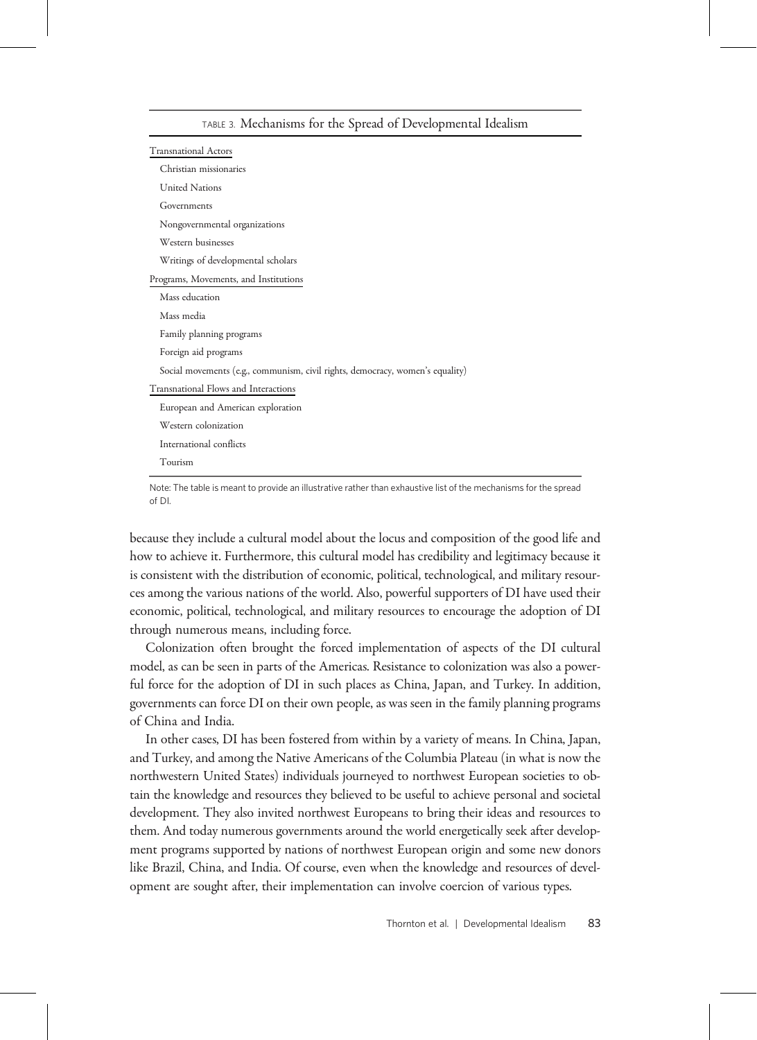| TABLE 3. Mechanisms for the Spread of Developmental Idealism |  |  |  |
|--------------------------------------------------------------|--|--|--|
|--------------------------------------------------------------|--|--|--|

| <b>Transnational Actors</b>                                                   |
|-------------------------------------------------------------------------------|
| Christian missionaries                                                        |
| <b>United Nations</b>                                                         |
| Governments                                                                   |
| Nongovernmental organizations                                                 |
| Western businesses                                                            |
| Writings of developmental scholars                                            |
| Programs, Movements, and Institutions                                         |
| Mass education                                                                |
| Mass media                                                                    |
| Family planning programs                                                      |
| Foreign aid programs                                                          |
| Social movements (e.g., communism, civil rights, democracy, women's equality) |
| Transnational Flows and Interactions                                          |
| European and American exploration                                             |
| Western colonization                                                          |
| International conflicts                                                       |
| Tourism                                                                       |

Note: The table is meant to provide an illustrative rather than exhaustive list of the mechanisms for the spread of DI.

because they include a cultural model about the locus and composition of the good life and how to achieve it. Furthermore, this cultural model has credibility and legitimacy because it is consistent with the distribution of economic, political, technological, and military resources among the various nations of the world. Also, powerful supporters of DI have used their economic, political, technological, and military resources to encourage the adoption of DI through numerous means, including force.

Colonization often brought the forced implementation of aspects of the DI cultural model, as can be seen in parts of the Americas. Resistance to colonization was also a powerful force for the adoption of DI in such places as China, Japan, and Turkey. In addition, governments can force DI on their own people, as was seen in the family planning programs of China and India.

In other cases, DI has been fostered from within by a variety of means. In China, Japan, and Turkey, and among the Native Americans of the Columbia Plateau (in what is now the northwestern United States) individuals journeyed to northwest European societies to obtain the knowledge and resources they believed to be useful to achieve personal and societal development. They also invited northwest Europeans to bring their ideas and resources to them. And today numerous governments around the world energetically seek after development programs supported by nations of northwest European origin and some new donors like Brazil, China, and India. Of course, even when the knowledge and resources of development are sought after, their implementation can involve coercion of various types.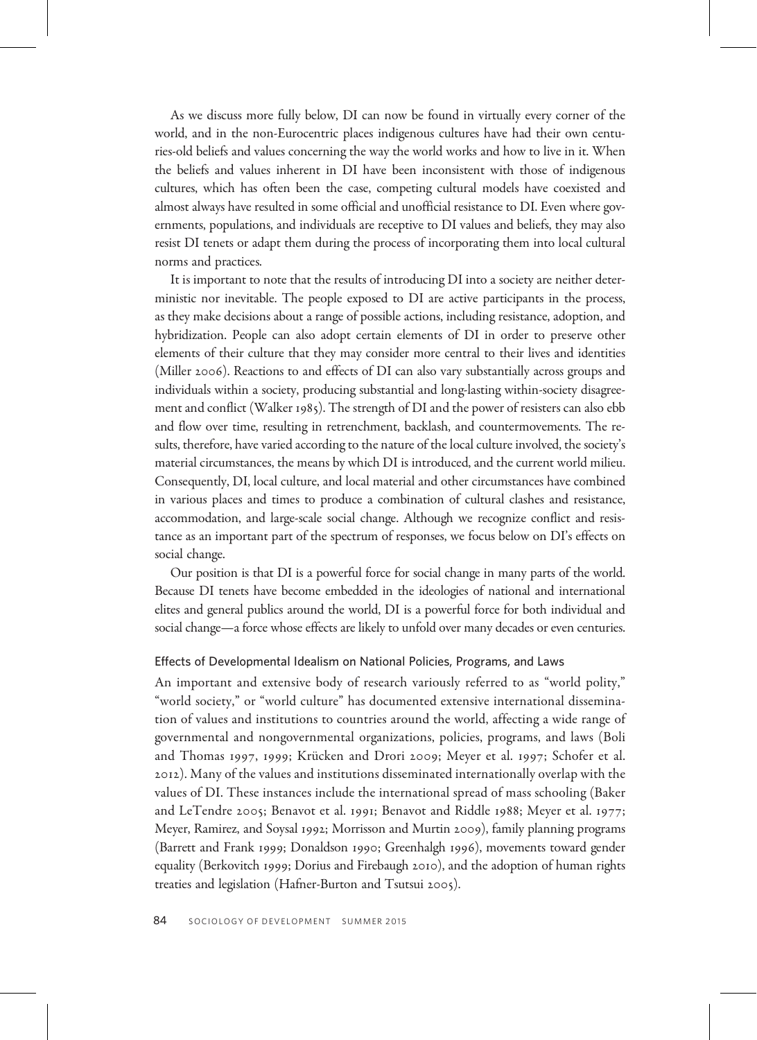As we discuss more fully below, DI can now be found in virtually every corner of the world, and in the non-Eurocentric places indigenous cultures have had their own centuries-old beliefs and values concerning the way the world works and how to live in it. When the beliefs and values inherent in DI have been inconsistent with those of indigenous cultures, which has often been the case, competing cultural models have coexisted and almost always have resulted in some official and unofficial resistance to DI. Even where governments, populations, and individuals are receptive to DI values and beliefs, they may also resist DI tenets or adapt them during the process of incorporating them into local cultural norms and practices.

It is important to note that the results of introducing DI into a society are neither deterministic nor inevitable. The people exposed to DI are active participants in the process, as they make decisions about a range of possible actions, including resistance, adoption, and hybridization. People can also adopt certain elements of DI in order to preserve other elements of their culture that they may consider more central to their lives and identities (Miller 2006). Reactions to and effects of DI can also vary substantially across groups and individuals within a society, producing substantial and long-lasting within-society disagreement and conflict (Walker 1985). The strength of DI and the power of resisters can also ebb and flow over time, resulting in retrenchment, backlash, and countermovements. The results, therefore, have varied according to the nature of the local culture involved, the society's material circumstances, the means by which DI is introduced, and the current world milieu. Consequently, DI, local culture, and local material and other circumstances have combined in various places and times to produce a combination of cultural clashes and resistance, accommodation, and large-scale social change. Although we recognize conflict and resistance as an important part of the spectrum of responses, we focus below on DI's effects on social change.

Our position is that DI is a powerful force for social change in many parts of the world. Because DI tenets have become embedded in the ideologies of national and international elites and general publics around the world, DI is a powerful force for both individual and social change—a force whose effects are likely to unfold over many decades or even centuries.

# Effects of Developmental Idealism on National Policies, Programs, and Laws

An important and extensive body of research variously referred to as "world polity," "world society," or "world culture" has documented extensive international dissemination of values and institutions to countries around the world, affecting a wide range of governmental and nongovernmental organizations, policies, programs, and laws (Boli and Thomas 1997, 1999; Krücken and Drori 2009; Meyer et al. 1997; Schofer et al. ). Many of the values and institutions disseminated internationally overlap with the values of DI. These instances include the international spread of mass schooling (Baker and LeTendre 2005; Benavot et al. 1991; Benavot and Riddle 1988; Meyer et al. 1977; Meyer, Ramirez, and Soysal 1992; Morrisson and Murtin 2009), family planning programs (Barrett and Frank 1999; Donaldson 1990; Greenhalgh 1996), movements toward gender equality (Berkovitch 1999; Dorius and Firebaugh 2010), and the adoption of human rights treaties and legislation (Hafner-Burton and Tsutsui 2005).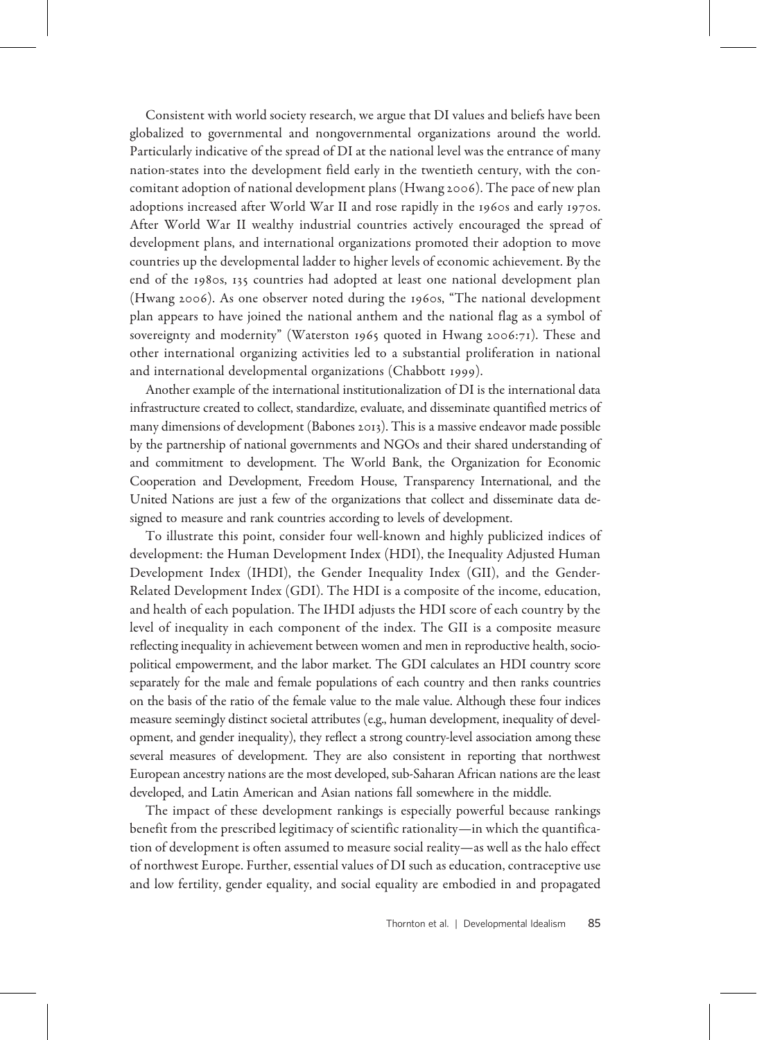Consistent with world society research, we argue that DI values and beliefs have been globalized to governmental and nongovernmental organizations around the world. Particularly indicative of the spread of DI at the national level was the entrance of many nation-states into the development field early in the twentieth century, with the concomitant adoption of national development plans (Hwang 2006). The pace of new plan adoptions increased after World War II and rose rapidly in the 1960s and early 1970s. After World War II wealthy industrial countries actively encouraged the spread of development plans, and international organizations promoted their adoption to move countries up the developmental ladder to higher levels of economic achievement. By the end of the 1980s, 135 countries had adopted at least one national development plan (Hwang  $2006$ ). As one observer noted during the 1960s, "The national development plan appears to have joined the national anthem and the national flag as a symbol of sovereignty and modernity" (Waterston 1965 quoted in Hwang 2006:71). These and other international organizing activities led to a substantial proliferation in national and international developmental organizations (Chabbott 1999).

Another example of the international institutionalization of DI is the international data infrastructure created to collect, standardize, evaluate, and disseminate quantified metrics of many dimensions of development (Babones 2013). This is a massive endeavor made possible by the partnership of national governments and NGOs and their shared understanding of and commitment to development. The World Bank, the Organization for Economic Cooperation and Development, Freedom House, Transparency International, and the United Nations are just a few of the organizations that collect and disseminate data designed to measure and rank countries according to levels of development.

To illustrate this point, consider four well-known and highly publicized indices of development: the Human Development Index (HDI), the Inequality Adjusted Human Development Index (IHDI), the Gender Inequality Index (GII), and the Gender-Related Development Index (GDI). The HDI is a composite of the income, education, and health of each population. The IHDI adjusts the HDI score of each country by the level of inequality in each component of the index. The GII is a composite measure reflecting inequality in achievement between women and men in reproductive health, sociopolitical empowerment, and the labor market. The GDI calculates an HDI country score separately for the male and female populations of each country and then ranks countries on the basis of the ratio of the female value to the male value. Although these four indices measure seemingly distinct societal attributes (e.g., human development, inequality of development, and gender inequality), they reflect a strong country-level association among these several measures of development. They are also consistent in reporting that northwest European ancestry nations are the most developed, sub-Saharan African nations are the least developed, and Latin American and Asian nations fall somewhere in the middle.

The impact of these development rankings is especially powerful because rankings benefit from the prescribed legitimacy of scientific rationality—in which the quantification of development is often assumed to measure social reality—as well as the halo effect of northwest Europe. Further, essential values of DI such as education, contraceptive use and low fertility, gender equality, and social equality are embodied in and propagated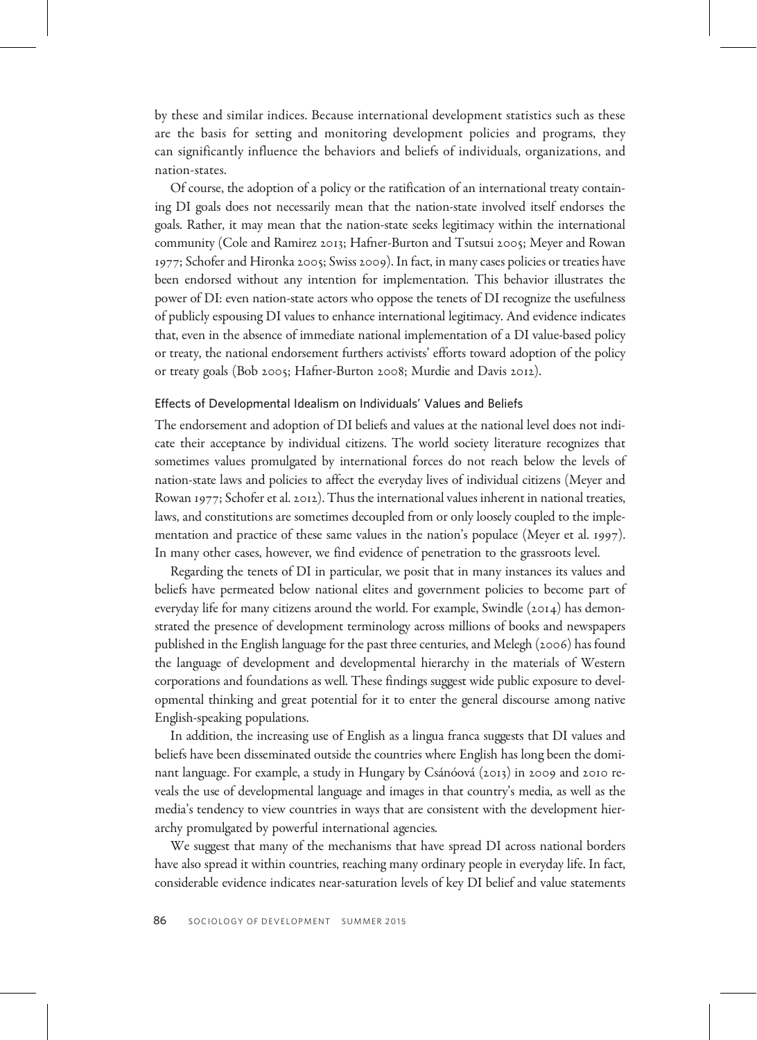by these and similar indices. Because international development statistics such as these are the basis for setting and monitoring development policies and programs, they can significantly influence the behaviors and beliefs of individuals, organizations, and nation-states.

Of course, the adoption of a policy or the ratification of an international treaty containing DI goals does not necessarily mean that the nation-state involved itself endorses the goals. Rather, it may mean that the nation-state seeks legitimacy within the international community (Cole and Ramirez 2013; Hafner-Burton and Tsutsui 2005; Meyer and Rowan 1977; Schofer and Hironka 2005; Swiss 2009). In fact, in many cases policies or treaties have been endorsed without any intention for implementation. This behavior illustrates the power of DI: even nation-state actors who oppose the tenets of DI recognize the usefulness of publicly espousing DI values to enhance international legitimacy. And evidence indicates that, even in the absence of immediate national implementation of a DI value-based policy or treaty, the national endorsement furthers activists' efforts toward adoption of the policy or treaty goals (Bob 2005; Hafner-Burton 2008; Murdie and Davis 2012).

# Effects of Developmental Idealism on Individuals' Values and Beliefs

The endorsement and adoption of DI beliefs and values at the national level does not indicate their acceptance by individual citizens. The world society literature recognizes that sometimes values promulgated by international forces do not reach below the levels of nation-state laws and policies to affect the everyday lives of individual citizens (Meyer and Rowan 1977; Schofer et al. 2012). Thus the international values inherent in national treaties, laws, and constitutions are sometimes decoupled from or only loosely coupled to the implementation and practice of these same values in the nation's populace (Meyer et al. 1997). In many other cases, however, we find evidence of penetration to the grassroots level.

Regarding the tenets of DI in particular, we posit that in many instances its values and beliefs have permeated below national elites and government policies to become part of everyday life for many citizens around the world. For example, Swindle (2014) has demonstrated the presence of development terminology across millions of books and newspapers published in the English language for the past three centuries, and Melegh ( $2006$ ) has found the language of development and developmental hierarchy in the materials of Western corporations and foundations as well. These findings suggest wide public exposure to developmental thinking and great potential for it to enter the general discourse among native English-speaking populations.

In addition, the increasing use of English as a lingua franca suggests that DI values and beliefs have been disseminated outside the countries where English has long been the dominant language. For example, a study in Hungary by Csánóová (2013) in 2009 and 2010 reveals the use of developmental language and images in that country's media, as well as the media's tendency to view countries in ways that are consistent with the development hierarchy promulgated by powerful international agencies.

We suggest that many of the mechanisms that have spread DI across national borders have also spread it within countries, reaching many ordinary people in everyday life. In fact, considerable evidence indicates near-saturation levels of key DI belief and value statements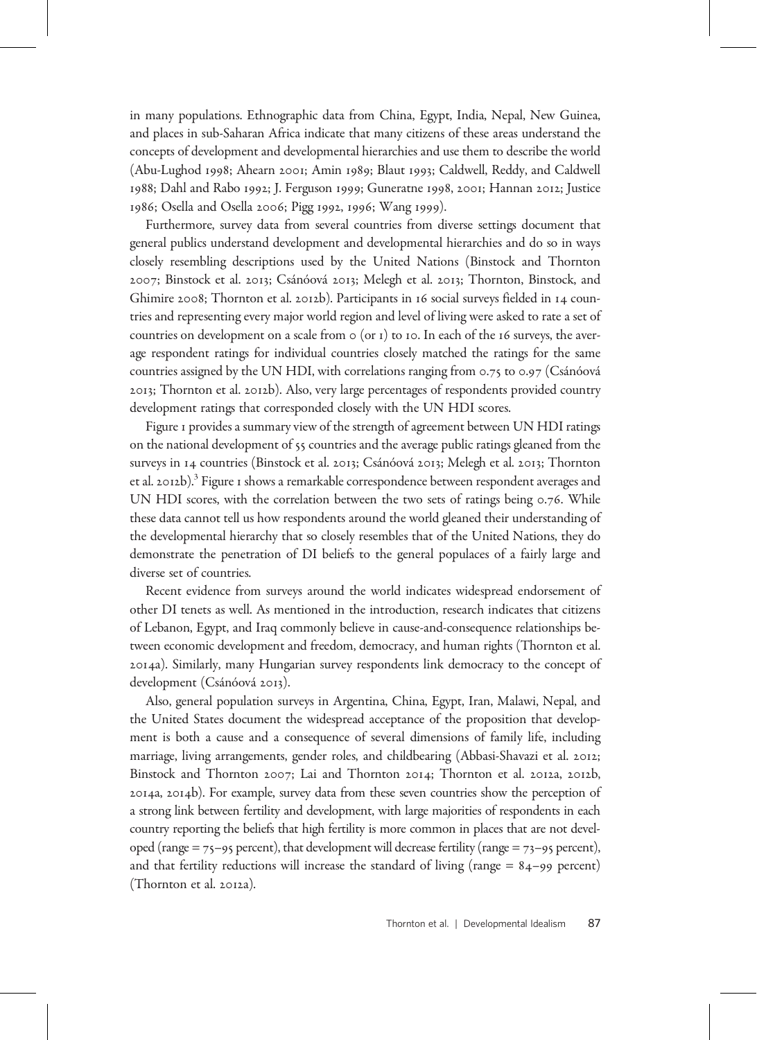in many populations. Ethnographic data from China, Egypt, India, Nepal, New Guinea, and places in sub-Saharan Africa indicate that many citizens of these areas understand the concepts of development and developmental hierarchies and use them to describe the world (Abu-Lughod 1998; Ahearn 2001; Amin 1989; Blaut 1993; Caldwell, Reddy, and Caldwell 1988; Dahl and Rabo 1992; J. Ferguson 1999; Guneratne 1998, 2001; Hannan 2012; Justice 1986; Osella and Osella 2006; Pigg 1992, 1996; Wang 1999).

Furthermore, survey data from several countries from diverse settings document that general publics understand development and developmental hierarchies and do so in ways closely resembling descriptions used by the United Nations (Binstock and Thornton 2007; Binstock et al. 2013; Csánóová 2013; Melegh et al. 2013; Thornton, Binstock, and Ghimire 2008; Thornton et al. 2012b). Participants in 16 social surveys fielded in  $14$  countries and representing every major world region and level of living were asked to rate a set of countries on development on a scale from  $\circ$  (or  $\iota$ ) to 10. In each of the 16 surveys, the average respondent ratings for individual countries closely matched the ratings for the same countries assigned by the UN HDI, with correlations ranging from  $0.75$  to  $0.97$  (Csánóová ; Thornton et al. b). Also, very large percentages of respondents provided country development ratings that corresponded closely with the UN HDI scores.

Figure I provides a summary view of the strength of agreement between UN HDI ratings on the national development of 55 countries and the average public ratings gleaned from the surveys in 14 countries (Binstock et al. 2013; Csánóová 2013; Melegh et al. 2013; Thornton et al. 2012b).<sup>3</sup> Figure 1 shows a remarkable correspondence between respondent averages and UN HDI scores, with the correlation between the two sets of ratings being 0.76. While these data cannot tell us how respondents around the world gleaned their understanding of the developmental hierarchy that so closely resembles that of the United Nations, they do demonstrate the penetration of DI beliefs to the general populaces of a fairly large and diverse set of countries.

Recent evidence from surveys around the world indicates widespread endorsement of other DI tenets as well. As mentioned in the introduction, research indicates that citizens of Lebanon, Egypt, and Iraq commonly believe in cause-and-consequence relationships between economic development and freedom, democracy, and human rights (Thornton et al. a). Similarly, many Hungarian survey respondents link democracy to the concept of development (Csánóová 2013).

Also, general population surveys in Argentina, China, Egypt, Iran, Malawi, Nepal, and the United States document the widespread acceptance of the proposition that development is both a cause and a consequence of several dimensions of family life, including marriage, living arrangements, gender roles, and childbearing (Abbasi-Shavazi et al. 2012; Binstock and Thornton 2007; Lai and Thornton 2014; Thornton et al. 2012a, 2012b,  $2014a$ ,  $2014b$ ). For example, survey data from these seven countries show the perception of a strong link between fertility and development, with large majorities of respondents in each country reporting the beliefs that high fertility is more common in places that are not developed (range  $= 75-95$  percent), that development will decrease fertility (range  $= 73-95$  percent), and that fertility reductions will increase the standard of living (range  $= 84 - 99$  percent) (Thornton et al. 2012a).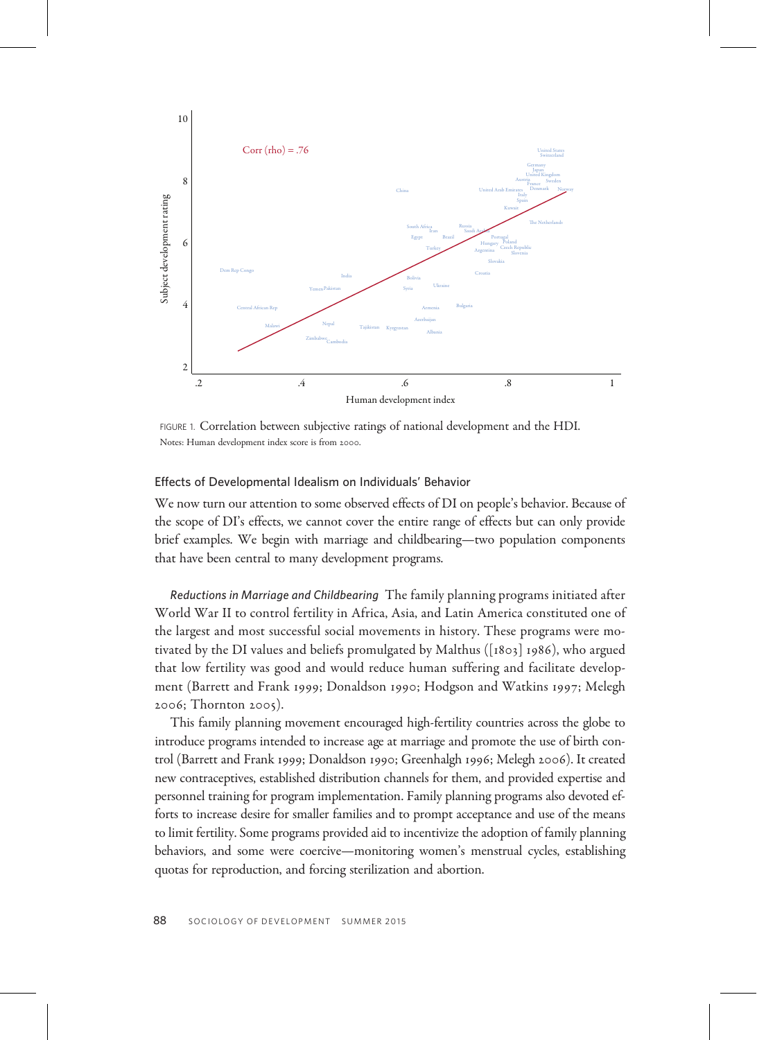

FIGURE 1. Correlation between subjective ratings of national development and the HDI. Notes: Human development index score is from 2000.

#### Effects of Developmental Idealism on Individuals' Behavior

We now turn our attention to some observed effects of DI on people's behavior. Because of the scope of DI's effects, we cannot cover the entire range of effects but can only provide brief examples. We begin with marriage and childbearing—two population components that have been central to many development programs.

Reductions in Marriage and Childbearing The family planning programs initiated after World War II to control fertility in Africa, Asia, and Latin America constituted one of the largest and most successful social movements in history. These programs were motivated by the DI values and beliefs promulgated by Malthus ( $[1803]$  1986), who argued that low fertility was good and would reduce human suffering and facilitate development (Barrett and Frank 1999; Donaldson 1990; Hodgson and Watkins 1997; Melegh  $2006$ ; Thornton  $2005$ ).

This family planning movement encouraged high-fertility countries across the globe to introduce programs intended to increase age at marriage and promote the use of birth control (Barrett and Frank 1999; Donaldson 1990; Greenhalgh 1996; Melegh 2006). It created new contraceptives, established distribution channels for them, and provided expertise and personnel training for program implementation. Family planning programs also devoted efforts to increase desire for smaller families and to prompt acceptance and use of the means to limit fertility. Some programs provided aid to incentivize the adoption of family planning behaviors, and some were coercive—monitoring women's menstrual cycles, establishing quotas for reproduction, and forcing sterilization and abortion.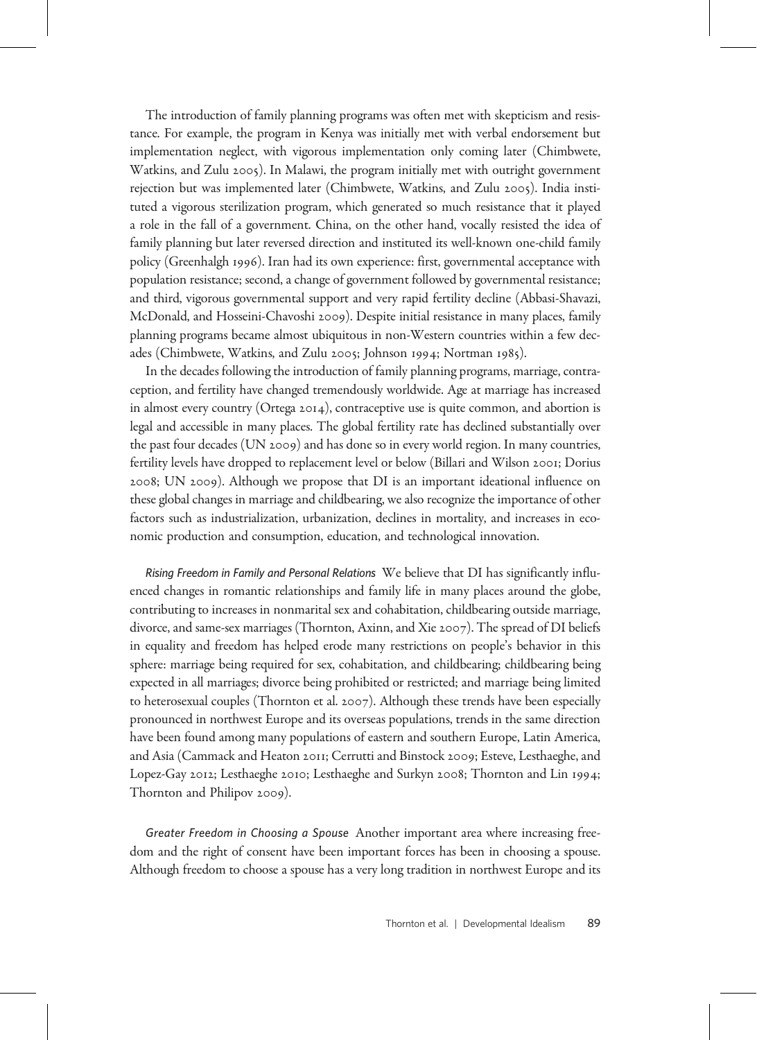The introduction of family planning programs was often met with skepticism and resistance. For example, the program in Kenya was initially met with verbal endorsement but implementation neglect, with vigorous implementation only coming later (Chimbwete, Watkins, and Zulu 2005). In Malawi, the program initially met with outright government rejection but was implemented later (Chimbwete, Watkins, and Zulu 2005). India instituted a vigorous sterilization program, which generated so much resistance that it played a role in the fall of a government. China, on the other hand, vocally resisted the idea of family planning but later reversed direction and instituted its well-known one-child family policy (Greenhalgh 1996). Iran had its own experience: first, governmental acceptance with population resistance; second, a change of government followed by governmental resistance; and third, vigorous governmental support and very rapid fertility decline (Abbasi-Shavazi, McDonald, and Hosseini-Chavoshi 2009). Despite initial resistance in many places, family planning programs became almost ubiquitous in non-Western countries within a few decades (Chimbwete, Watkins, and Zulu 2005; Johnson 1994; Nortman 1985).

In the decades following the introduction of family planning programs, marriage, contraception, and fertility have changed tremendously worldwide. Age at marriage has increased in almost every country (Ortega  $2014$ ), contraceptive use is quite common, and abortion is legal and accessible in many places. The global fertility rate has declined substantially over the past four decades (UN  $2009$ ) and has done so in every world region. In many countries, fertility levels have dropped to replacement level or below (Billari and Wilson ; Dorius  $2008$ ; UN  $2009$ ). Although we propose that DI is an important ideational influence on these global changes in marriage and childbearing, we also recognize the importance of other factors such as industrialization, urbanization, declines in mortality, and increases in economic production and consumption, education, and technological innovation.

Rising Freedom in Family and Personal Relations We believe that DI has significantly influenced changes in romantic relationships and family life in many places around the globe, contributing to increases in nonmarital sex and cohabitation, childbearing outside marriage, divorce, and same-sex marriages (Thornton, Axinn, and Xie 2007). The spread of DI beliefs in equality and freedom has helped erode many restrictions on people's behavior in this sphere: marriage being required for sex, cohabitation, and childbearing; childbearing being expected in all marriages; divorce being prohibited or restricted; and marriage being limited to heterosexual couples (Thornton et al.  $2007$ ). Although these trends have been especially pronounced in northwest Europe and its overseas populations, trends in the same direction have been found among many populations of eastern and southern Europe, Latin America, and Asia (Cammack and Heaton 2011; Cerrutti and Binstock 2009; Esteve, Lesthaeghe, and Lopez-Gay 2012; Lesthaeghe 2010; Lesthaeghe and Surkyn 2008; Thornton and Lin 1994; Thornton and Philipov 2009).

Greater Freedom in Choosing a Spouse Another important area where increasing freedom and the right of consent have been important forces has been in choosing a spouse. Although freedom to choose a spouse has a very long tradition in northwest Europe and its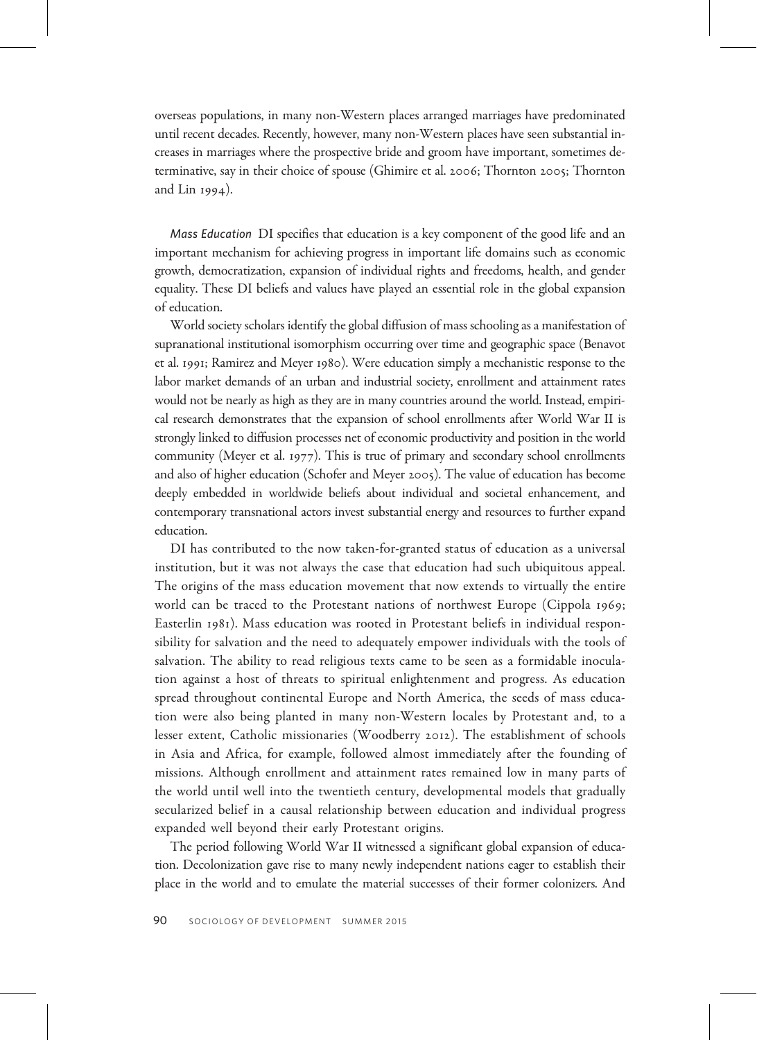overseas populations, in many non-Western places arranged marriages have predominated until recent decades. Recently, however, many non-Western places have seen substantial increases in marriages where the prospective bride and groom have important, sometimes determinative, say in their choice of spouse (Ghimire et al. 2006; Thornton 2005; Thornton and Lin  $1994$ ).

Mass Education DI specifies that education is a key component of the good life and an important mechanism for achieving progress in important life domains such as economic growth, democratization, expansion of individual rights and freedoms, health, and gender equality. These DI beliefs and values have played an essential role in the global expansion of education.

World society scholars identify the global diffusion of mass schooling as a manifestation of supranational institutional isomorphism occurring over time and geographic space (Benavot et al. 1991; Ramirez and Meyer 1980). Were education simply a mechanistic response to the labor market demands of an urban and industrial society, enrollment and attainment rates would not be nearly as high as they are in many countries around the world. Instead, empirical research demonstrates that the expansion of school enrollments after World War II is strongly linked to diffusion processes net of economic productivity and position in the world community (Meyer et al. 1977). This is true of primary and secondary school enrollments and also of higher education (Schofer and Meyer 2005). The value of education has become deeply embedded in worldwide beliefs about individual and societal enhancement, and contemporary transnational actors invest substantial energy and resources to further expand education.

DI has contributed to the now taken-for-granted status of education as a universal institution, but it was not always the case that education had such ubiquitous appeal. The origins of the mass education movement that now extends to virtually the entire world can be traced to the Protestant nations of northwest Europe (Cippola 1969; Easterlin 1981). Mass education was rooted in Protestant beliefs in individual responsibility for salvation and the need to adequately empower individuals with the tools of salvation. The ability to read religious texts came to be seen as a formidable inoculation against a host of threats to spiritual enlightenment and progress. As education spread throughout continental Europe and North America, the seeds of mass education were also being planted in many non-Western locales by Protestant and, to a lesser extent, Catholic missionaries (Woodberry 2012). The establishment of schools in Asia and Africa, for example, followed almost immediately after the founding of missions. Although enrollment and attainment rates remained low in many parts of the world until well into the twentieth century, developmental models that gradually secularized belief in a causal relationship between education and individual progress expanded well beyond their early Protestant origins.

The period following World War II witnessed a significant global expansion of education. Decolonization gave rise to many newly independent nations eager to establish their place in the world and to emulate the material successes of their former colonizers. And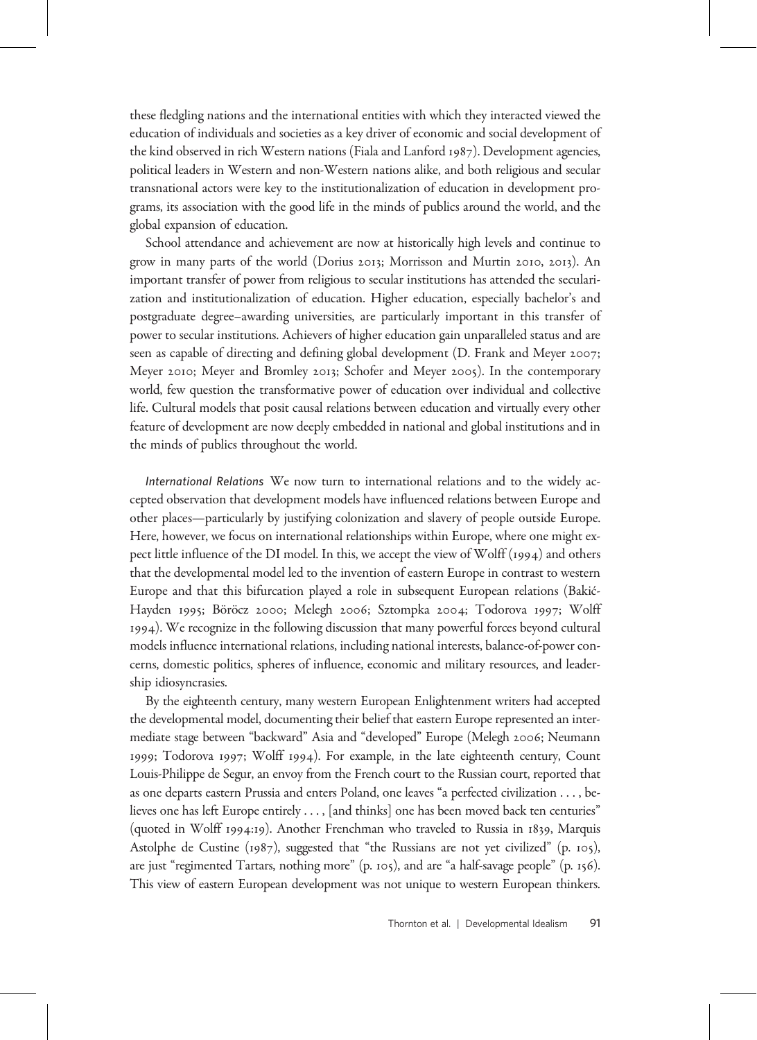these fledgling nations and the international entities with which they interacted viewed the education of individuals and societies as a key driver of economic and social development of the kind observed in rich Western nations (Fiala and Lanford 1987). Development agencies, political leaders in Western and non-Western nations alike, and both religious and secular transnational actors were key to the institutionalization of education in development programs, its association with the good life in the minds of publics around the world, and the global expansion of education.

School attendance and achievement are now at historically high levels and continue to grow in many parts of the world (Dorius 2013; Morrisson and Murtin 2010, 2013). An important transfer of power from religious to secular institutions has attended the secularization and institutionalization of education. Higher education, especially bachelor's and postgraduate degree–awarding universities, are particularly important in this transfer of power to secular institutions. Achievers of higher education gain unparalleled status and are seen as capable of directing and defining global development (D. Frank and Meyer 2007; Meyer 2010; Meyer and Bromley 2013; Schofer and Meyer 2005). In the contemporary world, few question the transformative power of education over individual and collective life. Cultural models that posit causal relations between education and virtually every other feature of development are now deeply embedded in national and global institutions and in the minds of publics throughout the world.

International Relations We now turn to international relations and to the widely accepted observation that development models have influenced relations between Europe and other places—particularly by justifying colonization and slavery of people outside Europe. Here, however, we focus on international relationships within Europe, where one might expect little influence of the DI model. In this, we accept the view of Wolff (1994) and others that the developmental model led to the invention of eastern Europe in contrast to western Europe and that this bifurcation played a role in subsequent European relations (Bakić-Hayden 1995; Böröcz 2000; Melegh 2006; Sztompka 2004; Todorova 1997; Wolff ). We recognize in the following discussion that many powerful forces beyond cultural models influence international relations, including national interests, balance-of-power concerns, domestic politics, spheres of influence, economic and military resources, and leadership idiosyncrasies.

By the eighteenth century, many western European Enlightenment writers had accepted the developmental model, documenting their belief that eastern Europe represented an intermediate stage between "backward" Asia and "developed" Europe (Melegh 2006; Neumann 1999; Todorova 1997; Wolff 1994). For example, in the late eighteenth century, Count Louis-Philippe de Segur, an envoy from the French court to the Russian court, reported that as one departs eastern Prussia and enters Poland, one leaves "a perfected civilization . . . , believes one has left Europe entirely . . . , [and thinks] one has been moved back ten centuries" (quoted in Wolff  $1994:19$ ). Another Frenchman who traveled to Russia in 1839, Marquis Astolphe de Custine  $(1987)$ , suggested that "the Russians are not yet civilized" (p. 105), are just "regimented Tartars, nothing more" (p. 105), and are "a half-savage people" (p. 156). This view of eastern European development was not unique to western European thinkers.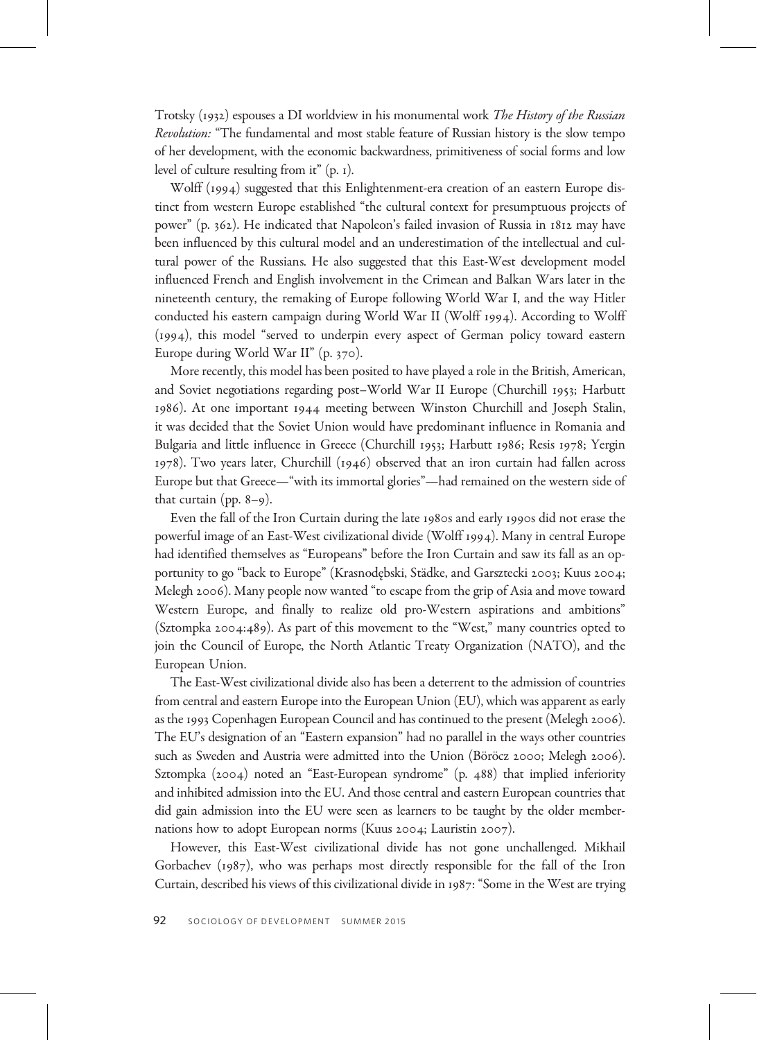Trotsky (1932) espouses a DI worldview in his monumental work *The History of the Russian* Revolution: "The fundamental and most stable feature of Russian history is the slow tempo of her development, with the economic backwardness, primitiveness of social forms and low level of culture resulting from it" (p. 1).

Wolff  $(1994)$  suggested that this Enlightenment-era creation of an eastern Europe distinct from western Europe established "the cultural context for presumptuous projects of power" (p. 362). He indicated that Napoleon's failed invasion of Russia in  $1812$  may have been influenced by this cultural model and an underestimation of the intellectual and cultural power of the Russians. He also suggested that this East-West development model influenced French and English involvement in the Crimean and Balkan Wars later in the nineteenth century, the remaking of Europe following World War I, and the way Hitler conducted his eastern campaign during World War II (Wolff 1994). According to Wolff (1994), this model "served to underpin every aspect of German policy toward eastern Europe during World War II" (p.  $370$ ).

More recently, this model has been posited to have played a role in the British, American, and Soviet negotiations regarding post–World War II Europe (Churchill 1953; Harbutt 1986). At one important 1944 meeting between Winston Churchill and Joseph Stalin, it was decided that the Soviet Union would have predominant influence in Romania and Bulgaria and little influence in Greece (Churchill 1953; Harbutt 1986; Resis 1978; Yergin 1978). Two years later, Churchill (1946) observed that an iron curtain had fallen across Europe but that Greece—"with its immortal glories"—had remained on the western side of that curtain (pp.  $8-9$ ).

Even the fall of the Iron Curtain during the late 1980s and early 1990s did not erase the powerful image of an East-West civilizational divide (Wolff 1994). Many in central Europe had identified themselves as "Europeans" before the Iron Curtain and saw its fall as an opportunity to go "back to Europe" (Krasnodębski, Städke, and Garsztecki 2003; Kuus 2004; Melegh 2006). Many people now wanted "to escape from the grip of Asia and move toward Western Europe, and finally to realize old pro-Western aspirations and ambitions" (Sztompka 2004:489). As part of this movement to the "West," many countries opted to join the Council of Europe, the North Atlantic Treaty Organization (NATO), and the European Union.

The East-West civilizational divide also has been a deterrent to the admission of countries from central and eastern Europe into the European Union (EU), which was apparent as early as the 1993 Copenhagen European Council and has continued to the present (Melegh 2006). The EU's designation of an "Eastern expansion" had no parallel in the ways other countries such as Sweden and Austria were admitted into the Union (Böröcz 2000; Melegh 2006). Sztompka (2004) noted an "East-European syndrome" (p. 488) that implied inferiority and inhibited admission into the EU. And those central and eastern European countries that did gain admission into the EU were seen as learners to be taught by the older membernations how to adopt European norms (Kuus 2004; Lauristin 2007).

However, this East-West civilizational divide has not gone unchallenged. Mikhail Gorbachev (1987), who was perhaps most directly responsible for the fall of the Iron Curtain, described his views of this civilizational divide in 1987: "Some in the West are trying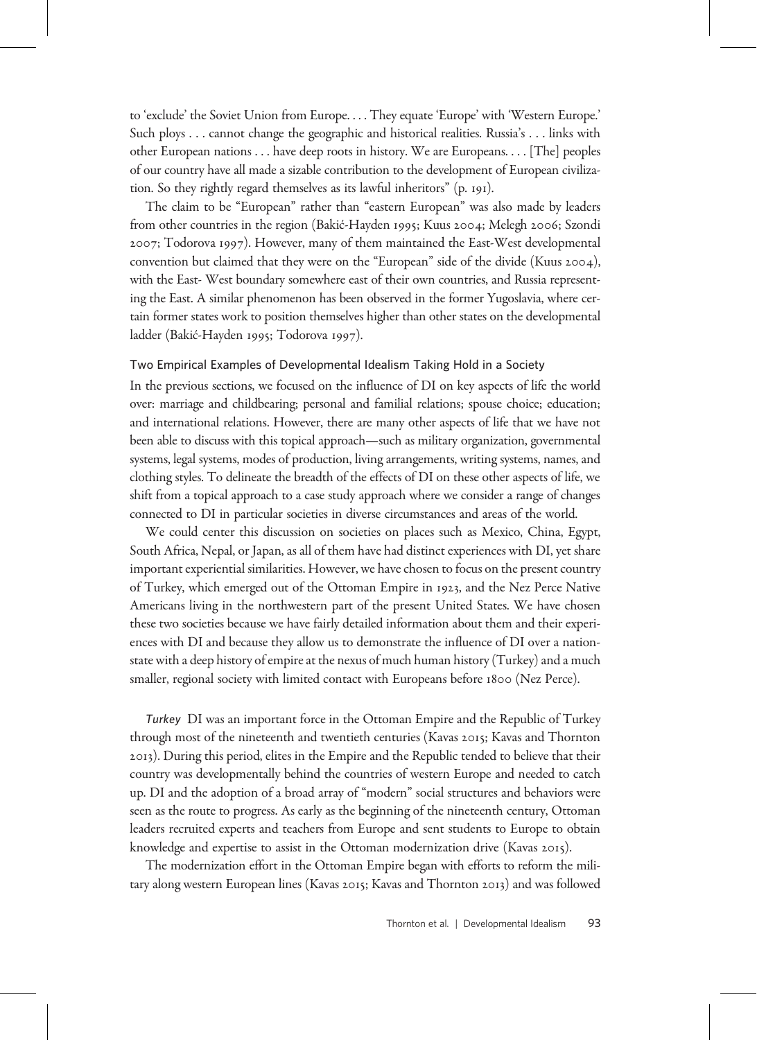to 'exclude' the Soviet Union from Europe. . . . They equate 'Europe' with 'Western Europe.' Such ploys . . . cannot change the geographic and historical realities. Russia's . . . links with other European nations . . . have deep roots in history. We are Europeans. . . . [The] peoples of our country have all made a sizable contribution to the development of European civilization. So they rightly regard themselves as its lawful inheritors" (p. 191).

The claim to be "European" rather than "eastern European" was also made by leaders from other countries in the region (Bakić-Hayden 1995; Kuus 2004; Melegh 2006; Szondi  $2007$ ; Todorova 1997). However, many of them maintained the East-West developmental convention but claimed that they were on the "European" side of the divide (Kuus 2004), with the East- West boundary somewhere east of their own countries, and Russia representing the East. A similar phenomenon has been observed in the former Yugoslavia, where certain former states work to position themselves higher than other states on the developmental ladder (Bakić-Hayden 1995; Todorova 1997).

# Two Empirical Examples of Developmental Idealism Taking Hold in a Society

In the previous sections, we focused on the influence of DI on key aspects of life the world over: marriage and childbearing; personal and familial relations; spouse choice; education; and international relations. However, there are many other aspects of life that we have not been able to discuss with this topical approach—such as military organization, governmental systems, legal systems, modes of production, living arrangements, writing systems, names, and clothing styles. To delineate the breadth of the effects of DI on these other aspects of life, we shift from a topical approach to a case study approach where we consider a range of changes connected to DI in particular societies in diverse circumstances and areas of the world.

We could center this discussion on societies on places such as Mexico, China, Egypt, South Africa, Nepal, or Japan, as all of them have had distinct experiences with DI, yet share important experiential similarities. However, we have chosen to focus on the present country of Turkey, which emerged out of the Ottoman Empire in 1923, and the Nez Perce Native Americans living in the northwestern part of the present United States. We have chosen these two societies because we have fairly detailed information about them and their experiences with DI and because they allow us to demonstrate the influence of DI over a nationstate with a deep history of empire at the nexus of much human history (Turkey) and a much smaller, regional society with limited contact with Europeans before 1800 (Nez Perce).

Turkey DI was an important force in the Ottoman Empire and the Republic of Turkey through most of the nineteenth and twentieth centuries (Kavas 2015; Kavas and Thornton ). During this period, elites in the Empire and the Republic tended to believe that their country was developmentally behind the countries of western Europe and needed to catch up. DI and the adoption of a broad array of "modern" social structures and behaviors were seen as the route to progress. As early as the beginning of the nineteenth century, Ottoman leaders recruited experts and teachers from Europe and sent students to Europe to obtain knowledge and expertise to assist in the Ottoman modernization drive (Kavas 2015).

The modernization effort in the Ottoman Empire began with efforts to reform the military along western European lines (Kavas 2015; Kavas and Thornton 2013) and was followed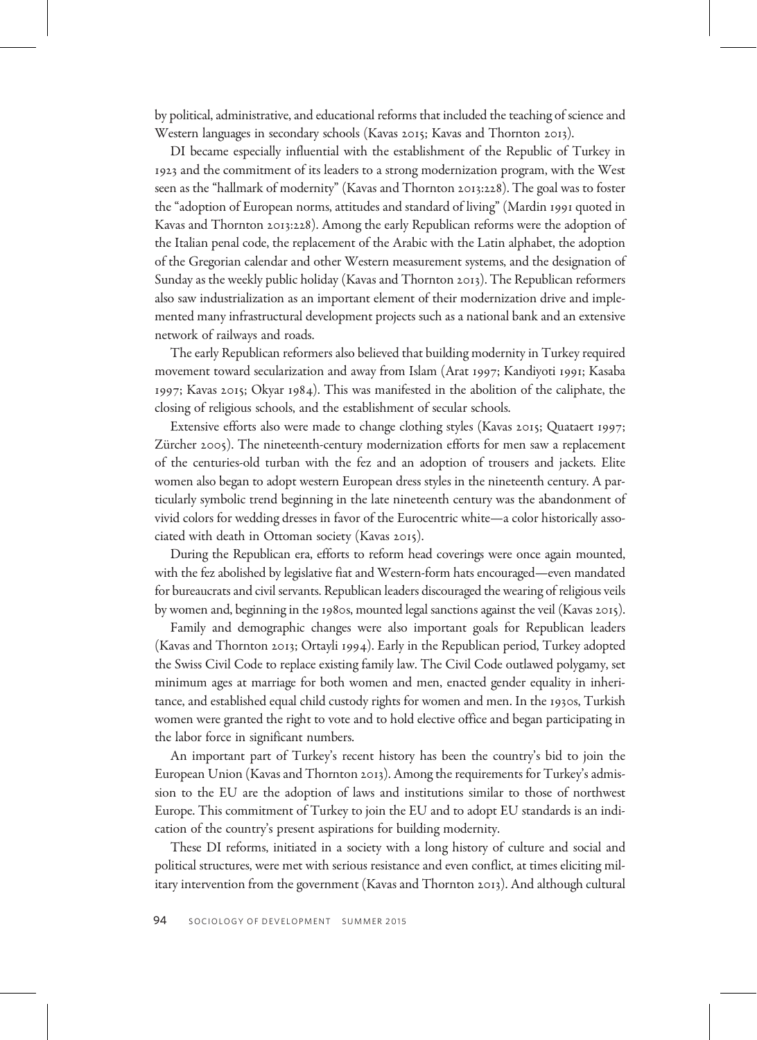by political, administrative, and educational reforms that included the teaching of science and Western languages in secondary schools (Kavas 2015; Kavas and Thornton 2013).

DI became especially influential with the establishment of the Republic of Turkey in 1923 and the commitment of its leaders to a strong modernization program, with the West seen as the "hallmark of modernity" (Kavas and Thornton 2013:228). The goal was to foster the "adoption of European norms, attitudes and standard of living" (Mardin 1991 quoted in Kavas and Thornton 2013:228). Among the early Republican reforms were the adoption of the Italian penal code, the replacement of the Arabic with the Latin alphabet, the adoption of the Gregorian calendar and other Western measurement systems, and the designation of Sunday as the weekly public holiday (Kavas and Thornton 2013). The Republican reformers also saw industrialization as an important element of their modernization drive and implemented many infrastructural development projects such as a national bank and an extensive network of railways and roads.

The early Republican reformers also believed that building modernity in Turkey required movement toward secularization and away from Islam (Arat 1997; Kandiyoti 1991; Kasaba 1997; Kavas 2015; Okyar 1984). This was manifested in the abolition of the caliphate, the closing of religious schools, and the establishment of secular schools.

Extensive efforts also were made to change clothing styles (Kavas 2015; Quataert 1997; Zürcher 2005). The nineteenth-century modernization efforts for men saw a replacement of the centuries-old turban with the fez and an adoption of trousers and jackets. Elite women also began to adopt western European dress styles in the nineteenth century. A particularly symbolic trend beginning in the late nineteenth century was the abandonment of vivid colors for wedding dresses in favor of the Eurocentric white—a color historically associated with death in Ottoman society (Kavas 2015).

During the Republican era, efforts to reform head coverings were once again mounted, with the fez abolished by legislative fiat and Western-form hats encouraged—even mandated for bureaucrats and civil servants. Republican leaders discouraged the wearing of religious veils by women and, beginning in the 1980s, mounted legal sanctions against the veil (Kavas  $2015$ ).

Family and demographic changes were also important goals for Republican leaders (Kavas and Thornton 2013; Ortayli 1994). Early in the Republican period, Turkey adopted the Swiss Civil Code to replace existing family law. The Civil Code outlawed polygamy, set minimum ages at marriage for both women and men, enacted gender equality in inheritance, and established equal child custody rights for women and men. In the 1930s, Turkish women were granted the right to vote and to hold elective office and began participating in the labor force in significant numbers.

An important part of Turkey's recent history has been the country's bid to join the European Union (Kavas and Thornton 2013). Among the requirements for Turkey's admission to the EU are the adoption of laws and institutions similar to those of northwest Europe. This commitment of Turkey to join the EU and to adopt EU standards is an indication of the country's present aspirations for building modernity.

These DI reforms, initiated in a society with a long history of culture and social and political structures, were met with serious resistance and even conflict, at times eliciting military intervention from the government (Kavas and Thornton 2013). And although cultural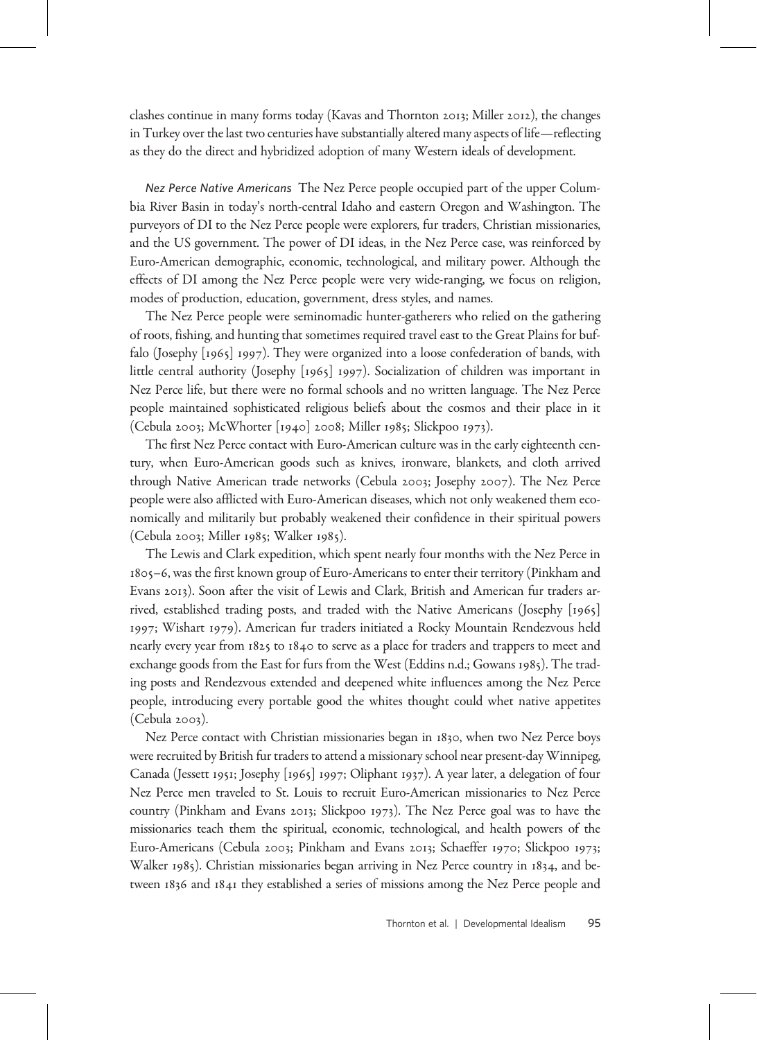clashes continue in many forms today (Kavas and Thornton 2013; Miller 2012), the changes in Turkey over the last two centuries have substantially altered many aspects of life—reflecting as they do the direct and hybridized adoption of many Western ideals of development.

Nez Perce Native Americans The Nez Perce people occupied part of the upper Columbia River Basin in today's north-central Idaho and eastern Oregon and Washington. The purveyors of DI to the Nez Perce people were explorers, fur traders, Christian missionaries, and the US government. The power of DI ideas, in the Nez Perce case, was reinforced by Euro-American demographic, economic, technological, and military power. Although the effects of DI among the Nez Perce people were very wide-ranging, we focus on religion, modes of production, education, government, dress styles, and names.

The Nez Perce people were seminomadic hunter-gatherers who relied on the gathering of roots, fishing, and hunting that sometimes required travel east to the Great Plains for buffalo (Josephy  $\lceil 1965 \rceil$  1997). They were organized into a loose confederation of bands, with little central authority (Josephy  $\lceil 1965 \rceil 1997$ ). Socialization of children was important in Nez Perce life, but there were no formal schools and no written language. The Nez Perce people maintained sophisticated religious beliefs about the cosmos and their place in it (Cebula 2003; McWhorter  $[1940]$  2008; Miller 1985; Slickpoo 1973).

The first Nez Perce contact with Euro-American culture was in the early eighteenth century, when Euro-American goods such as knives, ironware, blankets, and cloth arrived through Native American trade networks (Cebula 2003; Josephy 2007). The Nez Perce people were also afflicted with Euro-American diseases, which not only weakened them economically and militarily but probably weakened their confidence in their spiritual powers (Cebula 2003; Miller 1985; Walker 1985).

The Lewis and Clark expedition, which spent nearly four months with the Nez Perce in 1805-6, was the first known group of Euro-Americans to enter their territory (Pinkham and Evans 2013). Soon after the visit of Lewis and Clark, British and American fur traders arrived, established trading posts, and traded with the Native Americans (Josephy [1965] ; Wishart ). American fur traders initiated a Rocky Mountain Rendezvous held nearly every year from  $1825$  to  $1840$  to serve as a place for traders and trappers to meet and exchange goods from the East for furs from the West (Eddins n.d.; Gowans 1985). The trading posts and Rendezvous extended and deepened white influences among the Nez Perce people, introducing every portable good the whites thought could whet native appetites  $(Cebula 2003)$ .

Nez Perce contact with Christian missionaries began in 1830, when two Nez Perce boys were recruited by British fur traders to attend a missionary school near present-day Winnipeg, Canada (Jessett 1951; Josephy [1965] 1997; Oliphant 1937). A year later, a delegation of four Nez Perce men traveled to St. Louis to recruit Euro-American missionaries to Nez Perce country (Pinkham and Evans 2013; Slickpoo 1973). The Nez Perce goal was to have the missionaries teach them the spiritual, economic, technological, and health powers of the Euro-Americans (Cebula 2003; Pinkham and Evans 2013; Schaeffer 1970; Slickpoo 1973; Walker 1985). Christian missionaries began arriving in Nez Perce country in 1834, and between 1836 and 1841 they established a series of missions among the Nez Perce people and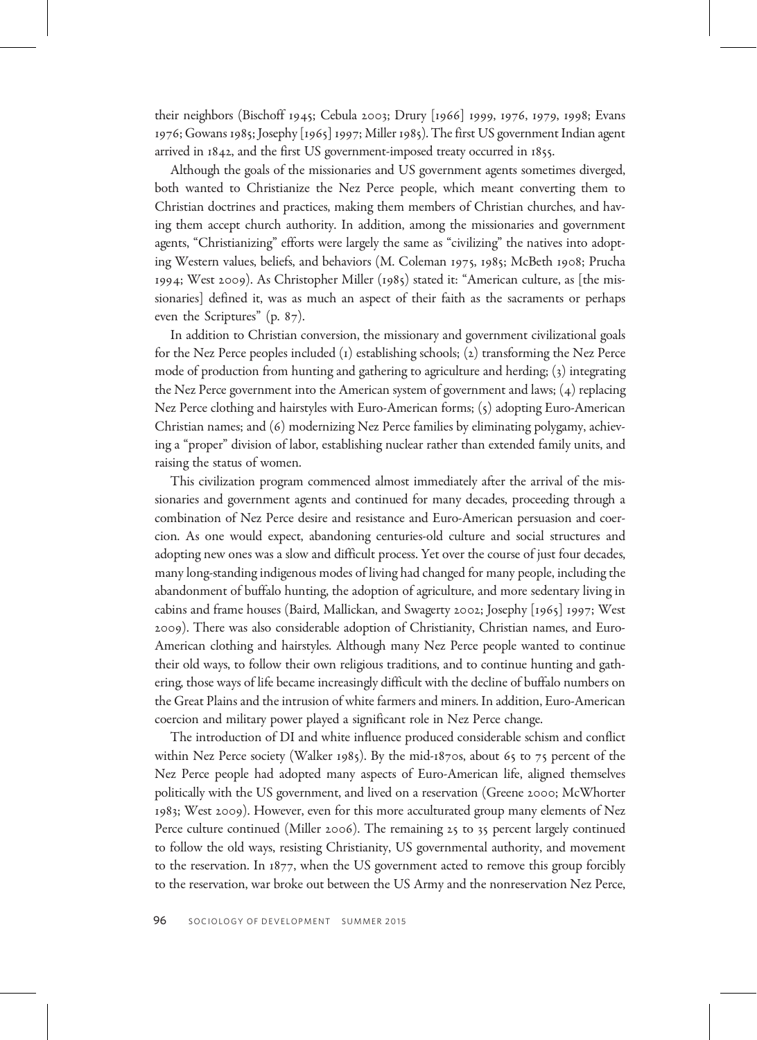their neighbors (Bischoff 1945; Cebula 2003; Drury [1966] 1999, 1976, 1979, 1998; Evans 1976; Gowans 1985; Josephy [1965] 1997; Miller 1985). The first US government Indian agent arrived in  $1842$ , and the first US government-imposed treaty occurred in  $1855$ .

Although the goals of the missionaries and US government agents sometimes diverged, both wanted to Christianize the Nez Perce people, which meant converting them to Christian doctrines and practices, making them members of Christian churches, and having them accept church authority. In addition, among the missionaries and government agents, "Christianizing" efforts were largely the same as "civilizing" the natives into adopting Western values, beliefs, and behaviors (M. Coleman 1975, 1985; McBeth 1908; Prucha 1994; West 2009). As Christopher Miller (1985) stated it: "American culture, as [the missionaries] defined it, was as much an aspect of their faith as the sacraments or perhaps even the Scriptures" (p.  $87$ ).

In addition to Christian conversion, the missionary and government civilizational goals for the Nez Perce peoples included  $(i)$  establishing schools;  $(z)$  transforming the Nez Perce mode of production from hunting and gathering to agriculture and herding;  $(3)$  integrating the Nez Perce government into the American system of government and laws;  $(4)$  replacing Nez Perce clothing and hairstyles with Euro-American forms;  $(5)$  adopting Euro-American Christian names; and  $(6)$  modernizing Nez Perce families by eliminating polygamy, achieving a "proper" division of labor, establishing nuclear rather than extended family units, and raising the status of women.

This civilization program commenced almost immediately after the arrival of the missionaries and government agents and continued for many decades, proceeding through a combination of Nez Perce desire and resistance and Euro-American persuasion and coercion. As one would expect, abandoning centuries-old culture and social structures and adopting new ones was a slow and difficult process. Yet over the course of just four decades, many long-standing indigenous modes of living had changed for many people, including the abandonment of buffalo hunting, the adoption of agriculture, and more sedentary living in cabins and frame houses (Baird, Mallickan, and Swagerty 2002; Josephy [1965] 1997; West ). There was also considerable adoption of Christianity, Christian names, and Euro-American clothing and hairstyles. Although many Nez Perce people wanted to continue their old ways, to follow their own religious traditions, and to continue hunting and gathering, those ways of life became increasingly difficult with the decline of buffalo numbers on the Great Plains and the intrusion of white farmers and miners. In addition, Euro-American coercion and military power played a significant role in Nez Perce change.

The introduction of DI and white influence produced considerable schism and conflict within Nez Perce society (Walker 1985). By the mid-1870s, about 65 to 75 percent of the Nez Perce people had adopted many aspects of Euro-American life, aligned themselves politically with the US government, and lived on a reservation (Greene 2000; McWhorter 1983; West 2009). However, even for this more acculturated group many elements of Nez Perce culture continued (Miller 2006). The remaining  $25$  to  $35$  percent largely continued to follow the old ways, resisting Christianity, US governmental authority, and movement to the reservation. In  $1877$ , when the US government acted to remove this group forcibly to the reservation, war broke out between the US Army and the nonreservation Nez Perce,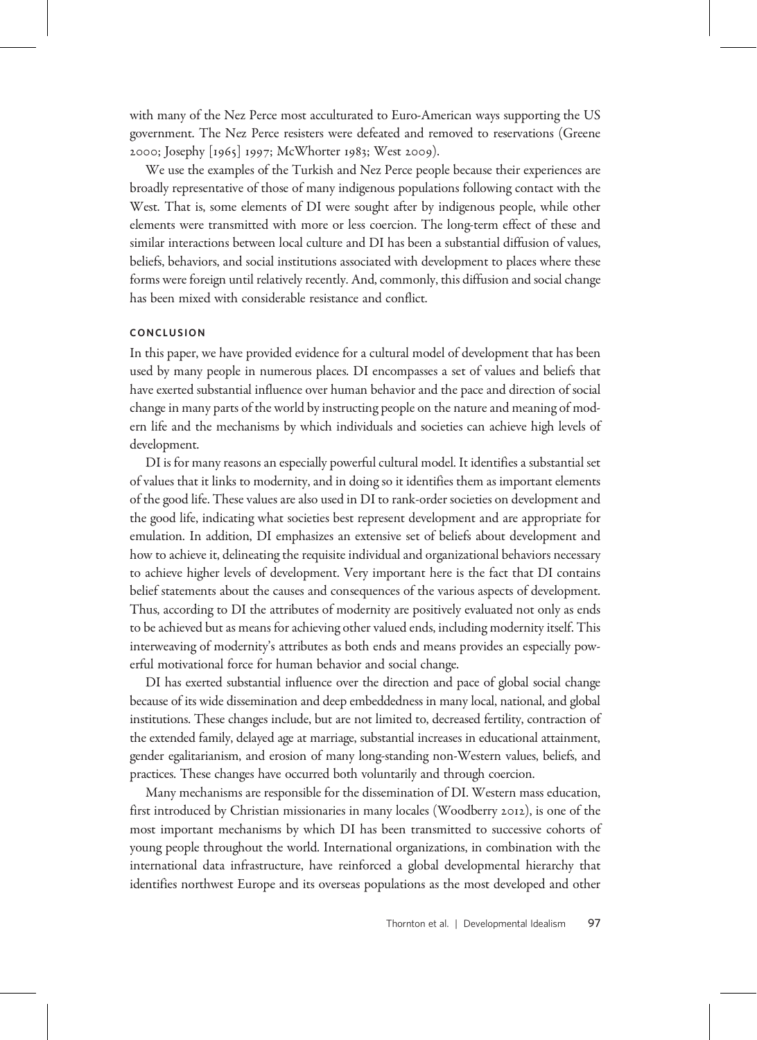with many of the Nez Perce most acculturated to Euro-American ways supporting the US government. The Nez Perce resisters were defeated and removed to reservations (Greene 2000; Josephy [1965] 1997; McWhorter 1983; West 2009).

We use the examples of the Turkish and Nez Perce people because their experiences are broadly representative of those of many indigenous populations following contact with the West. That is, some elements of DI were sought after by indigenous people, while other elements were transmitted with more or less coercion. The long-term effect of these and similar interactions between local culture and DI has been a substantial diffusion of values, beliefs, behaviors, and social institutions associated with development to places where these forms were foreign until relatively recently. And, commonly, this diffusion and social change has been mixed with considerable resistance and conflict.

#### CONCLUSION

In this paper, we have provided evidence for a cultural model of development that has been used by many people in numerous places. DI encompasses a set of values and beliefs that have exerted substantial influence over human behavior and the pace and direction of social change in many parts of the world by instructing people on the nature and meaning of modern life and the mechanisms by which individuals and societies can achieve high levels of development.

DI is for many reasons an especially powerful cultural model. It identifies a substantial set of values that it links to modernity, and in doing so it identifies them as important elements of the good life. These values are also used in DI to rank-order societies on development and the good life, indicating what societies best represent development and are appropriate for emulation. In addition, DI emphasizes an extensive set of beliefs about development and how to achieve it, delineating the requisite individual and organizational behaviors necessary to achieve higher levels of development. Very important here is the fact that DI contains belief statements about the causes and consequences of the various aspects of development. Thus, according to DI the attributes of modernity are positively evaluated not only as ends to be achieved but as means for achieving other valued ends, including modernity itself. This interweaving of modernity's attributes as both ends and means provides an especially powerful motivational force for human behavior and social change.

DI has exerted substantial influence over the direction and pace of global social change because of its wide dissemination and deep embeddedness in many local, national, and global institutions. These changes include, but are not limited to, decreased fertility, contraction of the extended family, delayed age at marriage, substantial increases in educational attainment, gender egalitarianism, and erosion of many long-standing non-Western values, beliefs, and practices. These changes have occurred both voluntarily and through coercion.

Many mechanisms are responsible for the dissemination of DI. Western mass education, first introduced by Christian missionaries in many locales (Woodberry 2012), is one of the most important mechanisms by which DI has been transmitted to successive cohorts of young people throughout the world. International organizations, in combination with the international data infrastructure, have reinforced a global developmental hierarchy that identifies northwest Europe and its overseas populations as the most developed and other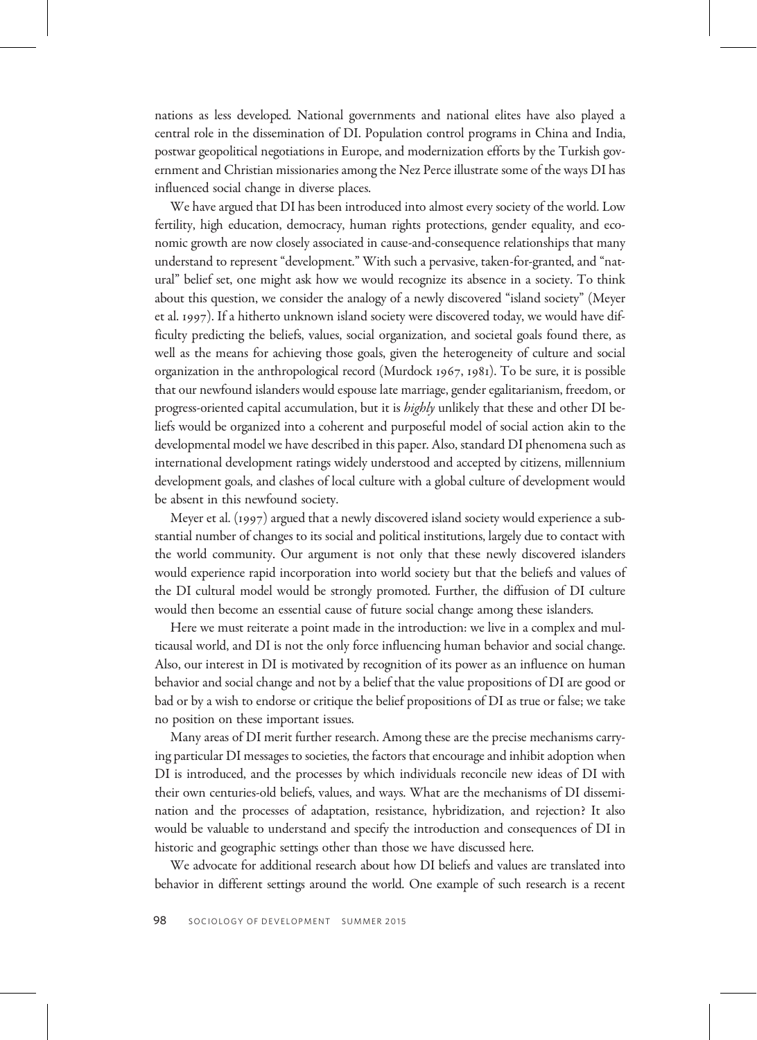nations as less developed. National governments and national elites have also played a central role in the dissemination of DI. Population control programs in China and India, postwar geopolitical negotiations in Europe, and modernization efforts by the Turkish government and Christian missionaries among the Nez Perce illustrate some of the ways DI has influenced social change in diverse places.

We have argued that DI has been introduced into almost every society of the world. Low fertility, high education, democracy, human rights protections, gender equality, and economic growth are now closely associated in cause-and-consequence relationships that many understand to represent "development." With such a pervasive, taken-for-granted, and "natural" belief set, one might ask how we would recognize its absence in a society. To think about this question, we consider the analogy of a newly discovered "island society" (Meyer et al. 1997). If a hitherto unknown island society were discovered today, we would have difficulty predicting the beliefs, values, social organization, and societal goals found there, as well as the means for achieving those goals, given the heterogeneity of culture and social organization in the anthropological record (Murdock 1967, 1981). To be sure, it is possible that our newfound islanders would espouse late marriage, gender egalitarianism, freedom, or progress-oriented capital accumulation, but it is highly unlikely that these and other DI beliefs would be organized into a coherent and purposeful model of social action akin to the developmental model we have described in this paper. Also, standard DI phenomena such as international development ratings widely understood and accepted by citizens, millennium development goals, and clashes of local culture with a global culture of development would be absent in this newfound society.

Meyer et al. (1997) argued that a newly discovered island society would experience a substantial number of changes to its social and political institutions, largely due to contact with the world community. Our argument is not only that these newly discovered islanders would experience rapid incorporation into world society but that the beliefs and values of the DI cultural model would be strongly promoted. Further, the diffusion of DI culture would then become an essential cause of future social change among these islanders.

Here we must reiterate a point made in the introduction: we live in a complex and multicausal world, and DI is not the only force influencing human behavior and social change. Also, our interest in DI is motivated by recognition of its power as an influence on human behavior and social change and not by a belief that the value propositions of DI are good or bad or by a wish to endorse or critique the belief propositions of DI as true or false; we take no position on these important issues.

Many areas of DI merit further research. Among these are the precise mechanisms carrying particular DI messages to societies, the factors that encourage and inhibit adoption when DI is introduced, and the processes by which individuals reconcile new ideas of DI with their own centuries-old beliefs, values, and ways. What are the mechanisms of DI dissemination and the processes of adaptation, resistance, hybridization, and rejection? It also would be valuable to understand and specify the introduction and consequences of DI in historic and geographic settings other than those we have discussed here.

We advocate for additional research about how DI beliefs and values are translated into behavior in different settings around the world. One example of such research is a recent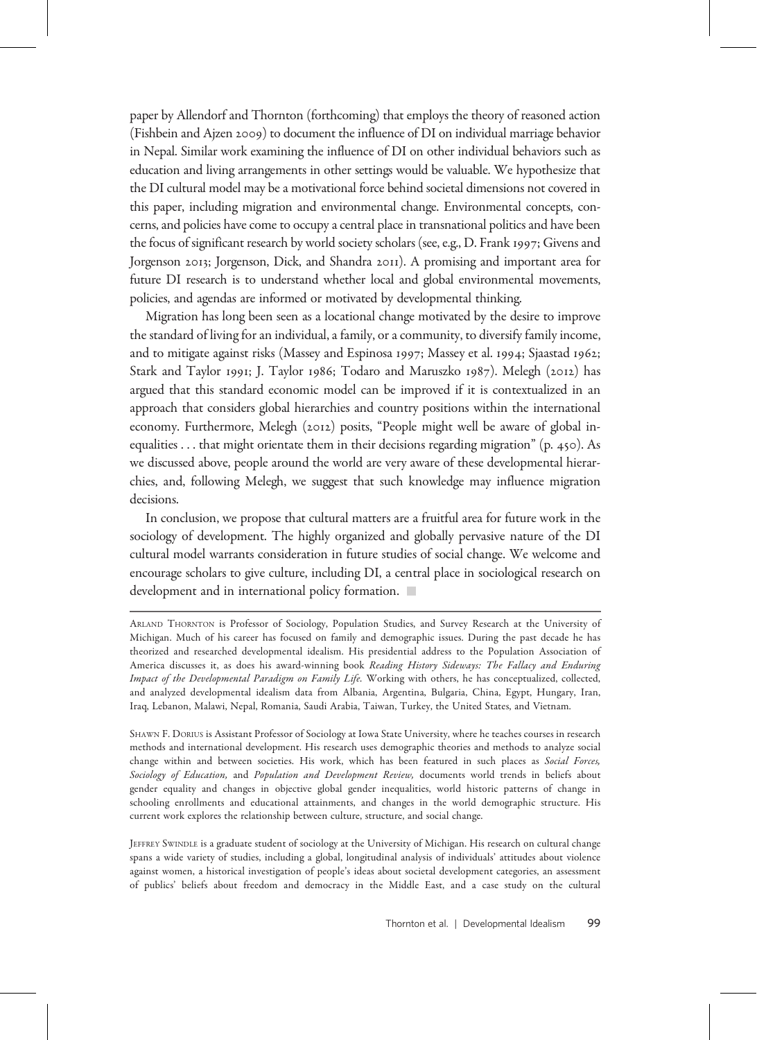paper by Allendorf and Thornton (forthcoming) that employs the theory of reasoned action (Fishbein and Ajzen 2009) to document the influence of DI on individual marriage behavior in Nepal. Similar work examining the influence of DI on other individual behaviors such as education and living arrangements in other settings would be valuable. We hypothesize that the DI cultural model may be a motivational force behind societal dimensions not covered in this paper, including migration and environmental change. Environmental concepts, concerns, and policies have come to occupy a central place in transnational politics and have been the focus of significant research by world society scholars (see, e.g., D. Frank 1997; Givens and Jorgenson 2013; Jorgenson, Dick, and Shandra 2011). A promising and important area for future DI research is to understand whether local and global environmental movements, policies, and agendas are informed or motivated by developmental thinking.

Migration has long been seen as a locational change motivated by the desire to improve the standard of living for an individual, a family, or a community, to diversify family income, and to mitigate against risks (Massey and Espinosa 1997; Massey et al. 1994; Sjaastad 1962; Stark and Taylor 1991; J. Taylor 1986; Todaro and Maruszko 1987). Melegh (2012) has argued that this standard economic model can be improved if it is contextualized in an approach that considers global hierarchies and country positions within the international economy. Furthermore, Melegh (2012) posits, "People might well be aware of global inequalities  $\dots$  that might orientate them in their decisions regarding migration" (p. 450). As we discussed above, people around the world are very aware of these developmental hierarchies, and, following Melegh, we suggest that such knowledge may influence migration decisions.

In conclusion, we propose that cultural matters are a fruitful area for future work in the sociology of development. The highly organized and globally pervasive nature of the DI cultural model warrants consideration in future studies of social change. We welcome and encourage scholars to give culture, including DI, a central place in sociological research on development and in international policy formation.

SHAWN F. DORIUS is Assistant Professor of Sociology at Iowa State University, where he teaches courses in research methods and international development. His research uses demographic theories and methods to analyze social change within and between societies. His work, which has been featured in such places as Social Forces, Sociology of Education, and Population and Development Review, documents world trends in beliefs about gender equality and changes in objective global gender inequalities, world historic patterns of change in schooling enrollments and educational attainments, and changes in the world demographic structure. His current work explores the relationship between culture, structure, and social change.

JEFFREY SWINDLE is a graduate student of sociology at the University of Michigan. His research on cultural change spans a wide variety of studies, including a global, longitudinal analysis of individuals' attitudes about violence against women, a historical investigation of people's ideas about societal development categories, an assessment of publics' beliefs about freedom and democracy in the Middle East, and a case study on the cultural

ARLAND THORNTON is Professor of Sociology, Population Studies, and Survey Research at the University of Michigan. Much of his career has focused on family and demographic issues. During the past decade he has theorized and researched developmental idealism. His presidential address to the Population Association of America discusses it, as does his award-winning book Reading History Sideways: The Fallacy and Enduring Impact of the Developmental Paradigm on Family Life. Working with others, he has conceptualized, collected, and analyzed developmental idealism data from Albania, Argentina, Bulgaria, China, Egypt, Hungary, Iran, Iraq, Lebanon, Malawi, Nepal, Romania, Saudi Arabia, Taiwan, Turkey, the United States, and Vietnam.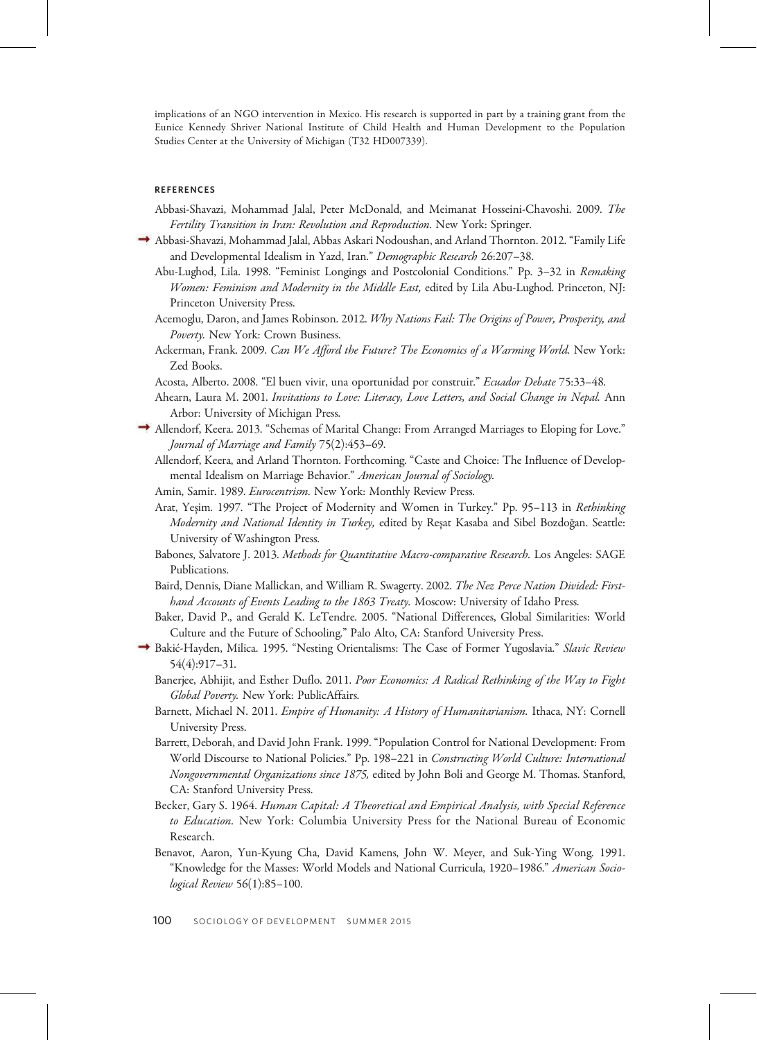implications of an NGO intervention in Mexico. His research is supported in part by a training grant from the Eunice Kennedy Shriver National Institute of Child Health and Human Development to the Population Studies Center at the University of Michigan (T32 HD007339).

#### **REFERENCES**

- Abbasi-Shavazi, Mohammad Jalal, Peter McDonald, and Meimanat Hosseini-Chavoshi. 2009. The Fertility Transition in Iran: Revolution and Reproduction. New York: Springer.
- Abbasi-Shavazi, Mohammad Jalal, Abbas Askari Nodoushan, and Arland Thornton. 2012. "Family Life and Developmental Idealism in Yazd, Iran." Demographic Research 26:207-38.
	- Abu-Lughod, Lila. 1998. "Feminist Longings and Postcolonial Conditions." Pp. 3–32 in Remaking Women: Feminism and Modernity in the Middle East, edited by Lila Abu-Lughod. Princeton, NJ: Princeton University Press.
	- Acemoglu, Daron, and James Robinson. 2012. Why Nations Fail: The Origins of Power, Prosperity, and Poverty. New York: Crown Business.
	- Ackerman, Frank. 2009. Can We Afford the Future? The Economics of a Warming World. New York: Zed Books.
	- Acosta, Alberto. 2008. "El buen vivir, una oportunidad por construir." Ecuador Debate 75:33–48.
	- Ahearn, Laura M. 2001. Invitations to Love: Literacy, Love Letters, and Social Change in Nepal. Ann Arbor: University of Michigan Press.
- Allendorf, Keera. 2013. "Schemas of Marital Change: From Arranged Marriages to Eloping for Love." Journal of Marriage and Family 75(2):453–69.
	- Allendorf, Keera, and Arland Thornton. Forthcoming. "Caste and Choice: The Influence of Developmental Idealism on Marriage Behavior." American Journal of Sociology.
	- Amin, Samir. 1989. Eurocentrism. New York: Monthly Review Press.
	- Arat, Yeşim. 1997. "The Project of Modernity and Women in Turkey." Pp. 95–113 in Rethinking Modernity and National Identity in Turkey, edited by Reşat Kasaba and Sibel Bozdoğan. Seattle: University of Washington Press.
	- Babones, Salvatore J. 2013. Methods for Quantitative Macro-comparative Research. Los Angeles: SAGE Publications.
	- Baird, Dennis, Diane Mallickan, and William R. Swagerty. 2002. The Nez Perce Nation Divided: Firsthand Accounts of Events Leading to the 1863 Treaty. Moscow: University of Idaho Press.
	- Baker, David P., and Gerald K. LeTendre. 2005. "National Differences, Global Similarities: World Culture and the Future of Schooling." Palo Alto, CA: Stanford University Press.
- Bakić-Hayden, Milica. 1995. "Nesting Orientalisms: The Case of Former Yugoslavia." Slavic Review 54(4):917–31.
	- Banerjee, Abhijit, and Esther Duflo. 2011. Poor Economics: A Radical Rethinking of the Way to Fight Global Poverty. New York: PublicAffairs.
	- Barnett, Michael N. 2011. Empire of Humanity: A History of Humanitarianism. Ithaca, NY: Cornell University Press.
	- Barrett, Deborah, and David John Frank. 1999. "Population Control for National Development: From World Discourse to National Policies." Pp. 198–221 in Constructing World Culture: International Nongovernmental Organizations since 1875, edited by John Boli and George M. Thomas. Stanford, CA: Stanford University Press.
	- Becker, Gary S. 1964. Human Capital: A Theoretical and Empirical Analysis, with Special Reference to Education. New York: Columbia University Press for the National Bureau of Economic Research.
	- Benavot, Aaron, Yun-Kyung Cha, David Kamens, John W. Meyer, and Suk-Ying Wong. 1991. "Knowledge for the Masses: World Models and National Curricula, 1920–1986." American Sociological Review 56(1):85–100.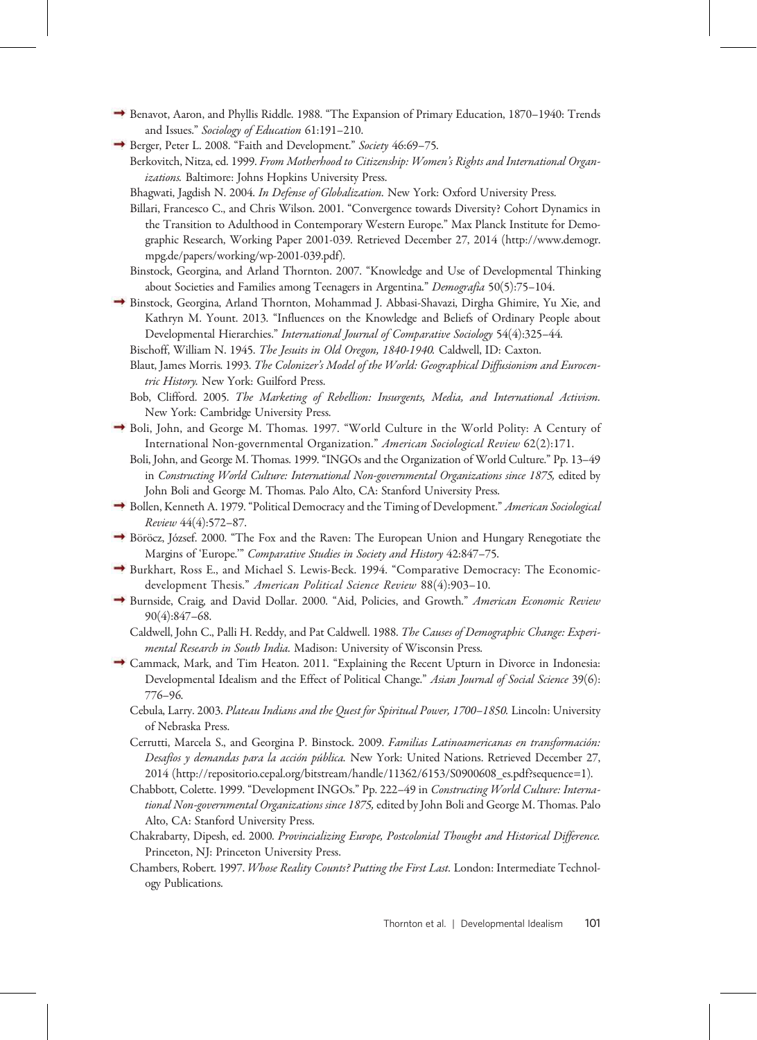- Benavot, Aaron, and Phyllis Riddle. 1988. "The Expansion of Primary Education, 1870–1940: Trends and Issues." Sociology of Education 61:191–210.
- Berger, Peter L. 2008. "Faith and Development." Society 46:69-75. Berkovitch, Nitza, ed. 1999. From Motherhood to Citizenship: Women's Rights and International Organizations. Baltimore: Johns Hopkins University Press.
	- Bhagwati, Jagdish N. 2004. In Defense of Globalization. New York: Oxford University Press.
	- Billari, Francesco C., and Chris Wilson. 2001. "Convergence towards Diversity? Cohort Dynamics in the Transition to Adulthood in Contemporary Western Europe." Max Planck Institute for Demographic Research, Working Paper 2001-039. Retrieved December 27, 2014 (http://www.demogr. mpg.de/papers/working/wp-2001-039.pdf).
	- Binstock, Georgina, and Arland Thornton. 2007. "Knowledge and Use of Developmental Thinking about Societies and Families among Teenagers in Argentina." Demografia 50(5):75-104.
- Binstock, Georgina, Arland Thornton, Mohammad J. Abbasi-Shavazi, Dirgha Ghimire, Yu Xie, and Kathryn M. Yount. 2013. "Influences on the Knowledge and Beliefs of Ordinary People about Developmental Hierarchies." International Journal of Comparative Sociology 54(4):325–44.
	- Bischoff, William N. 1945. The Jesuits in Old Oregon, 1840-1940. Caldwell, ID: Caxton.
	- Blaut, James Morris. 1993. The Colonizer's Model of the World: Geographical Diffusionism and Eurocentric History. New York: Guilford Press.
	- Bob, Clifford. 2005. The Marketing of Rebellion: Insurgents, Media, and International Activism. New York: Cambridge University Press.
- Boli, John, and George M. Thomas. 1997. "World Culture in the World Polity: A Century of International Non-governmental Organization." American Sociological Review 62(2):171.
	- Boli, John, and George M. Thomas. 1999. "INGOs and the Organization of World Culture." Pp. 13–49 in Constructing World Culture: International Non-governmental Organizations since 1875, edited by John Boli and George M. Thomas. Palo Alto, CA: Stanford University Press.
- $\rightarrow$  Bollen, Kenneth A. 1979. "Political Democracy and the Timing of Development." American Sociological Review 44(4):572–87.
- Böröcz, József. 2000. "The Fox and the Raven: The European Union and Hungary Renegotiate the Margins of 'Europe.'" Comparative Studies in Society and History 42:847–75.
- Burkhart, Ross E., and Michael S. Lewis-Beck. 1994. "Comparative Democracy: The Economicdevelopment Thesis." American Political Science Review 88(4):903–10.
- Burnside, Craig, and David Dollar. 2000. "Aid, Policies, and Growth." American Economic Review 90(4):847–68.
	- Caldwell, John C., Palli H. Reddy, and Pat Caldwell. 1988. The Causes of Demographic Change: Experimental Research in South India. Madison: University of Wisconsin Press.
- Cammack, Mark, and Tim Heaton. 2011. "Explaining the Recent Upturn in Divorce in Indonesia: Developmental Idealism and the Effect of Political Change." Asian Journal of Social Science 39(6): 776–96.
	- Cebula, Larry. 2003. Plateau Indians and the Quest for Spiritual Power, 1700–1850. Lincoln: University of Nebraska Press.
	- Cerrutti, Marcela S., and Georgina P. Binstock. 2009. Familias Latinoamericanas en transformación: Desafíos y demandas para la acción pública. New York: United Nations. Retrieved December 27, 2014 (http://repositorio.cepal.org/bitstream/handle/11362/6153/S0900608\_es.pdf?sequence=1).
	- Chabbott, Colette. 1999. "Development INGOs." Pp. 222–49 in Constructing World Culture: International Non-governmental Organizations since 1875, edited by John Boli and George M. Thomas. Palo Alto, CA: Stanford University Press.
	- Chakrabarty, Dipesh, ed. 2000. Provincializing Europe, Postcolonial Thought and Historical Difference. Princeton, NJ: Princeton University Press.
	- Chambers, Robert. 1997. Whose Reality Counts? Putting the First Last. London: Intermediate Technology Publications.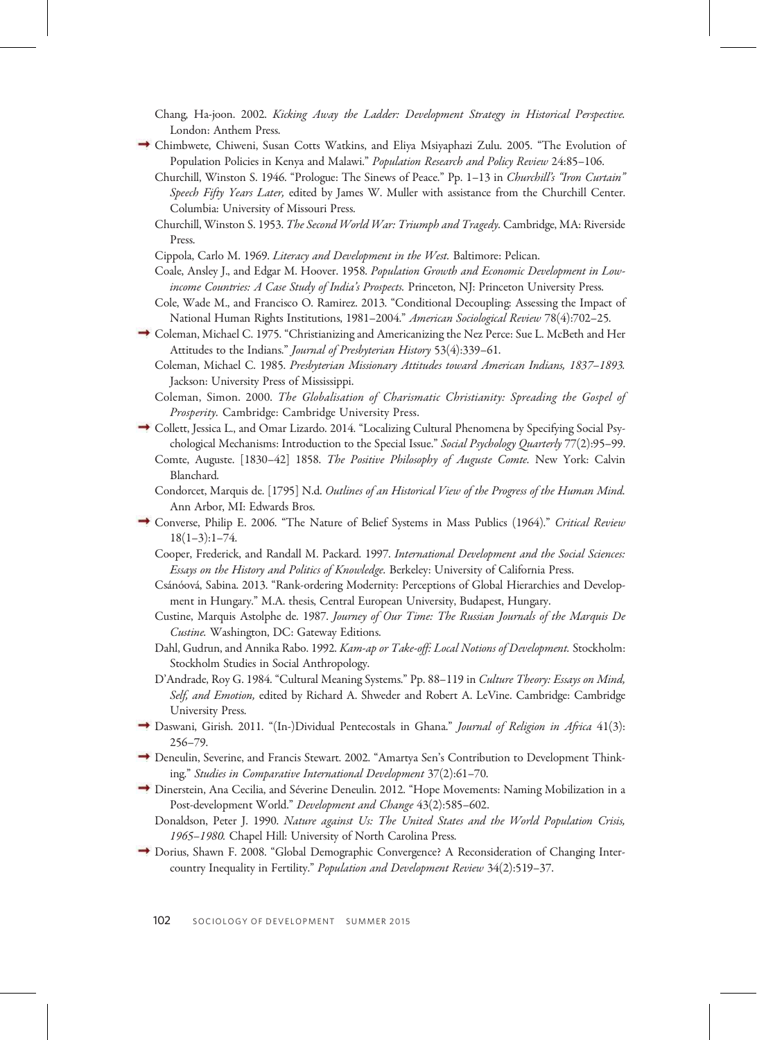- Chang, Ha-joon. 2002. Kicking Away the Ladder: Development Strategy in Historical Perspective. London: Anthem Press.
- Chimbwete, Chiweni, Susan Cotts Watkins, and Eliya Msiyaphazi Zulu. 2005. "The Evolution of Population Policies in Kenya and Malawi." Population Research and Policy Review 24:85–106.
	- Churchill, Winston S. 1946. "Prologue: The Sinews of Peace." Pp. 1–13 in Churchill's "Iron Curtain" Speech Fifty Years Later, edited by James W. Muller with assistance from the Churchill Center. Columbia: University of Missouri Press.
	- Churchill, Winston S. 1953. The Second World War: Triumph and Tragedy. Cambridge, MA: Riverside Press.
	- Cippola, Carlo M. 1969. Literacy and Development in the West. Baltimore: Pelican.
	- Coale, Ansley J., and Edgar M. Hoover. 1958. Population Growth and Economic Development in Lowincome Countries: A Case Study of India's Prospects. Princeton, NJ: Princeton University Press.
	- Cole, Wade M., and Francisco O. Ramirez. 2013. "Conditional Decoupling: Assessing the Impact of National Human Rights Institutions, 1981–2004." American Sociological Review 78(4):702–25.
- Coleman, Michael C. 1975. "Christianizing and Americanizing the Nez Perce: Sue L. McBeth and Her Attitudes to the Indians." Journal of Presbyterian History 53(4):339-61.
	- Coleman, Michael C. 1985. Presbyterian Missionary Attitudes toward American Indians, 1837–1893. Jackson: University Press of Mississippi.
	- Coleman, Simon. 2000. The Globalisation of Charismatic Christianity: Spreading the Gospel of Prosperity. Cambridge: Cambridge University Press.
- Collett, Jessica L., and Omar Lizardo. 2014. "Localizing Cultural Phenomena by Specifying Social Psychological Mechanisms: Introduction to the Special Issue." Social Psychology Quarterly 77(2):95-99.
	- Comte, Auguste. [1830–42] 1858. The Positive Philosophy of Auguste Comte. New York: Calvin Blanchard.
	- Condorcet, Marquis de. [1795] N.d. Outlines of an Historical View of the Progress of the Human Mind. Ann Arbor, MI: Edwards Bros.
- Converse, Philip E. 2006. "The Nature of Belief Systems in Mass Publics (1964)." Critical Review  $18(1-3):1-74.$ 
	- Cooper, Frederick, and Randall M. Packard. 1997. International Development and the Social Sciences: Essays on the History and Politics of Knowledge. Berkeley: University of California Press.
	- Csánóová, Sabina. 2013. "Rank-ordering Modernity: Perceptions of Global Hierarchies and Development in Hungary." M.A. thesis, Central European University, Budapest, Hungary.
	- Custine, Marquis Astolphe de. 1987. Journey of Our Time: The Russian Journals of the Marquis De Custine. Washington, DC: Gateway Editions.
	- Dahl, Gudrun, and Annika Rabo. 1992. Kam-ap or Take-off: Local Notions of Development. Stockholm: Stockholm Studies in Social Anthropology.
	- D'Andrade, Roy G. 1984. "Cultural Meaning Systems." Pp. 88-119 in Culture Theory: Essays on Mind, Self, and Emotion, edited by Richard A. Shweder and Robert A. LeVine. Cambridge: Cambridge University Press.
- → Daswani, Girish. 2011. "(In-)Dividual Pentecostals in Ghana." Journal of Religion in Africa 41(3): 256–79.
- Deneulin, Severine, and Francis Stewart. 2002. "Amartya Sen's Contribution to Development Thinking." Studies in Comparative International Development 37(2):61–70.
- → Dinerstein, Ana Cecilia, and Séverine Deneulin. 2012. "Hope Movements: Naming Mobilization in a Post-development World." Development and Change 43(2):585–602.
	- Donaldson, Peter J. 1990. Nature against Us: The United States and the World Population Crisis, 1965–1980. Chapel Hill: University of North Carolina Press.
- Dorius, Shawn F. 2008. "Global Demographic Convergence? A Reconsideration of Changing Intercountry Inequality in Fertility." Population and Development Review 34(2):519–37.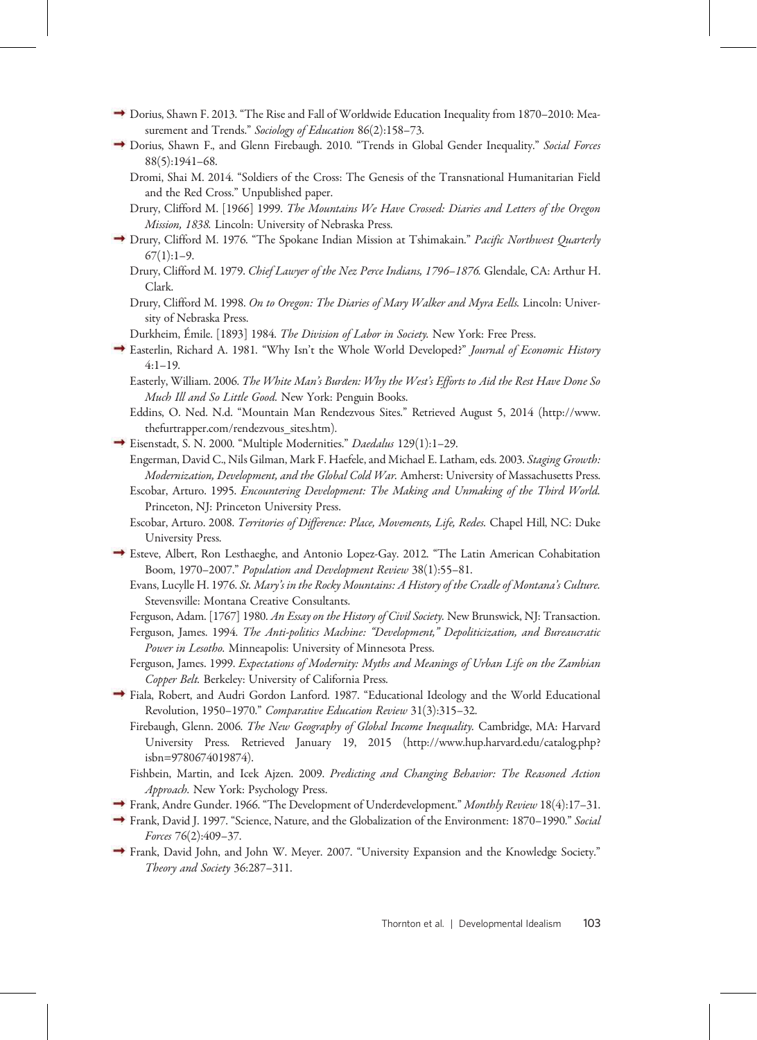- → Dorius, Shawn F. 2013. "The Rise and Fall of Worldwide Education Inequality from 1870–2010: Measurement and Trends." Sociology of Education 86(2):158-73.
- → Dorius, Shawn F., and Glenn Firebaugh. 2010. "Trends in Global Gender Inequality." Social Forces 88(5):1941–68.
	- Dromi, Shai M. 2014. "Soldiers of the Cross: The Genesis of the Transnational Humanitarian Field and the Red Cross." Unpublished paper.
	- Drury, Clifford M. [1966] 1999. The Mountains We Have Crossed: Diaries and Letters of the Oregon Mission, 1838. Lincoln: University of Nebraska Press.
- → Drury, Clifford M. 1976. "The Spokane Indian Mission at Tshimakain." Pacific Northwest Quarterly  $67(1):1-9.$ 
	- Drury, Clifford M. 1979. Chief Lawyer of the Nez Perce Indians, 1796–1876. Glendale, CA: Arthur H. Clark.
	- Drury, Clifford M. 1998. On to Oregon: The Diaries of Mary Walker and Myra Eells. Lincoln: University of Nebraska Press.
	- Durkheim, Émile. [1893] 1984. The Division of Labor in Society. New York: Free Press.
- → Easterlin, Richard A. 1981. "Why Isn't the Whole World Developed?" Journal of Economic History 4:1–19.
	- Easterly, William. 2006. The White Man's Burden: Why the West's Efforts to Aid the Rest Have Done So Much Ill and So Little Good. New York: Penguin Books.
	- Eddins, O. Ned. N.d. "Mountain Man Rendezvous Sites." Retrieved August 5, 2014 (http://www. thefurtrapper.com/rendezvous\_sites.htm).
- Eisenstadt, S. N. 2000. "Multiple Modernities." Daedalus 129(1):1–29.
	- Engerman, David C., Nils Gilman, Mark F. Haefele, and Michael E. Latham, eds. 2003. Staging Growth: Modernization, Development, and the Global Cold War. Amherst: University of Massachusetts Press.
	- Escobar, Arturo. 1995. Encountering Development: The Making and Unmaking of the Third World. Princeton, NJ: Princeton University Press.
	- Escobar, Arturo. 2008. Territories of Difference: Place, Movements, Life, Redes. Chapel Hill, NC: Duke University Press.
- Esteve, Albert, Ron Lesthaeghe, and Antonio Lopez-Gay. 2012. "The Latin American Cohabitation Boom, 1970–2007." Population and Development Review 38(1):55–81.
	- Evans, Lucylle H. 1976. St. Mary's in the Rocky Mountains: A History of the Cradle of Montana's Culture. Stevensville: Montana Creative Consultants.
	- Ferguson, Adam. [1767] 1980. An Essay on the History of Civil Society. New Brunswick, NJ: Transaction.
	- Ferguson, James. 1994. The Anti-politics Machine: "Development," Depoliticization, and Bureaucratic Power in Lesotho. Minneapolis: University of Minnesota Press.
	- Ferguson, James. 1999. Expectations of Modernity: Myths and Meanings of Urban Life on the Zambian Copper Belt. Berkeley: University of California Press.
- Fiala, Robert, and Audri Gordon Lanford. 1987. "Educational Ideology and the World Educational Revolution, 1950–1970." Comparative Education Review 31(3):315–32.
	- Firebaugh, Glenn. 2006. The New Geography of Global Income Inequality. Cambridge, MA: Harvard University Press. Retrieved January 19, 2015 (http://www.hup.harvard.edu/catalog.php? isbn=9780674019874).
	- Fishbein, Martin, and Icek Ajzen. 2009. Predicting and Changing Behavior: The Reasoned Action Approach. New York: Psychology Press.
- → Frank, Andre Gunder. 1966. "The Development of Underdevelopment." Monthly Review 18(4):17–31.
- Frank, David J. 1997. "Science, Nature, and the Globalization of the Environment: 1870–1990." Social Forces 76(2):409–37.
- Frank, David John, and John W. Meyer. 2007. "University Expansion and the Knowledge Society." Theory and Society 36:287–311.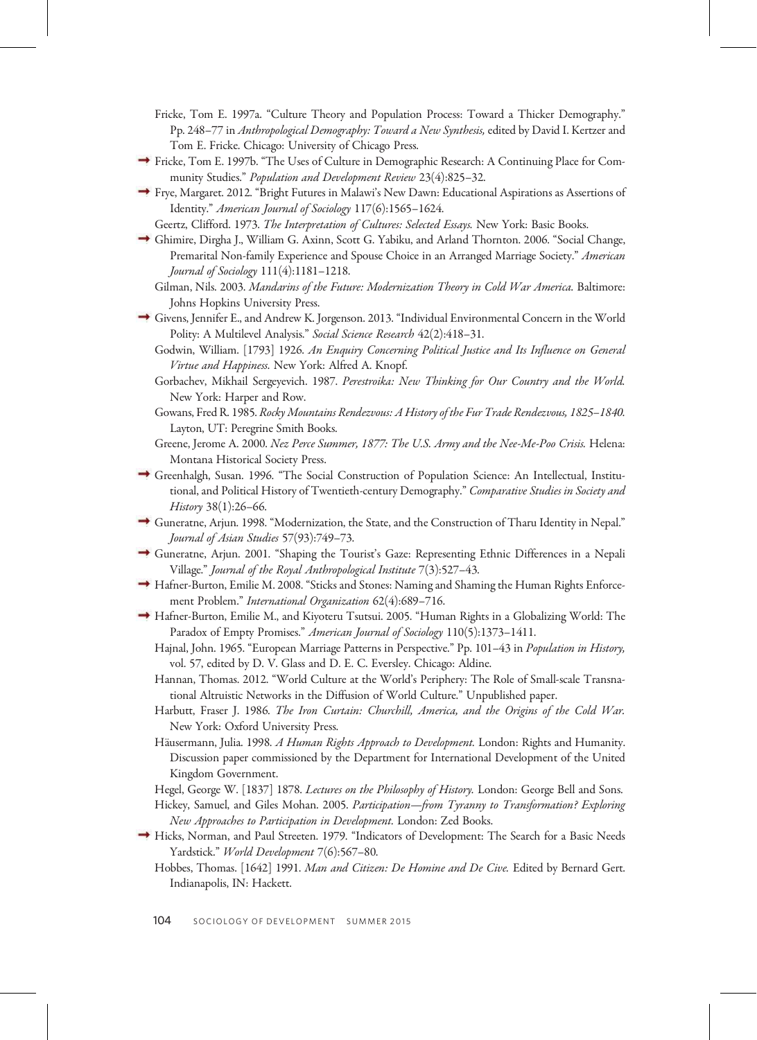- Fricke, Tom E. 1997a. "Culture Theory and Population Process: Toward a Thicker Demography." Pp. 248-77 in Anthropological Demography: Toward a New Synthesis, edited by David I. Kertzer and Tom E. Fricke. Chicago: University of Chicago Press.
- Fricke, Tom E. 1997b. "The Uses of Culture in Demographic Research: A Continuing Place for Community Studies." Population and Development Review 23(4):825–32.
- Frye, Margaret. 2012. "Bright Futures in Malawi's New Dawn: Educational Aspirations as Assertions of Identity." American Journal of Sociology 117(6):1565–1624.
- Geertz, Clifford. 1973. The Interpretation of Cultures: Selected Essays. New York: Basic Books.
- Ghimire, Dirgha J., William G. Axinn, Scott G. Yabiku, and Arland Thornton. 2006. "Social Change, Premarital Non-family Experience and Spouse Choice in an Arranged Marriage Society." American Journal of Sociology 111(4):1181–1218.
	- Gilman, Nils. 2003. Mandarins of the Future: Modernization Theory in Cold War America. Baltimore: Johns Hopkins University Press.
- Givens, Jennifer E., and Andrew K. Jorgenson. 2013. "Individual Environmental Concern in the World Polity: A Multilevel Analysis." Social Science Research 42(2):418–31.
	- Godwin, William. [1793] 1926. An Enquiry Concerning Political Justice and Its Influence on General Virtue and Happiness. New York: Alfred A. Knopf.
	- Gorbachev, Mikhail Sergeyevich. 1987. Perestroika: New Thinking for Our Country and the World. New York: Harper and Row.
	- Gowans, Fred R. 1985. Rocky Mountains Rendezvous: A History of the Fur Trade Rendezvous, 1825–1840. Layton, UT: Peregrine Smith Books.
	- Greene, Jerome A. 2000. Nez Perce Summer, 1877: The U.S. Army and the Nee-Me-Poo Crisis. Helena: Montana Historical Society Press.
- Greenhalgh, Susan. 1996. "The Social Construction of Population Science: An Intellectual, Institutional, and Political History of Twentieth-century Demography." Comparative Studies in Society and History 38(1):26-66.
- Guneratne, Arjun. 1998. "Modernization, the State, and the Construction of Tharu Identity in Nepal." Journal of Asian Studies 57(93):749–73.
- Guneratne, Arjun. 2001. "Shaping the Tourist's Gaze: Representing Ethnic Differences in a Nepali Village." Journal of the Royal Anthropological Institute 7(3):527–43.
- → Hafner-Burton, Emilie M. 2008. "Sticks and Stones: Naming and Shaming the Human Rights Enforcement Problem." International Organization 62(4):689–716.
- → Hafner-Burton, Emilie M., and Kiyoteru Tsutsui. 2005. "Human Rights in a Globalizing World: The Paradox of Empty Promises." American Journal of Sociology 110(5):1373-1411.
	- Hajnal, John. 1965. "European Marriage Patterns in Perspective." Pp. 101-43 in Population in History, vol. 57, edited by D. V. Glass and D. E. C. Eversley. Chicago: Aldine.
	- Hannan, Thomas. 2012. "World Culture at the World's Periphery: The Role of Small-scale Transnational Altruistic Networks in the Diffusion of World Culture." Unpublished paper.
	- Harbutt, Fraser J. 1986. The Iron Curtain: Churchill, America, and the Origins of the Cold War. New York: Oxford University Press.
	- Häusermann, Julia. 1998. A Human Rights Approach to Development. London: Rights and Humanity. Discussion paper commissioned by the Department for International Development of the United Kingdom Government.
	- Hegel, George W. [1837] 1878. Lectures on the Philosophy of History. London: George Bell and Sons.
	- Hickey, Samuel, and Giles Mohan. 2005. Participation—from Tyranny to Transformation? Exploring New Approaches to Participation in Development. London: Zed Books.
- → Hicks, Norman, and Paul Streeten. 1979. "Indicators of Development: The Search for a Basic Needs Yardstick." World Development 7(6):567–80.
	- Hobbes, Thomas. [1642] 1991. Man and Citizen: De Homine and De Cive. Edited by Bernard Gert. Indianapolis, IN: Hackett.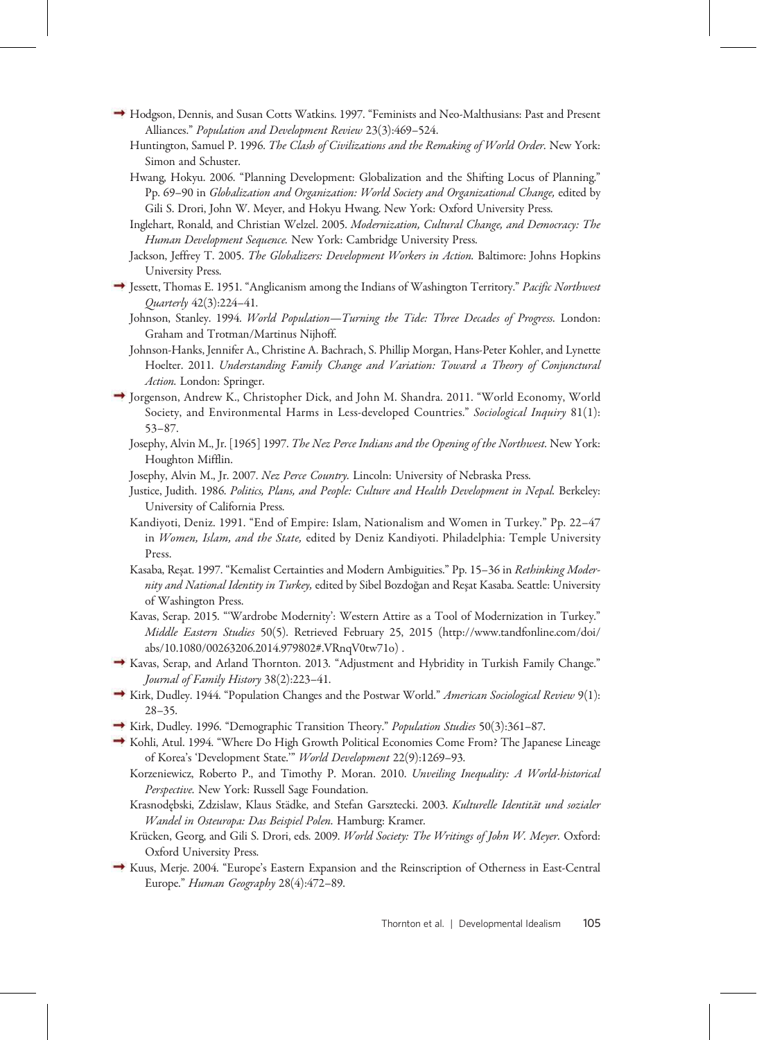- → Hodgson, Dennis, and Susan Cotts Watkins. 1997. "Feminists and Neo-Malthusians: Past and Present Alliances." Population and Development Review 23(3):469–524.
	- Huntington, Samuel P. 1996. The Clash of Civilizations and the Remaking of World Order. New York: Simon and Schuster.
	- Hwang, Hokyu. 2006. "Planning Development: Globalization and the Shifting Locus of Planning." Pp. 69–90 in Globalization and Organization: World Society and Organizational Change, edited by Gili S. Drori, John W. Meyer, and Hokyu Hwang. New York: Oxford University Press.
	- Inglehart, Ronald, and Christian Welzel. 2005. Modernization, Cultural Change, and Democracy: The Human Development Sequence. New York: Cambridge University Press.
	- Jackson, Jeffrey T. 2005. The Globalizers: Development Workers in Action. Baltimore: Johns Hopkins University Press.
- $\rightarrow$  Jessett, Thomas E. 1951. "Anglicanism among the Indians of Washington Territory." Pacific Northwest Quarterly 42(3):224–41.
	- Johnson, Stanley. 1994. World Population-Turning the Tide: Three Decades of Progress. London: Graham and Trotman/Martinus Nijhoff.
	- Johnson-Hanks, Jennifer A., Christine A. Bachrach, S. Phillip Morgan, Hans-Peter Kohler, and Lynette Hoelter. 2011. Understanding Family Change and Variation: Toward a Theory of Conjunctural Action. London: Springer.
- → Jorgenson, Andrew K., Christopher Dick, and John M. Shandra. 2011. "World Economy, World Society, and Environmental Harms in Less-developed Countries." Sociological Inquiry 81(1): 53–87.
	- Josephy, Alvin M., Jr. [1965] 1997. The Nez Perce Indians and the Opening of the Northwest. New York: Houghton Mifflin.
	- Josephy, Alvin M., Jr. 2007. Nez Perce Country. Lincoln: University of Nebraska Press.
	- Justice, Judith. 1986. Politics, Plans, and People: Culture and Health Development in Nepal. Berkeley: University of California Press.
	- Kandiyoti, Deniz. 1991. "End of Empire: Islam, Nationalism and Women in Turkey." Pp. 22–47 in Women, Islam, and the State, edited by Deniz Kandiyoti. Philadelphia: Temple University Press.
	- Kasaba, Reşat. 1997. "Kemalist Certainties and Modern Ambiguities." Pp. 15–36 in Rethinking Modernity and National Identity in Turkey, edited by Sibel Bozdoğan and Reşat Kasaba. Seattle: University of Washington Press.
	- Kavas, Serap. 2015. "'Wardrobe Modernity': Western Attire as a Tool of Modernization in Turkey." Middle Eastern Studies 50(5). Retrieved February 25, 2015 (http://www.tandfonline.com/doi/ abs/10.1080/00263206.2014.979802#.VRnqV0tw71o) .
- Kavas, Serap, and Arland Thornton. 2013. "Adjustment and Hybridity in Turkish Family Change." Journal of Family History 38(2):223–41.
- Kirk, Dudley. 1944. "Population Changes and the Postwar World." American Sociological Review 9(1): 28–35.
- Kirk, Dudley. 1996. "Demographic Transition Theory." Population Studies 50(3):361–87.
- Kohli, Atul. 1994. "Where Do High Growth Political Economies Come From? The Japanese Lineage of Korea's 'Development State.'" World Development 22(9):1269–93.
	- Korzeniewicz, Roberto P., and Timothy P. Moran. 2010. Unveiling Inequality: A World-historical Perspective. New York: Russell Sage Foundation.
	- Krasnodębski, Zdzislaw, Klaus Städke, and Stefan Garsztecki. 2003. Kulturelle Identität und sozialer Wandel in Osteuropa: Das Beispiel Polen. Hamburg: Kramer.
	- Krücken, Georg, and Gili S. Drori, eds. 2009. World Society: The Writings of John W. Meyer. Oxford: Oxford University Press.
- Kuus, Merje. 2004. "Europe's Eastern Expansion and the Reinscription of Otherness in East-Central Europe." Human Geography 28(4):472–89.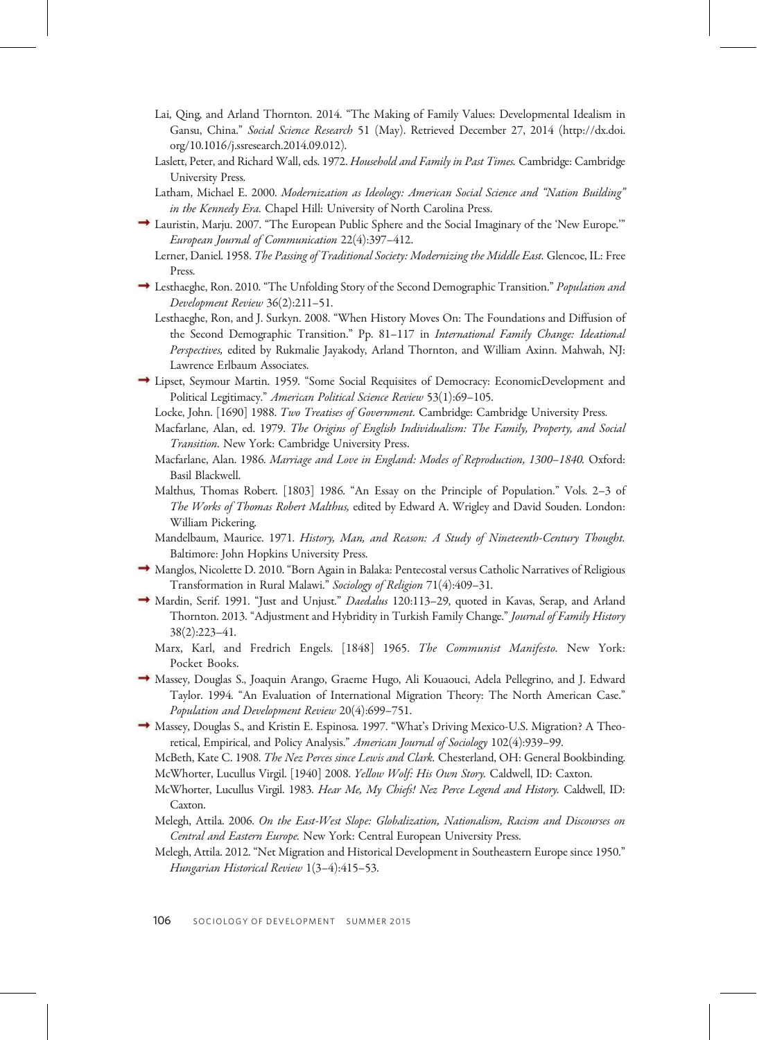- Lai, Qing, and Arland Thornton. 2014. "The Making of Family Values: Developmental Idealism in Gansu, China." Social Science Research 51 (May). Retrieved December 27, 2014 (http://dx.doi. org/10.1016/j.ssresearch.2014.09.012).
- Laslett, Peter, and Richard Wall, eds. 1972. Household and Family in Past Times. Cambridge: Cambridge University Press.
- Latham, Michael E. 2000. Modernization as Ideology: American Social Science and "Nation Building" in the Kennedy Era. Chapel Hill: University of North Carolina Press.
- Lauristin, Marju. 2007. "The European Public Sphere and the Social Imaginary of the 'New Europe.'" European Journal of Communication 22(4):397–412.
	- Lerner, Daniel. 1958. The Passing of Traditional Society: Modernizing the Middle East. Glencoe, IL: Free Press.
- → Lesthaeghe, Ron. 2010. "The Unfolding Story of the Second Demographic Transition." Population and Development Review 36(2):211–51.
	- Lesthaeghe, Ron, and J. Surkyn. 2008. "When History Moves On: The Foundations and Diffusion of the Second Demographic Transition." Pp. 81–117 in International Family Change: Ideational Perspectives, edited by Rukmalie Jayakody, Arland Thornton, and William Axinn. Mahwah, NJ: Lawrence Erlbaum Associates.
- → Lipset, Seymour Martin. 1959. "Some Social Requisites of Democracy: EconomicDevelopment and Political Legitimacy." American Political Science Review 53(1):69–105.
	- Locke, John. [1690] 1988. Two Treatises of Government. Cambridge: Cambridge University Press.
	- Macfarlane, Alan, ed. 1979. The Origins of English Individualism: The Family, Property, and Social Transition. New York: Cambridge University Press.
	- Macfarlane, Alan. 1986. Marriage and Love in England: Modes of Reproduction, 1300–1840. Oxford: Basil Blackwell.
	- Malthus, Thomas Robert. [1803] 1986. "An Essay on the Principle of Population." Vols. 2–3 of The Works of Thomas Robert Malthus, edited by Edward A. Wrigley and David Souden. London: William Pickering.
	- Mandelbaum, Maurice. 1971. History, Man, and Reason: A Study of Nineteenth-Century Thought. Baltimore: John Hopkins University Press.
- Manglos, Nicolette D. 2010. "Born Again in Balaka: Pentecostal versus Catholic Narratives of Religious Transformation in Rural Malawi." Sociology of Religion 71(4):409–31.
- Mardin, Serif. 1991. "Just and Unjust." Daedalus 120:113–29, quoted in Kavas, Serap, and Arland Thornton. 2013. "Adjustment and Hybridity in Turkish Family Change." Journal of Family History 38(2):223–41.
	- Marx, Karl, and Fredrich Engels. [1848] 1965. The Communist Manifesto. New York: Pocket Books.
- Massey, Douglas S., Joaquin Arango, Graeme Hugo, Ali Kouaouci, Adela Pellegrino, and J. Edward Taylor. 1994. "An Evaluation of International Migration Theory: The North American Case." Population and Development Review 20(4):699–751.
- Massey, Douglas S., and Kristin E. Espinosa. 1997. "What's Driving Mexico-U.S. Migration? A Theoretical, Empirical, and Policy Analysis." American Journal of Sociology 102(4):939–99.
	- McBeth, Kate C. 1908. The Nez Perces since Lewis and Clark. Chesterland, OH: General Bookbinding. McWhorter, Lucullus Virgil. [1940] 2008. Yellow Wolf: His Own Story. Caldwell, ID: Caxton.
	- McWhorter, Lucullus Virgil. 1983. Hear Me, My Chiefs! Nez Perce Legend and History. Caldwell, ID: Caxton.
	- Melegh, Attila. 2006. On the East-West Slope: Globalization, Nationalism, Racism and Discourses on Central and Eastern Europe. New York: Central European University Press.
	- Melegh, Attila. 2012. "Net Migration and Historical Development in Southeastern Europe since 1950." Hungarian Historical Review 1(3–4):415–53.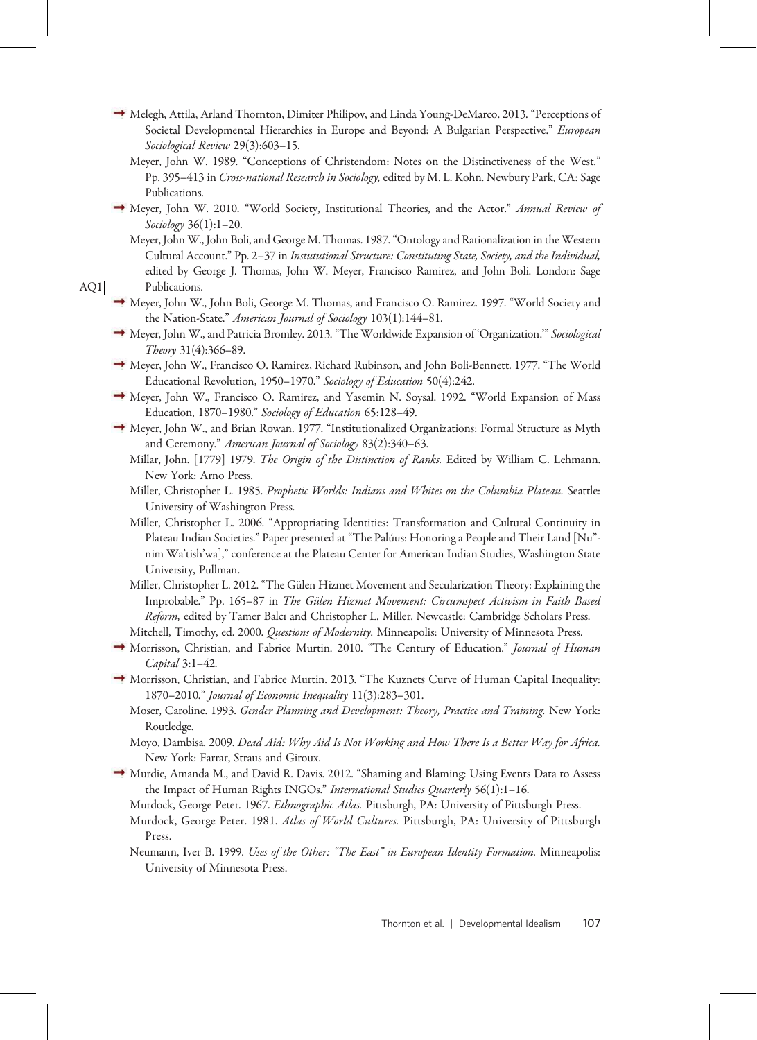- $\rightarrow$  Melegh, Attila, Arland Thornton, Dimiter Philipov, and Linda Young-DeMarco. 2013. "Perceptions of Societal Developmental Hierarchies in Europe and Beyond: A Bulgarian Perspective." European Sociological Review 29(3):603–15.
	- Meyer, John W. 1989. "Conceptions of Christendom: Notes on the Distinctiveness of the West." Pp. 395–413 in Cross-national Research in Sociology, edited by M. L. Kohn. Newbury Park, CA: Sage Publications.
- Meyer, John W. 2010. "World Society, Institutional Theories, and the Actor." Annual Review of Sociology 36(1):1–20.
- Meyer, John W., John Boli, and George M. Thomas. 1987."Ontology and Rationalization in the Western Cultural Account." Pp. 2–37 in Instututional Structure: Constituting State, Society, and the Individual, edited by George J. Thomas, John W. Meyer, Francisco Ramirez, and John Boli. London: Sage AQ1 Publications.
	- Meyer, John W., John Boli, George M. Thomas, and Francisco O. Ramirez. 1997. "World Society and the Nation-State." American Journal of Sociology 103(1):144-81.
	- Meyer, John W., and Patricia Bromley. 2013. "The Worldwide Expansion of 'Organization.'" Sociological Theory 31(4):366–89.
	- Meyer, John W., Francisco O. Ramirez, Richard Rubinson, and John Boli-Bennett. 1977. "The World Educational Revolution, 1950–1970." Sociology of Education 50(4):242.
	- Meyer, John W., Francisco O. Ramirez, and Yasemin N. Soysal. 1992. "World Expansion of Mass Education, 1870–1980." Sociology of Education 65:128–49.
	- $\rightarrow$  Meyer, John W., and Brian Rowan. 1977. "Institutionalized Organizations: Formal Structure as Myth and Ceremony." American Journal of Sociology 83(2):340–63.
		- Millar, John. [1779] 1979. The Origin of the Distinction of Ranks. Edited by William C. Lehmann. New York: Arno Press.
		- Miller, Christopher L. 1985. Prophetic Worlds: Indians and Whites on the Columbia Plateau. Seattle: University of Washington Press.
		- Miller, Christopher L. 2006. "Appropriating Identities: Transformation and Cultural Continuity in Plateau Indian Societies." Paper presented at "The Palúus: Honoring a People and Their Land [Nu" nim Wa'tish'wa]," conference at the Plateau Center for American Indian Studies, Washington State University, Pullman.
		- Miller, Christopher L. 2012. "The Gülen Hizmet Movement and Secularization Theory: Explaining the Improbable." Pp. 165–87 in The Gülen Hizmet Movement: Circumspect Activism in Faith Based Reform, edited by Tamer Balcı and Christopher L. Miller. Newcastle: Cambridge Scholars Press.
		- Mitchell, Timothy, ed. 2000. *Questions of Modernity*. Minneapolis: University of Minnesota Press.
	- $\rightarrow$  Morrisson, Christian, and Fabrice Murtin. 2010. "The Century of Education." Journal of Human Capital 3:1–42.
	- Morrisson, Christian, and Fabrice Murtin. 2013. "The Kuznets Curve of Human Capital Inequality: 1870–2010." Journal of Economic Inequality 11(3):283–301.
		- Moser, Caroline. 1993. Gender Planning and Development: Theory, Practice and Training. New York: Routledge.
		- Moyo, Dambisa. 2009. Dead Aid: Why Aid Is Not Working and How There Is a Better Way for Africa. New York: Farrar, Straus and Giroux.
	- Murdie, Amanda M., and David R. Davis. 2012. "Shaming and Blaming: Using Events Data to Assess the Impact of Human Rights INGOs." International Studies Quarterly 56(1):1-16.
		- Murdock, George Peter. 1967. Ethnographic Atlas. Pittsburgh, PA: University of Pittsburgh Press.
		- Murdock, George Peter. 1981. Atlas of World Cultures. Pittsburgh, PA: University of Pittsburgh Press.
		- Neumann, Iver B. 1999. Uses of the Other: "The East" in European Identity Formation. Minneapolis: University of Minnesota Press.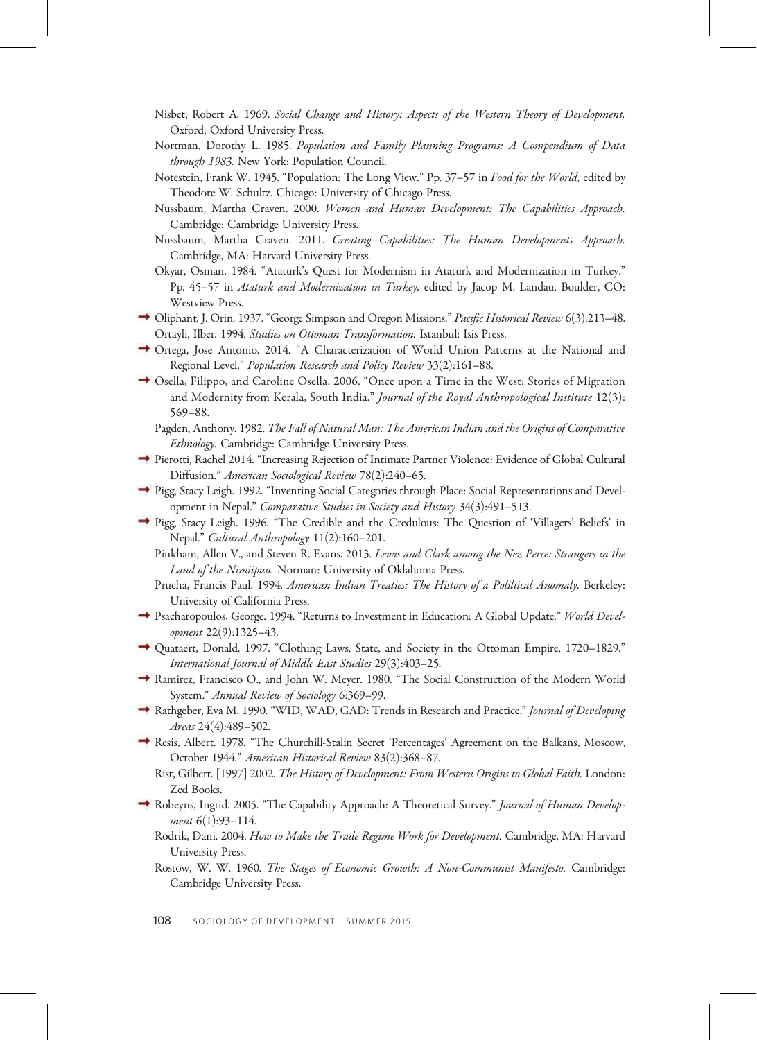- Nisbet, Robert A. 1969. Social Change and History: Aspects of the Western Theory of Development. Oxford: Oxford University Press.
- Nortman, Dorothy L. 1985. Population and Family Planning Programs: A Compendium of Data through 1983. New York: Population Council.
- Notestein, Frank W. 1945. "Population: The Long View." Pp. 37–57 in Food for the World, edited by Theodore W. Schultz. Chicago: University of Chicago Press.
- Nussbaum, Martha Craven. 2000. Women and Human Development: The Capabilities Approach. Cambridge: Cambridge University Press.
- Nussbaum, Martha Craven. 2011. Creating Capabilities: The Human Developments Approach. Cambridge, MA: Harvard University Press.
- Okyar, Osman. 1984. "Ataturk's Quest for Modernism in Ataturk and Modernization in Turkey." Pp. 45–57 in *Ataturk and Modernization in Turkey*, edited by Jacop M. Landau. Boulder, CO: Westview Press.
- Oliphant, J. Orin. 1937. "George Simpson and Oregon Missions." Pacific Historical Review 6(3):213–48. Ortayli, Ilber. 1994. Studies on Ottoman Transformation. Istanbul: Isis Press.
- Ortega, Jose Antonio. 2014. "A Characterization of World Union Patterns at the National and Regional Level." Population Research and Policy Review 33(2):161–88.
- Osella, Filippo, and Caroline Osella. 2006. "Once upon a Time in the West: Stories of Migration and Modernity from Kerala, South India." Journal of the Royal Anthropological Institute 12(3): 569–88.
	- Pagden, Anthony. 1982. The Fall of Natural Man: The American Indian and the Origins of Comparative Ethnology. Cambridge: Cambridge University Press.
- Pierotti, Rachel 2014. "Increasing Rejection of Intimate Partner Violence: Evidence of Global Cultural Diffusion." American Sociological Review 78(2):240–65.
- Pigg, Stacy Leigh. 1992. "Inventing Social Categories through Place: Social Representations and Development in Nepal." Comparative Studies in Society and History 34(3):491–513.
- Pigg, Stacy Leigh. 1996. "The Credible and the Credulous: The Question of 'Villagers' Beliefs' in Nepal." Cultural Anthropology 11(2):160–201.
	- Pinkham, Allen V., and Steven R. Evans. 2013. Lewis and Clark among the Nez Perce: Strangers in the Land of the Nimiipuu. Norman: University of Oklahoma Press.
	- Prucha, Francis Paul. 1994. American Indian Treaties: The History of a Poliltical Anomaly. Berkeley: University of California Press.
- Psacharopoulos, George. 1994. "Returns to Investment in Education: A Global Update." World Development 22(9):1325–43.
- Quataert, Donald. 1997. "Clothing Laws, State, and Society in the Ottoman Empire, 1720–1829." International Journal of Middle East Studies 29(3):403–25.
- Ramirez, Francisco O., and John W. Meyer. 1980. "The Social Construction of the Modern World System." Annual Review of Sociology 6:369–99.
- Rathgeber, Eva M. 1990. "WID, WAD, GAD: Trends in Research and Practice." Journal of Developing Areas 24(4):489–502.
- Resis, Albert. 1978. "The Churchill-Stalin Secret 'Percentages' Agreement on the Balkans, Moscow, October 1944." American Historical Review 83(2):368–87.
	- Rist, Gilbert. [1997] 2002. The History of Development: From Western Origins to Global Faith. London: Zed Books.
- Robeyns, Ingrid. 2005. "The Capability Approach: A Theoretical Survey." Journal of Human Development  $6(1):93-114$ .
	- Rodrik, Dani. 2004. How to Make the Trade Regime Work for Development. Cambridge, MA: Harvard University Press.
	- Rostow, W. W. 1960. The Stages of Economic Growth: A Non-Communist Manifesto. Cambridge: Cambridge University Press.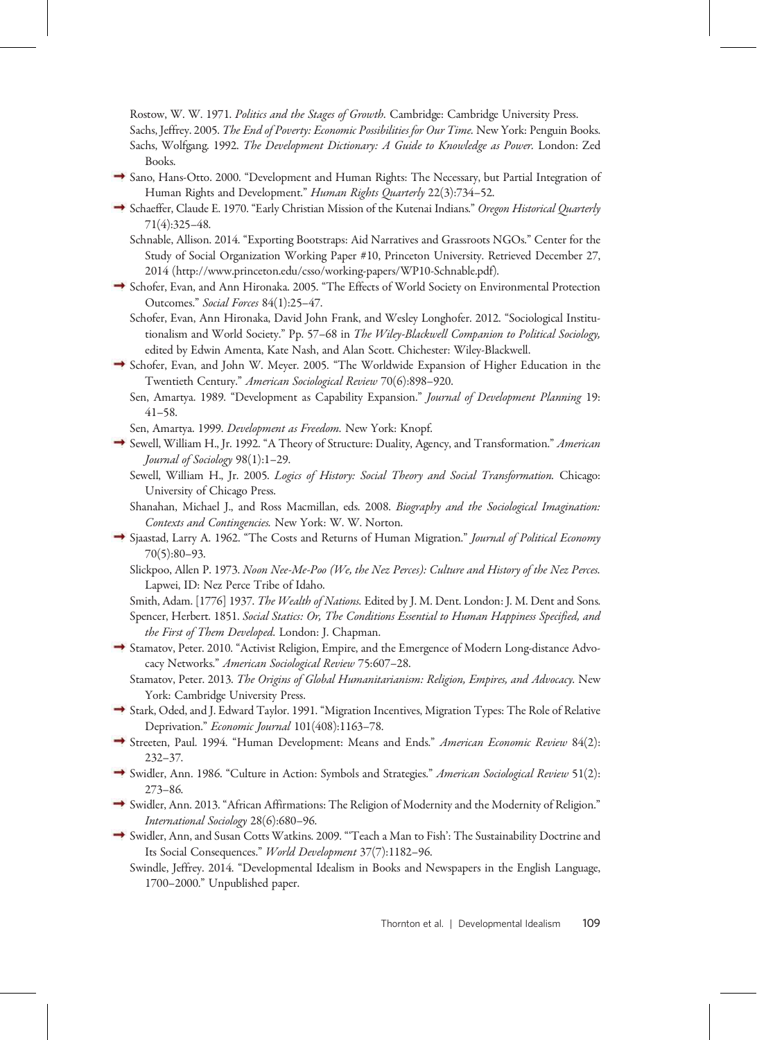Rostow, W. W. 1971. Politics and the Stages of Growth. Cambridge: Cambridge University Press. Sachs, Jeffrey. 2005. The End of Poverty: Economic Possibilities for Our Time. New York: Penguin Books. Sachs, Wolfgang. 1992. The Development Dictionary: A Guide to Knowledge as Power. London: Zed Books.

- Sano, Hans-Otto. 2000. "Development and Human Rights: The Necessary, but Partial Integration of Human Rights and Development." Human Rights Quarterly 22(3):734-52.
- Schaeffer, Claude E. 1970. "Early Christian Mission of the Kutenai Indians." Oregon Historical Quarterly 71(4):325–48.
	- Schnable, Allison. 2014. "Exporting Bootstraps: Aid Narratives and Grassroots NGOs." Center for the Study of Social Organization Working Paper #10, Princeton University. Retrieved December 27, 2014 (http://www.princeton.edu/csso/working-papers/WP10-Schnable.pdf).
- Schofer, Evan, and Ann Hironaka. 2005. "The Effects of World Society on Environmental Protection Outcomes." Social Forces 84(1):25–47.
	- Schofer, Evan, Ann Hironaka, David John Frank, and Wesley Longhofer. 2012. "Sociological Institutionalism and World Society." Pp. 57–68 in The Wiley-Blackwell Companion to Political Sociology, edited by Edwin Amenta, Kate Nash, and Alan Scott. Chichester: Wiley-Blackwell.
- Schofer, Evan, and John W. Meyer. 2005. "The Worldwide Expansion of Higher Education in the Twentieth Century." American Sociological Review 70(6):898–920.
	- Sen, Amartya. 1989. "Development as Capability Expansion." Journal of Development Planning 19: 41–58.
	- Sen, Amartya. 1999. Development as Freedom. New York: Knopf.
- Sewell, William H., Jr. 1992. "A Theory of Structure: Duality, Agency, and Transformation." American Journal of Sociology 98(1):1–29.
	- Sewell, William H., Jr. 2005. Logics of History: Social Theory and Social Transformation. Chicago: University of Chicago Press.
	- Shanahan, Michael J., and Ross Macmillan, eds. 2008. Biography and the Sociological Imagination: Contexts and Contingencies. New York: W. W. Norton.
- Sjaastad, Larry A. 1962. "The Costs and Returns of Human Migration." Journal of Political Economy 70(5):80–93.
	- Slickpoo, Allen P. 1973. Noon Nee-Me-Poo (We, the Nez Perces): Culture and History of the Nez Perces. Lapwei, ID: Nez Perce Tribe of Idaho.
	- Smith, Adam. [1776] 1937. The Wealth of Nations. Edited by J. M. Dent. London: J. M. Dent and Sons.
	- Spencer, Herbert. 1851. Social Statics: Or, The Conditions Essential to Human Happiness Specified, and the First of Them Developed. London: J. Chapman.
- Stamatov, Peter. 2010. "Activist Religion, Empire, and the Emergence of Modern Long-distance Advocacy Networks." American Sociological Review 75:607–28.
	- Stamatov, Peter. 2013. The Origins of Global Humanitarianism: Religion, Empires, and Advocacy. New York: Cambridge University Press.
- Stark, Oded, and J. Edward Taylor. 1991. "Migration Incentives, Migration Types: The Role of Relative Deprivation." Economic Journal 101(408):1163–78.
- Streeten, Paul. 1994. "Human Development: Means and Ends." American Economic Review 84(2): 232–37.
- Swidler, Ann. 1986. "Culture in Action: Symbols and Strategies." American Sociological Review 51(2): 273–86.
- Swidler, Ann. 2013. "African Affirmations: The Religion of Modernity and the Modernity of Religion." International Sociology 28(6):680–96.
- Swidler, Ann, and Susan Cotts Watkins. 2009. "'Teach a Man to Fish': The Sustainability Doctrine and Its Social Consequences." World Development 37(7):1182–96.
	- Swindle, Jeffrey. 2014. "Developmental Idealism in Books and Newspapers in the English Language, 1700–2000." Unpublished paper.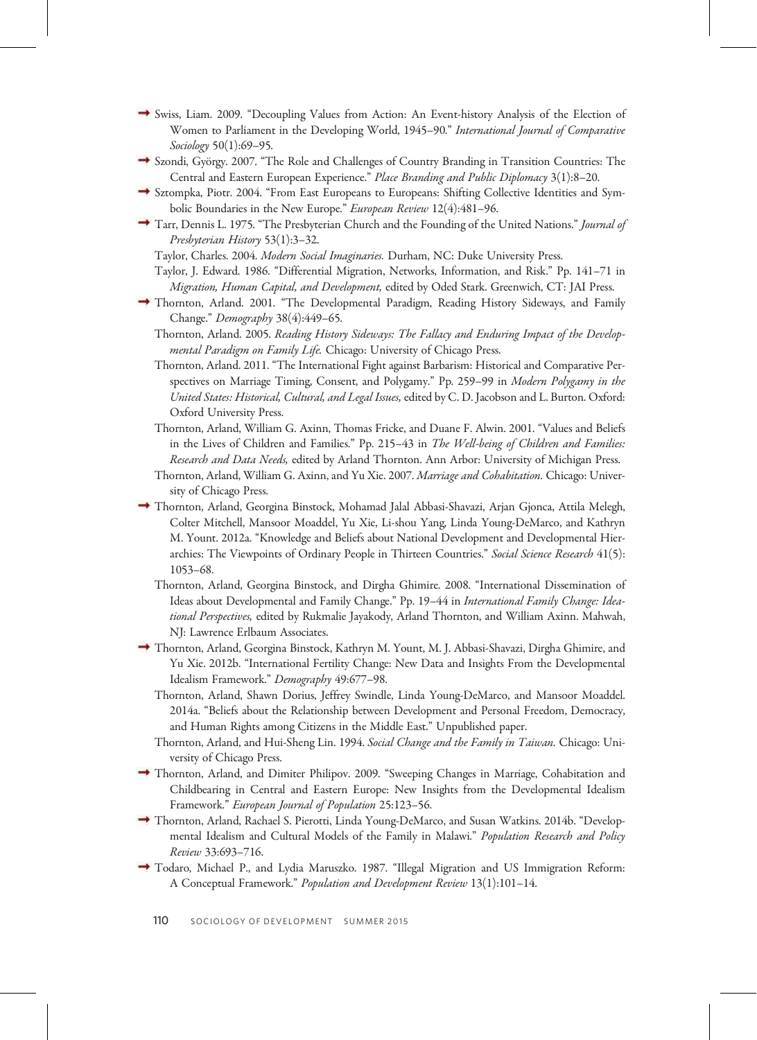- Swiss, Liam. 2009. "Decoupling Values from Action: An Event-history Analysis of the Election of Women to Parliament in the Developing World, 1945–90." International Journal of Comparative Sociology 50(1):69–95.
- Szondi, György. 2007. "The Role and Challenges of Country Branding in Transition Countries: The Central and Eastern European Experience." Place Branding and Public Diplomacy 3(1):8–20.
- Sztompka, Piotr. 2004. "From East Europeans to Europeans: Shifting Collective Identities and Symbolic Boundaries in the New Europe." European Review 12(4):481-96.
- Tarr, Dennis L. 1975. "The Presbyterian Church and the Founding of the United Nations." Journal of Presbyterian History 53(1):3–32.
	- Taylor, Charles. 2004. Modern Social Imaginaries. Durham, NC: Duke University Press.
	- Taylor, J. Edward. 1986. "Differential Migration, Networks, Information, and Risk." Pp. 141–71 in Migration, Human Capital, and Development, edited by Oded Stark. Greenwich, CT: JAI Press.
- Thornton, Arland. 2001. "The Developmental Paradigm, Reading History Sideways, and Family Change." Demography 38(4):449–65.
	- Thornton, Arland. 2005. Reading History Sideways: The Fallacy and Enduring Impact of the Developmental Paradigm on Family Life. Chicago: University of Chicago Press.
	- Thornton, Arland. 2011. "The International Fight against Barbarism: Historical and Comparative Perspectives on Marriage Timing, Consent, and Polygamy." Pp. 259–99 in Modern Polygamy in the United States: Historical, Cultural, and Legal Issues, edited by C. D. Jacobson and L. Burton. Oxford: Oxford University Press.
	- Thornton, Arland, William G. Axinn, Thomas Fricke, and Duane F. Alwin. 2001. "Values and Beliefs in the Lives of Children and Families." Pp. 215-43 in The Well-being of Children and Families: Research and Data Needs, edited by Arland Thornton. Ann Arbor: University of Michigan Press.
	- Thornton, Arland, William G. Axinn, and Yu Xie. 2007. Marriage and Cohabitation. Chicago: University of Chicago Press.
- Thornton, Arland, Georgina Binstock, Mohamad Jalal Abbasi-Shavazi, Arjan Gjonca, Attila Melegh, Colter Mitchell, Mansoor Moaddel, Yu Xie, Li-shou Yang, Linda Young-DeMarco, and Kathryn M. Yount. 2012a. "Knowledge and Beliefs about National Development and Developmental Hierarchies: The Viewpoints of Ordinary People in Thirteen Countries." Social Science Research 41(5): 1053–68.
	- Thornton, Arland, Georgina Binstock, and Dirgha Ghimire. 2008. "International Dissemination of Ideas about Developmental and Family Change." Pp. 19-44 in International Family Change: Ideational Perspectives, edited by Rukmalie Jayakody, Arland Thornton, and William Axinn. Mahwah, NJ: Lawrence Erlbaum Associates.
- → Thornton, Arland, Georgina Binstock, Kathryn M. Yount, M. J. Abbasi-Shavazi, Dirgha Ghimire, and Yu Xie. 2012b. "International Fertility Change: New Data and Insights From the Developmental Idealism Framework." Demography 49:677–98.
	- Thornton, Arland, Shawn Dorius, Jeffrey Swindle, Linda Young-DeMarco, and Mansoor Moaddel. 2014a. "Beliefs about the Relationship between Development and Personal Freedom, Democracy, and Human Rights among Citizens in the Middle East." Unpublished paper.
	- Thornton, Arland, and Hui-Sheng Lin. 1994. Social Change and the Family in Taiwan. Chicago: University of Chicago Press.
- Thornton, Arland, and Dimiter Philipov. 2009. "Sweeping Changes in Marriage, Cohabitation and Childbearing in Central and Eastern Europe: New Insights from the Developmental Idealism Framework." European Journal of Population 25:123–56.
- Thornton, Arland, Rachael S. Pierotti, Linda Young-DeMarco, and Susan Watkins. 2014b. "Developmental Idealism and Cultural Models of the Family in Malawi." Population Research and Policy Review 33:693–716.
- Todaro, Michael P., and Lydia Maruszko. 1987. "Illegal Migration and US Immigration Reform: A Conceptual Framework." Population and Development Review 13(1):101–14.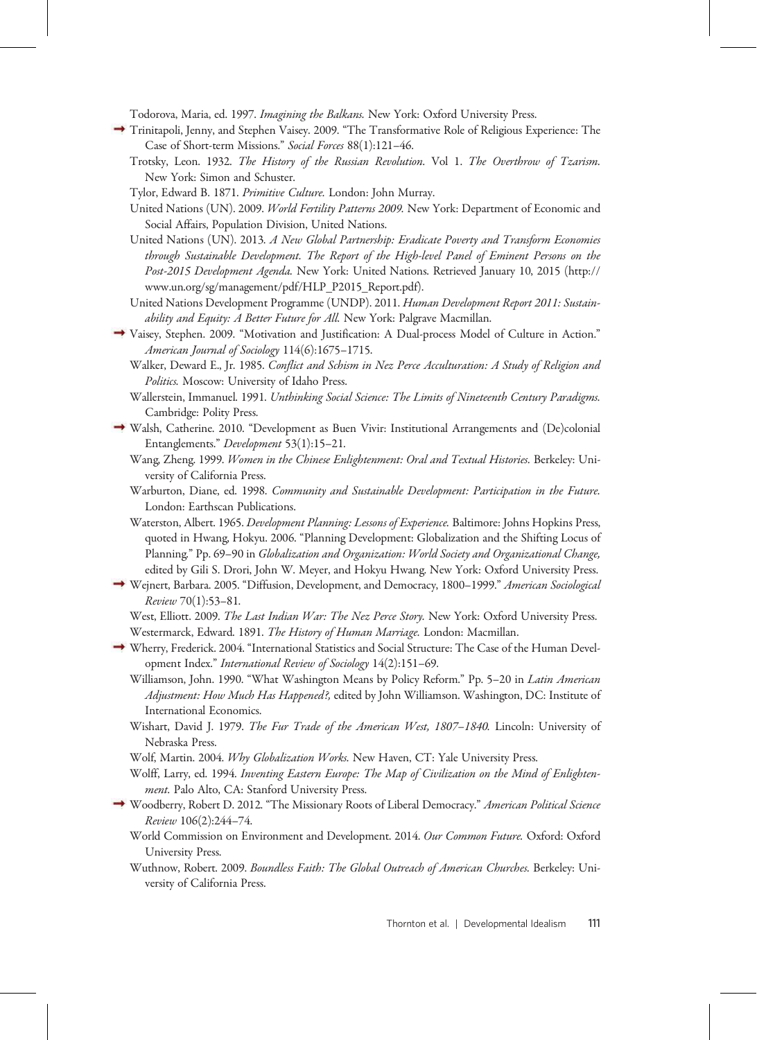Todorova, Maria, ed. 1997. Imagining the Balkans. New York: Oxford University Press.

- Trinitapoli, Jenny, and Stephen Vaisey. 2009. "The Transformative Role of Religious Experience: The Case of Short-term Missions." Social Forces 88(1):121–46.
	- Trotsky, Leon. 1932. The History of the Russian Revolution. Vol 1. The Overthrow of Tzarism. New York: Simon and Schuster.
	- Tylor, Edward B. 1871. Primitive Culture. London: John Murray.
	- United Nations (UN). 2009. World Fertility Patterns 2009. New York: Department of Economic and Social Affairs, Population Division, United Nations.
	- United Nations (UN). 2013. A New Global Partnership: Eradicate Poverty and Transform Economies through Sustainable Development. The Report of the High-level Panel of Eminent Persons on the Post-2015 Development Agenda. New York: United Nations. Retrieved January 10, 2015 (http:// www.un.org/sg/management/pdf/HLP\_P2015\_Report.pdf).
	- United Nations Development Programme (UNDP). 2011. Human Development Report 2011: Sustainability and Equity: A Better Future for All. New York: Palgrave Macmillan.
- Vaisey, Stephen. 2009. "Motivation and Justification: A Dual-process Model of Culture in Action." American Journal of Sociology 114(6):1675–1715.
	- Walker, Deward E., Jr. 1985. Conflict and Schism in Nez Perce Acculturation: A Study of Religion and Politics. Moscow: University of Idaho Press.
	- Wallerstein, Immanuel. 1991. Unthinking Social Science: The Limits of Nineteenth Century Paradigms. Cambridge: Polity Press.
- Walsh, Catherine. 2010. "Development as Buen Vivir: Institutional Arrangements and (De)colonial Entanglements." Development 53(1):15–21.
	- Wang, Zheng. 1999. Women in the Chinese Enlightenment: Oral and Textual Histories. Berkeley: University of California Press.
	- Warburton, Diane, ed. 1998. Community and Sustainable Development: Participation in the Future. London: Earthscan Publications.
	- Waterston, Albert. 1965. Development Planning: Lessons of Experience. Baltimore: Johns Hopkins Press, quoted in Hwang, Hokyu. 2006. "Planning Development: Globalization and the Shifting Locus of Planning." Pp. 69–90 in Globalization and Organization: World Society and Organizational Change, edited by Gili S. Drori, John W. Meyer, and Hokyu Hwang. New York: Oxford University Press.
- Wejnert, Barbara. 2005. "Diffusion, Development, and Democracy, 1800–1999." American Sociological Review 70(1):53–81.
	- West, Elliott. 2009. The Last Indian War: The Nez Perce Story. New York: Oxford University Press. Westermarck, Edward. 1891. The History of Human Marriage. London: Macmillan.
- Wherry, Frederick. 2004. "International Statistics and Social Structure: The Case of the Human Development Index." International Review of Sociology 14(2):151–69.
	- Williamson, John. 1990. "What Washington Means by Policy Reform." Pp. 5–20 in Latin American Adjustment: How Much Has Happened?, edited by John Williamson. Washington, DC: Institute of International Economics.
	- Wishart, David J. 1979. The Fur Trade of the American West, 1807-1840. Lincoln: University of Nebraska Press.
	- Wolf, Martin. 2004. Why Globalization Works. New Haven, CT: Yale University Press.
	- Wolff, Larry, ed. 1994. Inventing Eastern Europe: The Map of Civilization on the Mind of Enlightenment. Palo Alto, CA: Stanford University Press.
- Woodberry, Robert D. 2012. "The Missionary Roots of Liberal Democracy." American Political Science Review 106(2):244–74.
	- World Commission on Environment and Development. 2014. Our Common Future. Oxford: Oxford University Press.
	- Wuthnow, Robert. 2009. Boundless Faith: The Global Outreach of American Churches. Berkeley: University of California Press.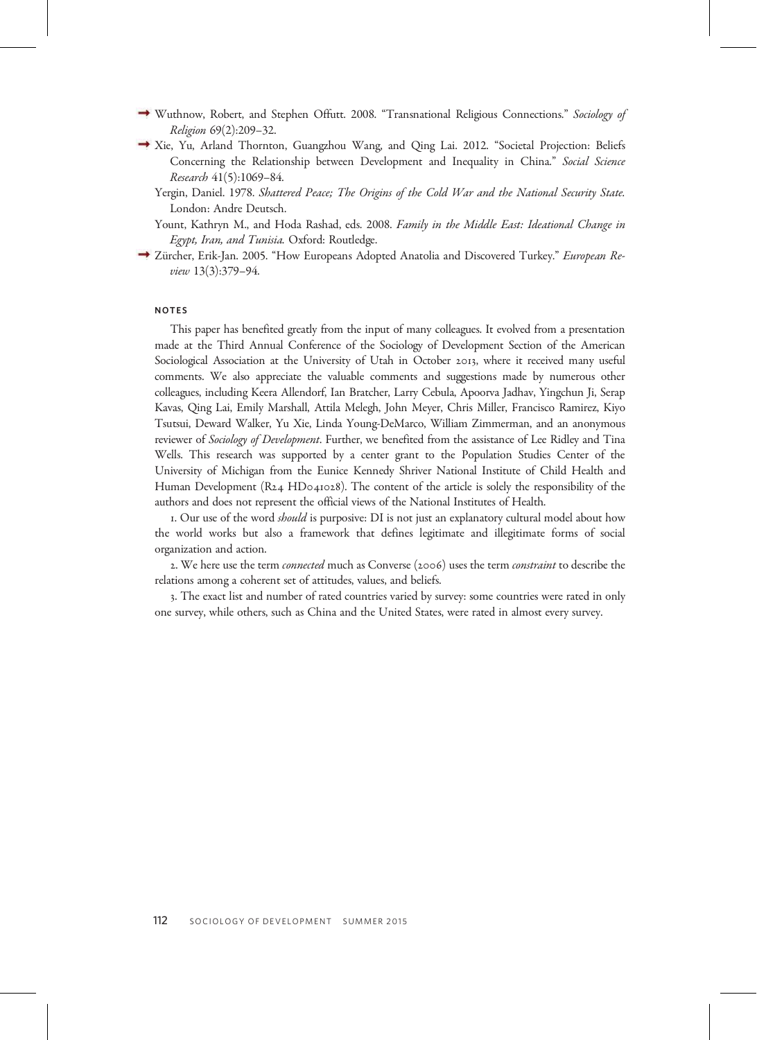- Wuthnow, Robert, and Stephen Offutt. 2008. "Transnational Religious Connections." Sociology of Religion 69(2):209–32.
- Xie, Yu, Arland Thornton, Guangzhou Wang, and Qing Lai. 2012. "Societal Projection: Beliefs Concerning the Relationship between Development and Inequality in China." Social Science Research 41(5):1069–84.
	- Yergin, Daniel. 1978. Shattered Peace; The Origins of the Cold War and the National Security State. London: Andre Deutsch.
	- Yount, Kathryn M., and Hoda Rashad, eds. 2008. Family in the Middle East: Ideational Change in Egypt, Iran, and Tunisia. Oxford: Routledge.
- → Zürcher, Erik-Jan. 2005. "How Europeans Adopted Anatolia and Discovered Turkey." European Review 13(3):379–94.

#### NOTES

This paper has benefited greatly from the input of many colleagues. It evolved from a presentation made at the Third Annual Conference of the Sociology of Development Section of the American Sociological Association at the University of Utah in October 2013, where it received many useful comments. We also appreciate the valuable comments and suggestions made by numerous other colleagues, including Keera Allendorf, Ian Bratcher, Larry Cebula, Apoorva Jadhav, Yingchun Ji, Serap Kavas, Qing Lai, Emily Marshall, Attila Melegh, John Meyer, Chris Miller, Francisco Ramirez, Kiyo Tsutsui, Deward Walker, Yu Xie, Linda Young-DeMarco, William Zimmerman, and an anonymous reviewer of Sociology of Development. Further, we benefited from the assistance of Lee Ridley and Tina Wells. This research was supported by a center grant to the Population Studies Center of the University of Michigan from the Eunice Kennedy Shriver National Institute of Child Health and Human Development ( $R_{24}$  HD $\circ$ 41028). The content of the article is solely the responsibility of the authors and does not represent the official views of the National Institutes of Health.

. Our use of the word should is purposive: DI is not just an explanatory cultural model about how the world works but also a framework that defines legitimate and illegitimate forms of social organization and action.

2. We here use the term *connected* much as Converse (2006) uses the term *constraint* to describe the relations among a coherent set of attitudes, values, and beliefs.

. The exact list and number of rated countries varied by survey: some countries were rated in only one survey, while others, such as China and the United States, were rated in almost every survey.